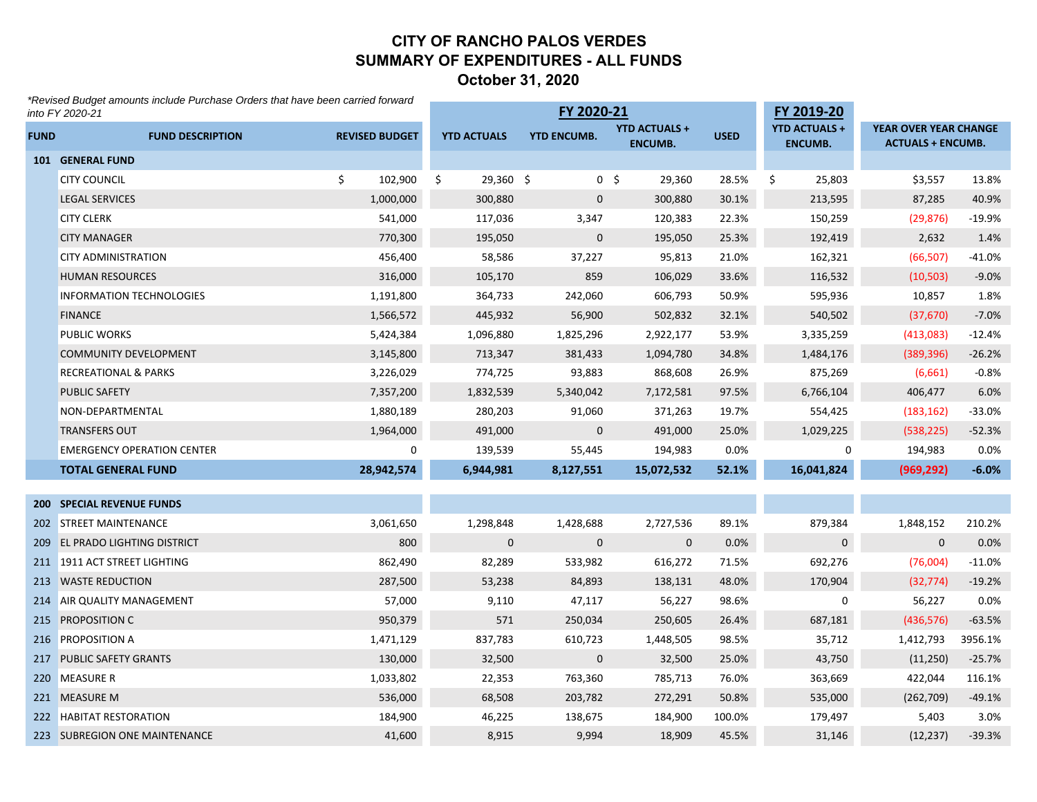#### **CITY OF RANCHO PALOS VERDESSUMMARY OF EXPENDITURES - ALL FUNDSOctober 31, 2020**

*\*Revised Budget amounts include Purchase Orders that have been carried forward* 

|             | ^Revised Budget amounts include Purchase Orders that have been carried forward<br>into FY 2020-21 |                       |                    | FY 2020-21         |                                        |             | FY 2019-20                             |                                                   |          |
|-------------|---------------------------------------------------------------------------------------------------|-----------------------|--------------------|--------------------|----------------------------------------|-------------|----------------------------------------|---------------------------------------------------|----------|
| <b>FUND</b> | <b>FUND DESCRIPTION</b>                                                                           | <b>REVISED BUDGET</b> | <b>YTD ACTUALS</b> | <b>YTD ENCUMB.</b> | <b>YTD ACTUALS +</b><br><b>ENCUMB.</b> | <b>USED</b> | <b>YTD ACTUALS +</b><br><b>ENCUMB.</b> | YEAR OVER YEAR CHANGE<br><b>ACTUALS + ENCUMB.</b> |          |
|             | 101 GENERAL FUND                                                                                  |                       |                    |                    |                                        |             |                                        |                                                   |          |
|             | <b>CITY COUNCIL</b>                                                                               | \$.<br>102,900        | $29,360$ \$<br>\$  |                    | 0 <sup>5</sup><br>29,360               | 28.5%       | \$<br>25,803                           | \$3,557                                           | 13.8%    |
|             | <b>LEGAL SERVICES</b>                                                                             | 1,000,000             | 300,880            | $\mathbf{0}$       | 300,880                                | 30.1%       | 213,595                                | 87,285                                            | 40.9%    |
|             | <b>CITY CLERK</b>                                                                                 | 541,000               | 117,036            | 3,347              | 120,383                                | 22.3%       | 150,259                                | (29, 876)                                         | $-19.9%$ |
|             | <b>CITY MANAGER</b>                                                                               | 770,300               | 195,050            | $\mathbf 0$        | 195,050                                | 25.3%       | 192,419                                | 2,632                                             | 1.4%     |
|             | <b>CITY ADMINISTRATION</b>                                                                        | 456,400               | 58,586             | 37,227             | 95,813                                 | 21.0%       | 162,321                                | (66, 507)                                         | $-41.0%$ |
|             | <b>HUMAN RESOURCES</b>                                                                            | 316,000               | 105,170            | 859                | 106,029                                | 33.6%       | 116,532                                | (10, 503)                                         | $-9.0%$  |
|             | <b>INFORMATION TECHNOLOGIES</b>                                                                   | 1,191,800             | 364,733            | 242,060            | 606,793                                | 50.9%       | 595,936                                | 10,857                                            | 1.8%     |
|             | <b>FINANCE</b>                                                                                    | 1,566,572             | 445,932            | 56,900             | 502,832                                | 32.1%       | 540,502                                | (37, 670)                                         | $-7.0%$  |
|             | <b>PUBLIC WORKS</b>                                                                               | 5,424,384             | 1,096,880          | 1,825,296          | 2,922,177                              | 53.9%       | 3,335,259                              | (413,083)                                         | $-12.4%$ |
|             | <b>COMMUNITY DEVELOPMENT</b>                                                                      | 3,145,800             | 713,347            | 381,433            | 1,094,780                              | 34.8%       | 1,484,176                              | (389, 396)                                        | $-26.2%$ |
|             | <b>RECREATIONAL &amp; PARKS</b>                                                                   | 3,226,029             | 774,725            | 93,883             | 868,608                                | 26.9%       | 875,269                                | (6,661)                                           | $-0.8%$  |
|             | PUBLIC SAFETY                                                                                     | 7,357,200             | 1,832,539          | 5,340,042          | 7,172,581                              | 97.5%       | 6,766,104                              | 406,477                                           | 6.0%     |
|             | NON-DEPARTMENTAL                                                                                  | 1,880,189             | 280,203            | 91,060             | 371,263                                | 19.7%       | 554,425                                | (183, 162)                                        | $-33.0%$ |
|             | <b>TRANSFERS OUT</b>                                                                              | 1,964,000             | 491,000            | $\mathbf{0}$       | 491,000                                | 25.0%       | 1,029,225                              | (538, 225)                                        | $-52.3%$ |
|             | <b>EMERGENCY OPERATION CENTER</b>                                                                 | 0                     | 139,539            | 55,445             | 194,983                                | 0.0%        | 0                                      | 194,983                                           | 0.0%     |
|             | <b>TOTAL GENERAL FUND</b>                                                                         | 28,942,574            | 6,944,981          | 8,127,551          | 15,072,532                             | 52.1%       | 16,041,824                             | (969, 292)                                        | $-6.0%$  |
|             |                                                                                                   |                       |                    |                    |                                        |             |                                        |                                                   |          |
|             | <b>200 SPECIAL REVENUE FUNDS</b>                                                                  |                       |                    |                    |                                        |             |                                        |                                                   |          |
|             | 202 STREET MAINTENANCE                                                                            | 3,061,650             | 1,298,848          | 1,428,688          | 2,727,536                              | 89.1%       | 879,384                                | 1,848,152                                         | 210.2%   |
|             | 209 EL PRADO LIGHTING DISTRICT                                                                    | 800                   | $\mathbf{0}$       | $\mathbf{0}$       | $\mathbf 0$                            | 0.0%        | 0                                      | $\mathbf{0}$                                      | 0.0%     |
|             | 211 1911 ACT STREET LIGHTING                                                                      | 862,490               | 82,289             | 533,982            | 616,272                                | 71.5%       | 692,276                                | (76,004)                                          | $-11.0%$ |
|             | 213 WASTE REDUCTION                                                                               | 287,500               | 53,238             | 84,893             | 138,131                                | 48.0%       | 170,904                                | (32, 774)                                         | $-19.2%$ |
|             | 214 AIR QUALITY MANAGEMENT                                                                        | 57,000                | 9,110              | 47,117             | 56,227                                 | 98.6%       | 0                                      | 56,227                                            | 0.0%     |
|             | 215 PROPOSITION C                                                                                 | 950,379               | 571                | 250,034            | 250,605                                | 26.4%       | 687,181                                | (436, 576)                                        | $-63.5%$ |
|             | 216 PROPOSITION A                                                                                 | 1,471,129             | 837,783            | 610,723            | 1,448,505                              | 98.5%       | 35,712                                 | 1,412,793                                         | 3956.1%  |
|             | 217 PUBLIC SAFETY GRANTS                                                                          | 130,000               | 32,500             | $\mathbf 0$        | 32,500                                 | 25.0%       | 43,750                                 | (11,250)                                          | $-25.7%$ |
|             | 220 MEASURE R                                                                                     | 1,033,802             | 22,353             | 763,360            | 785,713                                | 76.0%       | 363,669                                | 422,044                                           | 116.1%   |
|             | 221 MEASURE M                                                                                     | 536,000               | 68,508             | 203,782            | 272,291                                | 50.8%       | 535,000                                | (262,709)                                         | $-49.1%$ |
|             | 222 HABITAT RESTORATION                                                                           | 184,900               | 46,225             | 138,675            | 184,900                                | 100.0%      | 179,497                                | 5,403                                             | 3.0%     |
|             | 223 SUBREGION ONE MAINTENANCE                                                                     | 41,600                | 8,915              | 9,994              | 18,909                                 | 45.5%       | 31,146                                 | (12, 237)                                         | $-39.3%$ |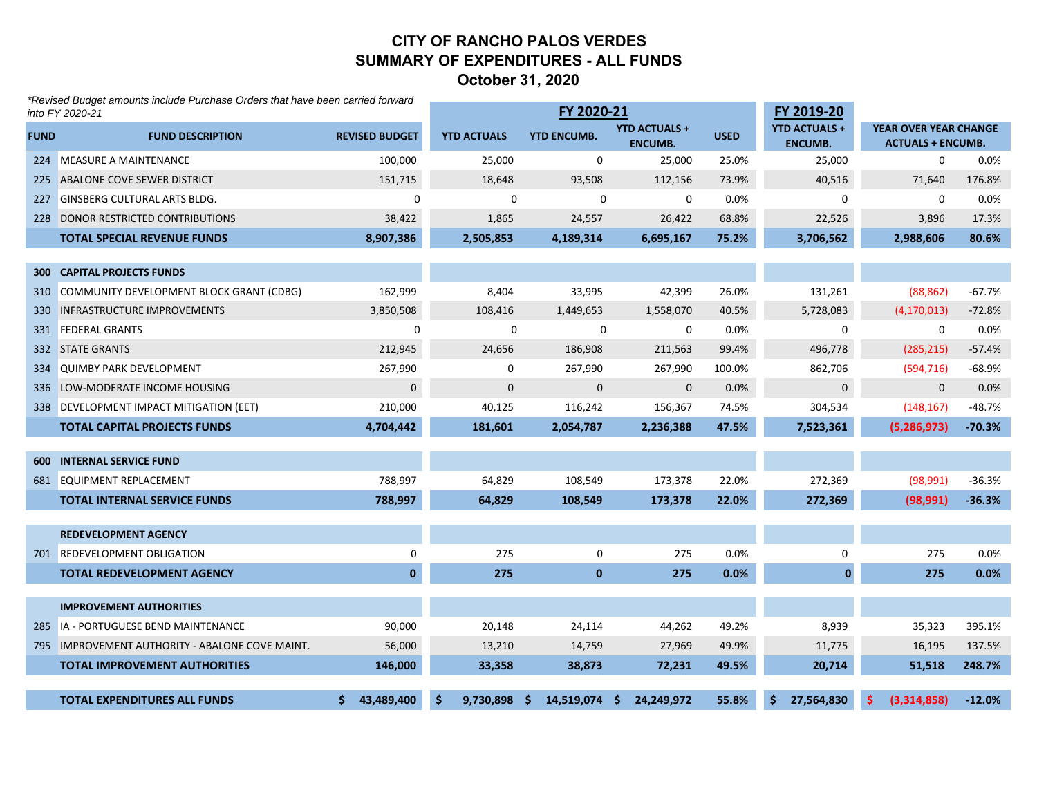#### **CITY OF RANCHO PALOS VERDESSUMMARY OF EXPENDITURES - ALL FUNDS October 31, 2020**

|             | *Revised Budget amounts include Purchase Orders that have been carried forward<br>into FY 2020-21 |                       |                    | FY 2020-21         |                                        |             | FY 2019-20                             |                                                          |          |
|-------------|---------------------------------------------------------------------------------------------------|-----------------------|--------------------|--------------------|----------------------------------------|-------------|----------------------------------------|----------------------------------------------------------|----------|
| <b>FUND</b> | <b>FUND DESCRIPTION</b>                                                                           | <b>REVISED BUDGET</b> | <b>YTD ACTUALS</b> | <b>YTD ENCUMB.</b> | <b>YTD ACTUALS +</b><br><b>ENCUMB.</b> | <b>USED</b> | <b>YTD ACTUALS +</b><br><b>ENCUMB.</b> | <b>YEAR OVER YEAR CHANGE</b><br><b>ACTUALS + ENCUMB.</b> |          |
|             | 224 MEASURE A MAINTENANCE                                                                         | 100,000               | 25,000             | 0                  | 25,000                                 | 25.0%       | 25,000                                 | 0                                                        | 0.0%     |
|             | 225 ABALONE COVE SEWER DISTRICT                                                                   | 151,715               | 18,648             | 93,508             | 112,156                                | 73.9%       | 40,516                                 | 71,640                                                   | 176.8%   |
|             | 227 GINSBERG CULTURAL ARTS BLDG.                                                                  | 0                     | 0                  | 0                  | 0                                      | 0.0%        | 0                                      | 0                                                        | 0.0%     |
|             | 228 DONOR RESTRICTED CONTRIBUTIONS                                                                | 38,422                | 1,865              | 24,557             | 26,422                                 | 68.8%       | 22,526                                 | 3,896                                                    | 17.3%    |
|             | <b>TOTAL SPECIAL REVENUE FUNDS</b>                                                                | 8,907,386             | 2,505,853          | 4,189,314          | 6,695,167                              | 75.2%       | 3,706,562                              | 2,988,606                                                | 80.6%    |
|             |                                                                                                   |                       |                    |                    |                                        |             |                                        |                                                          |          |
|             | <b>300 CAPITAL PROJECTS FUNDS</b>                                                                 |                       |                    |                    |                                        |             |                                        |                                                          |          |
|             | 310 COMMUNITY DEVELOPMENT BLOCK GRANT (CDBG)                                                      | 162,999               | 8,404              | 33,995             | 42,399                                 | 26.0%       | 131,261                                | (88, 862)                                                | $-67.7%$ |
|             | 330 INFRASTRUCTURE IMPROVEMENTS                                                                   | 3,850,508             | 108,416            | 1,449,653          | 1,558,070                              | 40.5%       | 5,728,083                              | (4, 170, 013)                                            | $-72.8%$ |
|             | 331 FEDERAL GRANTS                                                                                | 0                     | 0                  | 0                  | 0                                      | 0.0%        | 0                                      | 0                                                        | 0.0%     |
|             | 332 STATE GRANTS                                                                                  | 212,945               | 24,656             | 186,908            | 211,563                                | 99.4%       | 496,778                                | (285, 215)                                               | $-57.4%$ |
|             | 334 QUIMBY PARK DEVELOPMENT                                                                       | 267,990               | $\mathbf{0}$       | 267,990            | 267,990                                | 100.0%      | 862,706                                | (594, 716)                                               | $-68.9%$ |
|             | 336 LOW-MODERATE INCOME HOUSING                                                                   | $\mathsf{O}\xspace$   | $\mathbf 0$        | $\mathbf{0}$       | $\mathbf 0$                            | 0.0%        | 0                                      | $\mathbf 0$                                              | 0.0%     |
|             | 338 DEVELOPMENT IMPACT MITIGATION (EET)                                                           | 210,000               | 40,125             | 116,242            | 156,367                                | 74.5%       | 304,534                                | (148, 167)                                               | $-48.7%$ |
|             | <b>TOTAL CAPITAL PROJECTS FUNDS</b>                                                               | 4,704,442             | 181,601            | 2,054,787          | 2,236,388                              | 47.5%       | 7,523,361                              | (5, 286, 973)                                            | $-70.3%$ |
|             |                                                                                                   |                       |                    |                    |                                        |             |                                        |                                                          |          |
|             | <b>600 INTERNAL SERVICE FUND</b>                                                                  |                       |                    |                    |                                        |             |                                        |                                                          |          |
|             | 681 EQUIPMENT REPLACEMENT                                                                         | 788,997               | 64,829             | 108,549            | 173,378                                | 22.0%       | 272,369                                | (98, 991)                                                | $-36.3%$ |
|             | <b>TOTAL INTERNAL SERVICE FUNDS</b>                                                               | 788,997               | 64,829             | 108,549            | 173,378                                | 22.0%       | 272,369                                | (98, 991)                                                | $-36.3%$ |
|             | <b>REDEVELOPMENT AGENCY</b>                                                                       |                       |                    |                    |                                        |             |                                        |                                                          |          |
|             | 701 REDEVELOPMENT OBLIGATION                                                                      | 0                     | 275                | 0                  | 275                                    | 0.0%        | 0                                      | 275                                                      | 0.0%     |
|             | <b>TOTAL REDEVELOPMENT AGENCY</b>                                                                 | $\mathbf{0}$          | 275                | $\mathbf{0}$       | 275                                    | 0.0%        | $\mathbf{0}$                           | 275                                                      | 0.0%     |
|             |                                                                                                   |                       |                    |                    |                                        |             |                                        |                                                          |          |
|             | <b>IMPROVEMENT AUTHORITIES</b>                                                                    |                       |                    |                    |                                        |             |                                        |                                                          |          |
|             | 285 IA - PORTUGUESE BEND MAINTENANCE                                                              | 90,000                | 20,148             | 24,114             | 44,262                                 | 49.2%       | 8,939                                  | 35,323                                                   | 395.1%   |
|             | 795 IMPROVEMENT AUTHORITY - ABALONE COVE MAINT.                                                   | 56,000                | 13,210             | 14,759             | 27,969                                 | 49.9%       | 11,775                                 | 16,195                                                   | 137.5%   |
|             | <b>TOTAL IMPROVEMENT AUTHORITIES</b>                                                              | 146,000               | 33,358             | 38,873             | 72,231                                 | 49.5%       | 20,714                                 | 51,518                                                   | 248.7%   |
|             | <b>TOTAL EXPENDITURES ALL FUNDS</b>                                                               | 43,489,400            | $9,730,898$ \$     | 14,519,074 \$      | 24,249,972                             | 55.8%       | 27,564,830                             | (3.314.858)                                              | $-12.0%$ |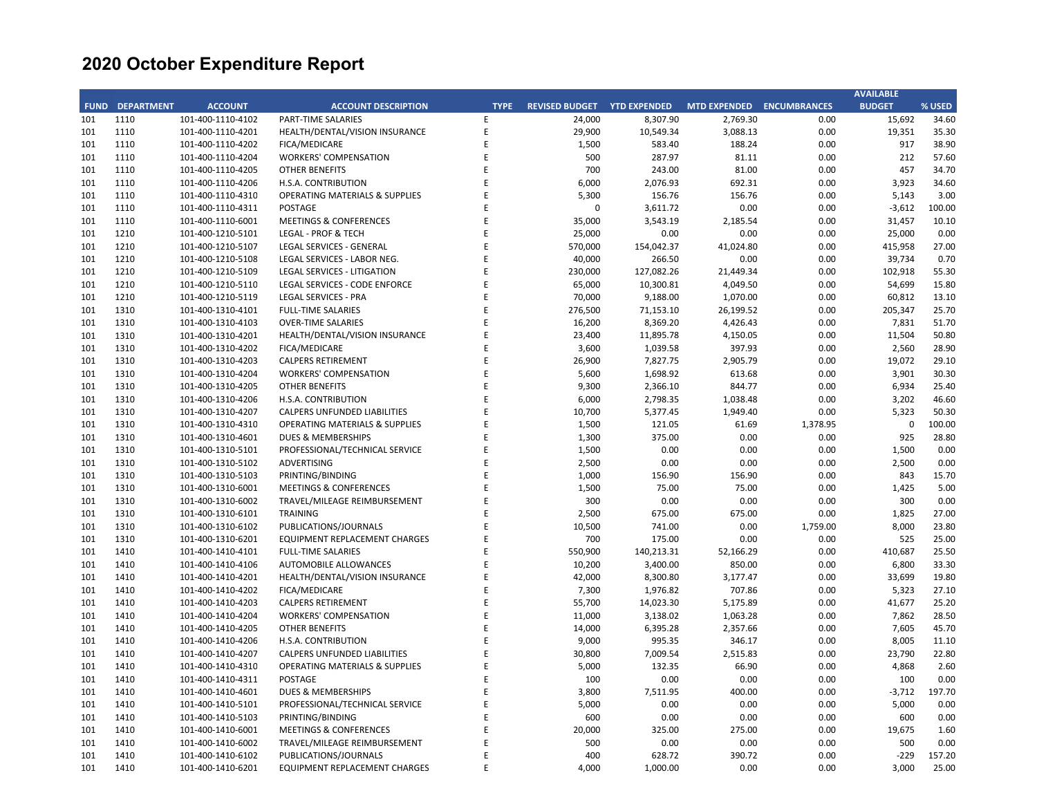|             |                   |                                        |                                           |             |                       |                     |                           |          | <b>AVAILABLE</b> |        |
|-------------|-------------------|----------------------------------------|-------------------------------------------|-------------|-----------------------|---------------------|---------------------------|----------|------------------|--------|
| <b>FUND</b> | <b>DEPARTMENT</b> | <b>ACCOUNT</b>                         | <b>ACCOUNT DESCRIPTION</b>                | <b>TYPE</b> | <b>REVISED BUDGET</b> | <b>YTD EXPENDED</b> | MTD EXPENDED ENCUMBRANCES |          | <b>BUDGET</b>    | % USED |
| 101         | 1110              | 101-400-1110-4102                      | <b>PART-TIME SALARIES</b>                 | E           | 24,000                | 8,307.90            | 2,769.30                  | 0.00     | 15,692           | 34.60  |
| 101         | 1110              | 101-400-1110-4201                      | HEALTH/DENTAL/VISION INSURANCE            | E           | 29,900                | 10,549.34           | 3,088.13                  | 0.00     | 19,351           | 35.30  |
| 101         | 1110              | 101-400-1110-4202                      | FICA/MEDICARE                             | E           | 1,500                 | 583.40              | 188.24                    | 0.00     | 917              | 38.90  |
| 101         | 1110              | 101-400-1110-4204                      | <b>WORKERS' COMPENSATION</b>              | E           | 500                   | 287.97              | 81.11                     | 0.00     | 212              | 57.60  |
| 101         | 1110              | 101-400-1110-4205                      | <b>OTHER BENEFITS</b>                     | E           | 700                   | 243.00              | 81.00                     | 0.00     | 457              | 34.70  |
| 101         | 1110              | 101-400-1110-4206                      | H.S.A. CONTRIBUTION                       | E           | 6,000                 | 2,076.93            | 692.31                    | 0.00     | 3,923            | 34.60  |
| 101         | 1110              | 101-400-1110-4310                      | <b>OPERATING MATERIALS &amp; SUPPLIES</b> | E           | 5,300                 | 156.76              | 156.76                    | 0.00     | 5,143            | 3.00   |
| 101         | 1110              | 101-400-1110-4311                      | <b>POSTAGE</b>                            | E           | 0                     | 3,611.72            | 0.00                      | 0.00     | $-3,612$         | 100.00 |
| 101         | 1110              | 101-400-1110-6001                      | <b>MEETINGS &amp; CONFERENCES</b>         | E           | 35,000                | 3,543.19            | 2,185.54                  | 0.00     | 31,457           | 10.10  |
| 101         | 1210              | 101-400-1210-5101                      | <b>LEGAL - PROF &amp; TECH</b>            | E           | 25,000                | 0.00                | 0.00                      | 0.00     | 25,000           | 0.00   |
| 101         | 1210              | 101-400-1210-5107                      | LEGAL SERVICES - GENERAL                  | E           | 570,000               | 154,042.37          | 41,024.80                 | 0.00     | 415,958          | 27.00  |
| 101         | 1210              | 101-400-1210-5108                      | LEGAL SERVICES - LABOR NEG.               | E           | 40,000                | 266.50              | 0.00                      | 0.00     | 39,734           | 0.70   |
| 101         | 1210              | 101-400-1210-5109                      | LEGAL SERVICES - LITIGATION               | E           | 230,000               | 127,082.26          | 21,449.34                 | 0.00     | 102,918          | 55.30  |
| 101         | 1210              | 101-400-1210-5110                      | LEGAL SERVICES - CODE ENFORCE             | E           | 65,000                | 10,300.81           | 4,049.50                  | 0.00     | 54,699           | 15.80  |
| 101         | 1210              | 101-400-1210-5119                      | <b>LEGAL SERVICES - PRA</b>               | E           | 70,000                | 9,188.00            | 1,070.00                  | 0.00     | 60,812           | 13.10  |
| 101         | 1310              | 101-400-1310-4101                      | <b>FULL-TIME SALARIES</b>                 | E           | 276,500               | 71,153.10           | 26,199.52                 | 0.00     | 205,347          | 25.70  |
| 101         | 1310              | 101-400-1310-4103                      | <b>OVER-TIME SALARIES</b>                 | E           | 16,200                | 8,369.20            | 4,426.43                  | 0.00     | 7,831            | 51.70  |
| 101         | 1310              |                                        | HEALTH/DENTAL/VISION INSURANCE            | E           | 23,400                | 11,895.78           |                           | 0.00     | 11,504           | 50.80  |
| 101         | 1310              | 101-400-1310-4201<br>101-400-1310-4202 | FICA/MEDICARE                             | E           | 3,600                 |                     | 4,150.05<br>397.93        | 0.00     | 2,560            | 28.90  |
|             |                   |                                        |                                           | E           |                       | 1,039.58            |                           |          |                  |        |
| 101         | 1310              | 101-400-1310-4203                      | <b>CALPERS RETIREMENT</b>                 | E           | 26,900                | 7,827.75            | 2,905.79                  | 0.00     | 19,072           | 29.10  |
| 101         | 1310              | 101-400-1310-4204                      | <b>WORKERS' COMPENSATION</b>              |             | 5,600                 | 1,698.92            | 613.68                    | 0.00     | 3,901            | 30.30  |
| 101         | 1310              | 101-400-1310-4205                      | <b>OTHER BENEFITS</b>                     | E           | 9,300                 | 2,366.10            | 844.77                    | 0.00     | 6,934            | 25.40  |
| 101         | 1310              | 101-400-1310-4206                      | H.S.A. CONTRIBUTION                       | E           | 6,000                 | 2,798.35            | 1,038.48                  | 0.00     | 3,202            | 46.60  |
| 101         | 1310              | 101-400-1310-4207                      | <b>CALPERS UNFUNDED LIABILITIES</b>       | E           | 10,700                | 5,377.45            | 1,949.40                  | 0.00     | 5,323            | 50.30  |
| 101         | 1310              | 101-400-1310-4310                      | <b>OPERATING MATERIALS &amp; SUPPLIES</b> | E           | 1,500                 | 121.05              | 61.69                     | 1,378.95 | $\mathbf 0$      | 100.00 |
| 101         | 1310              | 101-400-1310-4601                      | <b>DUES &amp; MEMBERSHIPS</b>             | E           | 1,300                 | 375.00              | 0.00                      | 0.00     | 925              | 28.80  |
| 101         | 1310              | 101-400-1310-5101                      | PROFESSIONAL/TECHNICAL SERVICE            | E           | 1,500                 | 0.00                | 0.00                      | 0.00     | 1,500            | 0.00   |
| 101         | 1310              | 101-400-1310-5102                      | ADVERTISING                               | E           | 2,500                 | 0.00                | 0.00                      | 0.00     | 2,500            | 0.00   |
| 101         | 1310              | 101-400-1310-5103                      | PRINTING/BINDING                          | E           | 1,000                 | 156.90              | 156.90                    | 0.00     | 843              | 15.70  |
| 101         | 1310              | 101-400-1310-6001                      | <b>MEETINGS &amp; CONFERENCES</b>         | E           | 1,500                 | 75.00               | 75.00                     | 0.00     | 1,425            | 5.00   |
| 101         | 1310              | 101-400-1310-6002                      | TRAVEL/MILEAGE REIMBURSEMENT              | E           | 300                   | 0.00                | 0.00                      | 0.00     | 300              | 0.00   |
| 101         | 1310              | 101-400-1310-6101                      | <b>TRAINING</b>                           | E           | 2,500                 | 675.00              | 675.00                    | 0.00     | 1,825            | 27.00  |
| 101         | 1310              | 101-400-1310-6102                      | PUBLICATIONS/JOURNALS                     | E           | 10,500                | 741.00              | 0.00                      | 1,759.00 | 8,000            | 23.80  |
| 101         | 1310              | 101-400-1310-6201                      | EQUIPMENT REPLACEMENT CHARGES             | E           | 700                   | 175.00              | 0.00                      | 0.00     | 525              | 25.00  |
| 101         | 1410              | 101-400-1410-4101                      | <b>FULL-TIME SALARIES</b>                 | E           | 550,900               | 140,213.31          | 52,166.29                 | 0.00     | 410,687          | 25.50  |
| 101         | 1410              | 101-400-1410-4106                      | AUTOMOBILE ALLOWANCES                     | E           | 10,200                | 3,400.00            | 850.00                    | 0.00     | 6,800            | 33.30  |
| 101         | 1410              | 101-400-1410-4201                      | HEALTH/DENTAL/VISION INSURANCE            | E           | 42,000                | 8,300.80            | 3,177.47                  | 0.00     | 33,699           | 19.80  |
| 101         | 1410              | 101-400-1410-4202                      | FICA/MEDICARE                             | E           | 7,300                 | 1,976.82            | 707.86                    | 0.00     | 5,323            | 27.10  |
| 101         | 1410              | 101-400-1410-4203                      | <b>CALPERS RETIREMENT</b>                 | E           | 55,700                | 14,023.30           | 5,175.89                  | 0.00     | 41,677           | 25.20  |
| 101         | 1410              | 101-400-1410-4204                      | <b>WORKERS' COMPENSATION</b>              | E           | 11,000                | 3,138.02            | 1,063.28                  | 0.00     | 7,862            | 28.50  |
| 101         | 1410              | 101-400-1410-4205                      | <b>OTHER BENEFITS</b>                     | E           | 14,000                | 6,395.28            | 2,357.66                  | 0.00     | 7,605            | 45.70  |
| 101         | 1410              | 101-400-1410-4206                      | H.S.A. CONTRIBUTION                       | E           | 9,000                 | 995.35              | 346.17                    | 0.00     | 8,005            | 11.10  |
| 101         | 1410              | 101-400-1410-4207                      | <b>CALPERS UNFUNDED LIABILITIES</b>       | E           | 30,800                | 7,009.54            | 2,515.83                  | 0.00     | 23,790           | 22.80  |
| 101         | 1410              | 101-400-1410-4310                      | <b>OPERATING MATERIALS &amp; SUPPLIES</b> | E           | 5,000                 | 132.35              | 66.90                     | 0.00     | 4,868            | 2.60   |
| 101         | 1410              | 101-400-1410-4311                      | POSTAGE                                   | E           | 100                   | 0.00                | 0.00                      | 0.00     | 100              | 0.00   |
| 101         | 1410              | 101-400-1410-4601                      | <b>DUES &amp; MEMBERSHIPS</b>             | E           | 3,800                 | 7,511.95            | 400.00                    | 0.00     | $-3,712$         | 197.70 |
| 101         | 1410              | 101-400-1410-5101                      | PROFESSIONAL/TECHNICAL SERVICE            | E           | 5,000                 | 0.00                | 0.00                      | 0.00     | 5,000            | 0.00   |
| 101         | 1410              | 101-400-1410-5103                      | PRINTING/BINDING                          | E           | 600                   | 0.00                | 0.00                      | 0.00     | 600              | 0.00   |
| 101         | 1410              | 101-400-1410-6001                      | <b>MEETINGS &amp; CONFERENCES</b>         | E           | 20,000                | 325.00              | 275.00                    | 0.00     | 19,675           | 1.60   |
| 101         | 1410              | 101-400-1410-6002                      | TRAVEL/MILEAGE REIMBURSEMENT              | E           | 500                   | 0.00                | 0.00                      | 0.00     | 500              | 0.00   |
| 101         | 1410              | 101-400-1410-6102                      | PUBLICATIONS/JOURNALS                     | E           | 400                   | 628.72              | 390.72                    | 0.00     | $-229$           | 157.20 |
| 101         | 1410              | 101-400-1410-6201                      | EQUIPMENT REPLACEMENT CHARGES             | F           | 4,000                 | 1,000.00            | 0.00                      | 0.00     | 3,000            | 25.00  |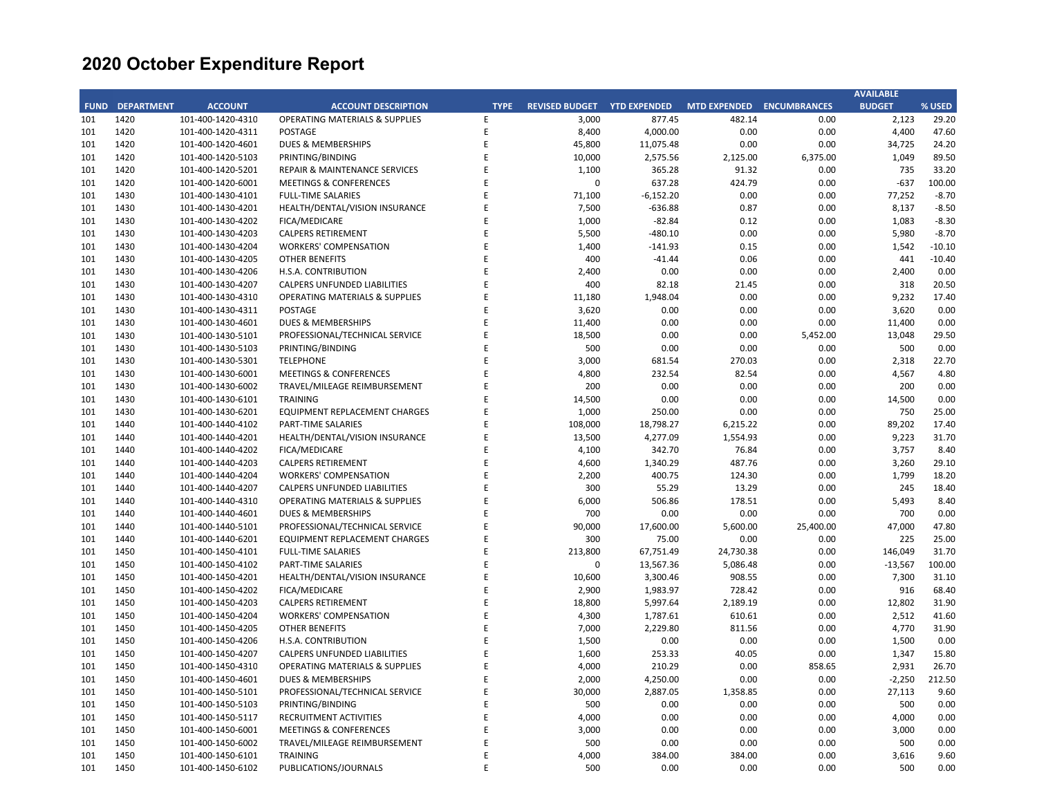|             |                   |                   |                                           |             |                       |                     |                           |           | <b>AVAILABLE</b> |          |
|-------------|-------------------|-------------------|-------------------------------------------|-------------|-----------------------|---------------------|---------------------------|-----------|------------------|----------|
| <b>FUND</b> | <b>DEPARTMENT</b> | <b>ACCOUNT</b>    | <b>ACCOUNT DESCRIPTION</b>                | <b>TYPE</b> | <b>REVISED BUDGET</b> | <b>YTD EXPENDED</b> | MTD EXPENDED ENCUMBRANCES |           | <b>BUDGET</b>    | % USED   |
| 101         | 1420              | 101-400-1420-4310 | <b>OPERATING MATERIALS &amp; SUPPLIES</b> | E           | 3,000                 | 877.45              | 482.14                    | 0.00      | 2,123            | 29.20    |
| 101         | 1420              | 101-400-1420-4311 | <b>POSTAGE</b>                            | E           | 8,400                 | 4,000.00            | 0.00                      | 0.00      | 4,400            | 47.60    |
| 101         | 1420              | 101-400-1420-4601 | <b>DUES &amp; MEMBERSHIPS</b>             | Е           | 45,800                | 11,075.48           | 0.00                      | 0.00      | 34,725           | 24.20    |
| 101         | 1420              | 101-400-1420-5103 | PRINTING/BINDING                          | E           | 10,000                | 2,575.56            | 2,125.00                  | 6,375.00  | 1,049            | 89.50    |
| 101         | 1420              | 101-400-1420-5201 | REPAIR & MAINTENANCE SERVICES             | E           | 1,100                 | 365.28              | 91.32                     | 0.00      | 735              | 33.20    |
| 101         | 1420              | 101-400-1420-6001 | <b>MEETINGS &amp; CONFERENCES</b>         | E           | 0                     | 637.28              | 424.79                    | 0.00      | $-637$           | 100.00   |
| 101         | 1430              | 101-400-1430-4101 | <b>FULL-TIME SALARIES</b>                 | E           | 71,100                | $-6,152.20$         | 0.00                      | 0.00      | 77,252           | $-8.70$  |
| 101         | 1430              | 101-400-1430-4201 | HEALTH/DENTAL/VISION INSURANCE            | E           | 7,500                 | $-636.88$           | 0.87                      | 0.00      | 8,137            | $-8.50$  |
| 101         | 1430              | 101-400-1430-4202 | FICA/MEDICARE                             | E           | 1,000                 | $-82.84$            | 0.12                      | 0.00      | 1,083            | $-8.30$  |
| 101         | 1430              | 101-400-1430-4203 | <b>CALPERS RETIREMENT</b>                 | E           | 5,500                 | $-480.10$           | 0.00                      | 0.00      | 5,980            | $-8.70$  |
| 101         | 1430              | 101-400-1430-4204 | <b>WORKERS' COMPENSATION</b>              | E           | 1,400                 | $-141.93$           | 0.15                      | 0.00      | 1,542            | $-10.10$ |
| 101         | 1430              | 101-400-1430-4205 | OTHER BENEFITS                            | E           | 400                   | $-41.44$            | 0.06                      | 0.00      | 441              | $-10.40$ |
| 101         | 1430              | 101-400-1430-4206 | H.S.A. CONTRIBUTION                       | E           | 2,400                 | 0.00                | 0.00                      | 0.00      | 2,400            | 0.00     |
| 101         | 1430              | 101-400-1430-4207 | <b>CALPERS UNFUNDED LIABILITIES</b>       | E           | 400                   | 82.18               | 21.45                     | 0.00      | 318              | 20.50    |
| 101         | 1430              | 101-400-1430-4310 | <b>OPERATING MATERIALS &amp; SUPPLIES</b> | E           | 11,180                | 1,948.04            | 0.00                      | 0.00      | 9,232            | 17.40    |
| 101         | 1430              | 101-400-1430-4311 | <b>POSTAGE</b>                            | E           | 3,620                 | 0.00                | 0.00                      | 0.00      | 3,620            | 0.00     |
| 101         | 1430              | 101-400-1430-4601 | <b>DUES &amp; MEMBERSHIPS</b>             | E           | 11,400                | 0.00                | 0.00                      | 0.00      | 11,400           | 0.00     |
| 101         | 1430              | 101-400-1430-5101 | PROFESSIONAL/TECHNICAL SERVICE            | E           | 18,500                | 0.00                | 0.00                      | 5,452.00  | 13,048           | 29.50    |
| 101         | 1430              | 101-400-1430-5103 | PRINTING/BINDING                          | E           | 500                   | 0.00                | 0.00                      | 0.00      | 500              | 0.00     |
| 101         | 1430              | 101-400-1430-5301 | <b>TELEPHONE</b>                          | E           | 3,000                 | 681.54              | 270.03                    | 0.00      | 2,318            | 22.70    |
|             |                   |                   |                                           | E           |                       |                     |                           |           |                  | 4.80     |
| 101         | 1430              | 101-400-1430-6001 | <b>MEETINGS &amp; CONFERENCES</b>         | E           | 4,800                 | 232.54              | 82.54                     | 0.00      | 4,567            |          |
| 101         | 1430              | 101-400-1430-6002 | TRAVEL/MILEAGE REIMBURSEMENT              |             | 200                   | 0.00                | 0.00                      | 0.00      | 200              | 0.00     |
| 101         | 1430              | 101-400-1430-6101 | <b>TRAINING</b>                           | E           | 14,500                | 0.00                | 0.00                      | 0.00      | 14,500           | 0.00     |
| 101         | 1430              | 101-400-1430-6201 | EQUIPMENT REPLACEMENT CHARGES             | E           | 1,000                 | 250.00              | 0.00                      | 0.00      | 750              | 25.00    |
| 101         | 1440              | 101-400-1440-4102 | PART-TIME SALARIES                        | E           | 108,000               | 18,798.27           | 6,215.22                  | 0.00      | 89,202           | 17.40    |
| 101         | 1440              | 101-400-1440-4201 | HEALTH/DENTAL/VISION INSURANCE            | E           | 13,500                | 4,277.09            | 1,554.93                  | 0.00      | 9,223            | 31.70    |
| 101         | 1440              | 101-400-1440-4202 | FICA/MEDICARE                             | E           | 4,100                 | 342.70              | 76.84                     | 0.00      | 3,757            | 8.40     |
| 101         | 1440              | 101-400-1440-4203 | <b>CALPERS RETIREMENT</b>                 | E           | 4,600                 | 1,340.29            | 487.76                    | 0.00      | 3,260            | 29.10    |
| 101         | 1440              | 101-400-1440-4204 | <b>WORKERS' COMPENSATION</b>              | E           | 2,200                 | 400.75              | 124.30                    | 0.00      | 1,799            | 18.20    |
| 101         | 1440              | 101-400-1440-4207 | <b>CALPERS UNFUNDED LIABILITIES</b>       | E           | 300                   | 55.29               | 13.29                     | 0.00      | 245              | 18.40    |
| 101         | 1440              | 101-400-1440-4310 | <b>OPERATING MATERIALS &amp; SUPPLIES</b> | E           | 6,000                 | 506.86              | 178.51                    | 0.00      | 5,493            | 8.40     |
| 101         | 1440              | 101-400-1440-4601 | <b>DUES &amp; MEMBERSHIPS</b>             | E           | 700                   | 0.00                | 0.00                      | 0.00      | 700              | 0.00     |
| 101         | 1440              | 101-400-1440-5101 | PROFESSIONAL/TECHNICAL SERVICE            | E           | 90,000                | 17,600.00           | 5,600.00                  | 25,400.00 | 47,000           | 47.80    |
| 101         | 1440              | 101-400-1440-6201 | EQUIPMENT REPLACEMENT CHARGES             | E           | 300                   | 75.00               | 0.00                      | 0.00      | 225              | 25.00    |
| 101         | 1450              | 101-400-1450-4101 | <b>FULL-TIME SALARIES</b>                 | E           | 213,800               | 67,751.49           | 24,730.38                 | 0.00      | 146,049          | 31.70    |
| 101         | 1450              | 101-400-1450-4102 | PART-TIME SALARIES                        | E           | 0                     | 13,567.36           | 5,086.48                  | 0.00      | $-13,567$        | 100.00   |
| 101         | 1450              | 101-400-1450-4201 | HEALTH/DENTAL/VISION INSURANCE            | E           | 10,600                | 3,300.46            | 908.55                    | 0.00      | 7,300            | 31.10    |
| 101         | 1450              | 101-400-1450-4202 | FICA/MEDICARE                             | E           | 2,900                 | 1,983.97            | 728.42                    | 0.00      | 916              | 68.40    |
| 101         | 1450              | 101-400-1450-4203 | <b>CALPERS RETIREMENT</b>                 | E           | 18,800                | 5,997.64            | 2,189.19                  | 0.00      | 12,802           | 31.90    |
| 101         | 1450              | 101-400-1450-4204 | <b>WORKERS' COMPENSATION</b>              | E           | 4,300                 | 1,787.61            | 610.61                    | 0.00      | 2,512            | 41.60    |
| 101         | 1450              | 101-400-1450-4205 | OTHER BENEFITS                            | E           | 7,000                 | 2,229.80            | 811.56                    | 0.00      | 4,770            | 31.90    |
| 101         | 1450              | 101-400-1450-4206 | H.S.A. CONTRIBUTION                       | E           | 1,500                 | 0.00                | 0.00                      | 0.00      | 1,500            | 0.00     |
| 101         | 1450              | 101-400-1450-4207 | CALPERS UNFUNDED LIABILITIES              | E           | 1,600                 | 253.33              | 40.05                     | 0.00      | 1,347            | 15.80    |
| 101         | 1450              | 101-400-1450-4310 | <b>OPERATING MATERIALS &amp; SUPPLIES</b> | E           | 4,000                 | 210.29              | 0.00                      | 858.65    | 2,931            | 26.70    |
| 101         | 1450              | 101-400-1450-4601 | <b>DUES &amp; MEMBERSHIPS</b>             | E           | 2,000                 | 4,250.00            | 0.00                      | 0.00      | $-2,250$         | 212.50   |
| 101         | 1450              | 101-400-1450-5101 | PROFESSIONAL/TECHNICAL SERVICE            | E           | 30,000                | 2,887.05            | 1,358.85                  | 0.00      | 27,113           | 9.60     |
| 101         | 1450              | 101-400-1450-5103 | PRINTING/BINDING                          | E           | 500                   | 0.00                | 0.00                      | 0.00      | 500              | 0.00     |
| 101         | 1450              | 101-400-1450-5117 | RECRUITMENT ACTIVITIES                    | E           | 4,000                 | 0.00                | 0.00                      | 0.00      | 4,000            | 0.00     |
| 101         | 1450              | 101-400-1450-6001 | <b>MEETINGS &amp; CONFERENCES</b>         | E           | 3,000                 | 0.00                | 0.00                      | 0.00      | 3,000            | 0.00     |
| 101         | 1450              | 101-400-1450-6002 | TRAVEL/MILEAGE REIMBURSEMENT              | E           | 500                   | 0.00                | 0.00                      | 0.00      | 500              | 0.00     |
| 101         | 1450              | 101-400-1450-6101 | <b>TRAINING</b>                           | E           | 4,000                 | 384.00              | 384.00                    | 0.00      | 3,616            | 9.60     |
| 101         | 1450              | 101-400-1450-6102 | PUBLICATIONS/JOURNALS                     | F           | 500                   | 0.00                | 0.00                      | 0.00      | 500              | 0.00     |
|             |                   |                   |                                           |             |                       |                     |                           |           |                  |          |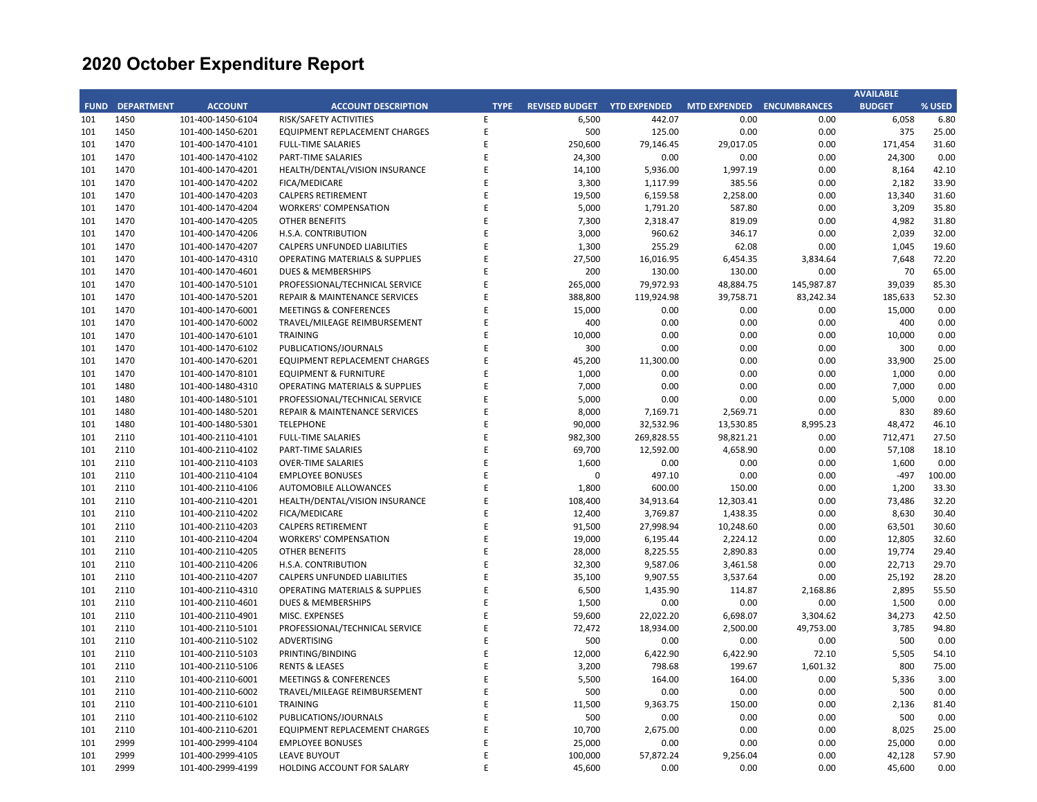|             |                   |                   |                                           |             |                       |                     |                     |                     | <b>AVAILABLE</b> |        |
|-------------|-------------------|-------------------|-------------------------------------------|-------------|-----------------------|---------------------|---------------------|---------------------|------------------|--------|
| <b>FUND</b> | <b>DEPARTMENT</b> | <b>ACCOUNT</b>    | <b>ACCOUNT DESCRIPTION</b>                | <b>TYPE</b> | <b>REVISED BUDGET</b> | <b>YTD EXPENDED</b> | <b>MTD EXPENDED</b> | <b>ENCUMBRANCES</b> | <b>BUDGET</b>    | % USED |
| 101         | 1450              | 101-400-1450-6104 | RISK/SAFETY ACTIVITIES                    | E           | 6,500                 | 442.07              | 0.00                | 0.00                | 6,058            | 6.80   |
| 101         | 1450              | 101-400-1450-6201 | EQUIPMENT REPLACEMENT CHARGES             | E           | 500                   | 125.00              | 0.00                | 0.00                | 375              | 25.00  |
| 101         | 1470              | 101-400-1470-4101 | <b>FULL-TIME SALARIES</b>                 | E           | 250,600               | 79,146.45           | 29,017.05           | 0.00                | 171,454          | 31.60  |
| 101         | 1470              | 101-400-1470-4102 | PART-TIME SALARIES                        | E           | 24,300                | 0.00                | 0.00                | 0.00                | 24,300           | 0.00   |
| 101         | 1470              | 101-400-1470-4201 | HEALTH/DENTAL/VISION INSURANCE            | E           | 14,100                | 5,936.00            | 1,997.19            | 0.00                | 8,164            | 42.10  |
| 101         | 1470              | 101-400-1470-4202 | FICA/MEDICARE                             | E           | 3,300                 | 1,117.99            | 385.56              | 0.00                | 2,182            | 33.90  |
| 101         | 1470              | 101-400-1470-4203 | <b>CALPERS RETIREMENT</b>                 | E           | 19,500                | 6,159.58            | 2,258.00            | 0.00                | 13,340           | 31.60  |
| 101         | 1470              | 101-400-1470-4204 | <b>WORKERS' COMPENSATION</b>              | E           | 5,000                 | 1,791.20            | 587.80              | 0.00                | 3,209            | 35.80  |
| 101         | 1470              | 101-400-1470-4205 | <b>OTHER BENEFITS</b>                     | E           | 7,300                 | 2,318.47            | 819.09              | 0.00                | 4,982            | 31.80  |
| 101         | 1470              | 101-400-1470-4206 | H.S.A. CONTRIBUTION                       | E           | 3,000                 | 960.62              | 346.17              | 0.00                | 2,039            | 32.00  |
| 101         | 1470              | 101-400-1470-4207 | CALPERS UNFUNDED LIABILITIES              | E           | 1,300                 | 255.29              | 62.08               | 0.00                | 1,045            | 19.60  |
| 101         | 1470              | 101-400-1470-4310 | <b>OPERATING MATERIALS &amp; SUPPLIES</b> | E           | 27,500                | 16,016.95           | 6,454.35            | 3,834.64            | 7,648            | 72.20  |
| 101         | 1470              | 101-400-1470-4601 | <b>DUES &amp; MEMBERSHIPS</b>             | E           | 200                   | 130.00              | 130.00              | 0.00                | 70               | 65.00  |
| 101         | 1470              | 101-400-1470-5101 | PROFESSIONAL/TECHNICAL SERVICE            | E           | 265,000               | 79,972.93           | 48,884.75           | 145,987.87          | 39,039           | 85.30  |
| 101         | 1470              | 101-400-1470-5201 | REPAIR & MAINTENANCE SERVICES             | E           | 388,800               | 119,924.98          | 39,758.71           | 83,242.34           | 185,633          | 52.30  |
| 101         | 1470              | 101-400-1470-6001 | <b>MEETINGS &amp; CONFERENCES</b>         | E           | 15,000                | 0.00                | 0.00                | 0.00                | 15,000           | 0.00   |
| 101         | 1470              | 101-400-1470-6002 | TRAVEL/MILEAGE REIMBURSEMENT              | E           | 400                   | 0.00                | 0.00                | 0.00                | 400              | 0.00   |
| 101         | 1470              | 101-400-1470-6101 | <b>TRAINING</b>                           | E           | 10,000                | 0.00                | 0.00                | 0.00                | 10,000           | 0.00   |
| 101         | 1470              | 101-400-1470-6102 | PUBLICATIONS/JOURNALS                     | E           | 300                   | 0.00                | 0.00                | 0.00                | 300              | 0.00   |
| 101         | 1470              | 101-400-1470-6201 | EQUIPMENT REPLACEMENT CHARGES             | E           | 45,200                | 11,300.00           | 0.00                | 0.00                | 33,900           | 25.00  |
| 101         | 1470              | 101-400-1470-8101 |                                           | E           | 1,000                 | 0.00                | 0.00                | 0.00                | 1,000            | 0.00   |
|             |                   |                   | <b>EQUIPMENT &amp; FURNITURE</b>          | E           |                       |                     |                     |                     |                  | 0.00   |
| 101         | 1480              | 101-400-1480-4310 | <b>OPERATING MATERIALS &amp; SUPPLIES</b> |             | 7,000                 | 0.00                | 0.00                | 0.00                | 7,000            |        |
| 101         | 1480              | 101-400-1480-5101 | PROFESSIONAL/TECHNICAL SERVICE            | E<br>E      | 5,000                 | 0.00                | 0.00                | 0.00                | 5,000            | 0.00   |
| 101         | 1480              | 101-400-1480-5201 | REPAIR & MAINTENANCE SERVICES             |             | 8,000                 | 7,169.71            | 2,569.71            | 0.00                | 830              | 89.60  |
| 101         | 1480              | 101-400-1480-5301 | <b>TELEPHONE</b>                          | E           | 90,000                | 32,532.96           | 13,530.85           | 8,995.23            | 48,472           | 46.10  |
| 101         | 2110              | 101-400-2110-4101 | <b>FULL-TIME SALARIES</b>                 | E           | 982,300               | 269,828.55          | 98,821.21           | 0.00                | 712,471          | 27.50  |
| 101         | 2110              | 101-400-2110-4102 | PART-TIME SALARIES                        | E           | 69,700                | 12,592.00           | 4,658.90            | 0.00                | 57,108           | 18.10  |
| 101         | 2110              | 101-400-2110-4103 | <b>OVER-TIME SALARIES</b>                 | E           | 1,600                 | 0.00                | 0.00                | 0.00                | 1,600            | 0.00   |
| 101         | 2110              | 101-400-2110-4104 | <b>EMPLOYEE BONUSES</b>                   | E           | $\mathbf 0$           | 497.10              | 0.00                | 0.00                | $-497$           | 100.00 |
| 101         | 2110              | 101-400-2110-4106 | AUTOMOBILE ALLOWANCES                     | E           | 1,800                 | 600.00              | 150.00              | 0.00                | 1,200            | 33.30  |
| 101         | 2110              | 101-400-2110-4201 | HEALTH/DENTAL/VISION INSURANCE            | E           | 108,400               | 34,913.64           | 12,303.41           | 0.00                | 73,486           | 32.20  |
| 101         | 2110              | 101-400-2110-4202 | FICA/MEDICARE                             | E           | 12,400                | 3,769.87            | 1,438.35            | 0.00                | 8,630            | 30.40  |
| 101         | 2110              | 101-400-2110-4203 | <b>CALPERS RETIREMENT</b>                 | E           | 91,500                | 27,998.94           | 10,248.60           | 0.00                | 63,501           | 30.60  |
| 101         | 2110              | 101-400-2110-4204 | <b>WORKERS' COMPENSATION</b>              | E           | 19,000                | 6,195.44            | 2,224.12            | 0.00                | 12,805           | 32.60  |
| 101         | 2110              | 101-400-2110-4205 | <b>OTHER BENEFITS</b>                     | E           | 28,000                | 8,225.55            | 2,890.83            | 0.00                | 19,774           | 29.40  |
| 101         | 2110              | 101-400-2110-4206 | H.S.A. CONTRIBUTION                       | E           | 32,300                | 9,587.06            | 3,461.58            | 0.00                | 22,713           | 29.70  |
| 101         | 2110              | 101-400-2110-4207 | CALPERS UNFUNDED LIABILITIES              | E           | 35,100                | 9,907.55            | 3,537.64            | 0.00                | 25,192           | 28.20  |
| 101         | 2110              | 101-400-2110-4310 | <b>OPERATING MATERIALS &amp; SUPPLIES</b> | E           | 6,500                 | 1,435.90            | 114.87              | 2,168.86            | 2,895            | 55.50  |
| 101         | 2110              | 101-400-2110-4601 | DUES & MEMBERSHIPS                        | E           | 1,500                 | 0.00                | 0.00                | 0.00                | 1,500            | 0.00   |
| 101         | 2110              | 101-400-2110-4901 | MISC. EXPENSES                            | E           | 59,600                | 22,022.20           | 6,698.07            | 3,304.62            | 34,273           | 42.50  |
| 101         | 2110              | 101-400-2110-5101 | PROFESSIONAL/TECHNICAL SERVICE            | E           | 72,472                | 18,934.00           | 2,500.00            | 49,753.00           | 3,785            | 94.80  |
| 101         | 2110              | 101-400-2110-5102 | <b>ADVERTISING</b>                        | E           | 500                   | 0.00                | 0.00                | 0.00                | 500              | 0.00   |
| 101         | 2110              | 101-400-2110-5103 | PRINTING/BINDING                          | E           | 12,000                | 6,422.90            | 6,422.90            | 72.10               | 5,505            | 54.10  |
| 101         | 2110              | 101-400-2110-5106 | <b>RENTS &amp; LEASES</b>                 | E           | 3,200                 | 798.68              | 199.67              | 1,601.32            | 800              | 75.00  |
| 101         | 2110              | 101-400-2110-6001 | <b>MEETINGS &amp; CONFERENCES</b>         | E           | 5,500                 | 164.00              | 164.00              | 0.00                | 5,336            | 3.00   |
| 101         | 2110              | 101-400-2110-6002 | TRAVEL/MILEAGE REIMBURSEMENT              | E           | 500                   | 0.00                | 0.00                | 0.00                | 500              | 0.00   |
| 101         | 2110              | 101-400-2110-6101 | <b>TRAINING</b>                           | E           | 11,500                | 9,363.75            | 150.00              | 0.00                | 2,136            | 81.40  |
| 101         | 2110              | 101-400-2110-6102 | PUBLICATIONS/JOURNALS                     | E           | 500                   | 0.00                | 0.00                | 0.00                | 500              | 0.00   |
| 101         | 2110              | 101-400-2110-6201 | EQUIPMENT REPLACEMENT CHARGES             | E           | 10,700                | 2,675.00            | 0.00                | 0.00                | 8,025            | 25.00  |
| 101         | 2999              | 101-400-2999-4104 | <b>EMPLOYEE BONUSES</b>                   | E           | 25,000                | 0.00                | 0.00                | 0.00                | 25,000           | 0.00   |
| 101         | 2999              | 101-400-2999-4105 | <b>LEAVE BUYOUT</b>                       | E           | 100,000               | 57,872.24           | 9,256.04            | 0.00                | 42,128           | 57.90  |
| 101         | 2999              | 101-400-2999-4199 | HOLDING ACCOUNT FOR SALARY                | F           | 45,600                | 0.00                | 0.00                | 0.00                | 45,600           | 0.00   |
|             |                   |                   |                                           |             |                       |                     |                     |                     |                  |        |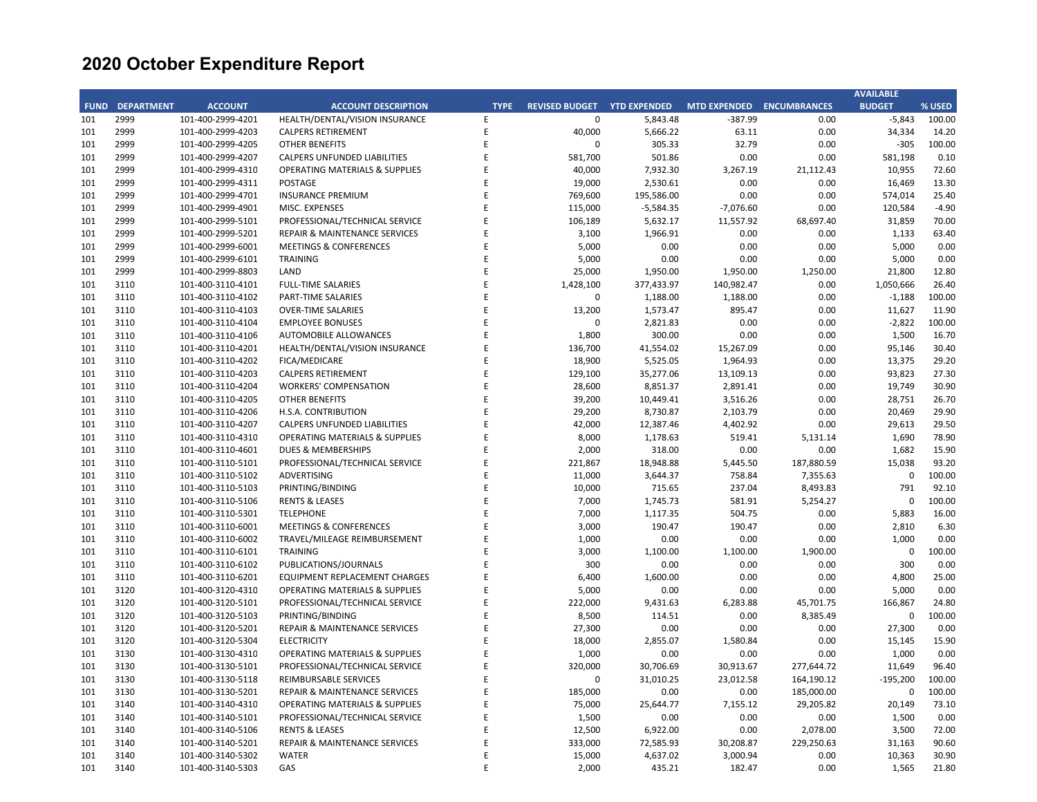|             |                   |                   |                                           |             |                       |                     |                           |            | <b>AVAILABLE</b> |         |
|-------------|-------------------|-------------------|-------------------------------------------|-------------|-----------------------|---------------------|---------------------------|------------|------------------|---------|
| <b>FUND</b> | <b>DEPARTMENT</b> | <b>ACCOUNT</b>    | <b>ACCOUNT DESCRIPTION</b>                | <b>TYPE</b> | <b>REVISED BUDGET</b> | <b>YTD EXPENDED</b> | MTD EXPENDED ENCUMBRANCES |            | <b>BUDGET</b>    | % USED  |
| 101         | 2999              | 101-400-2999-4201 | HEALTH/DENTAL/VISION INSURANCE            | E           | $\mathbf 0$           | 5,843.48            | -387.99                   | 0.00       | $-5,843$         | 100.00  |
| 101         | 2999              | 101-400-2999-4203 | <b>CALPERS RETIREMENT</b>                 | E           | 40,000                | 5,666.22            | 63.11                     | 0.00       | 34,334           | 14.20   |
| 101         | 2999              | 101-400-2999-4205 | <b>OTHER BENEFITS</b>                     | E           | $\mathbf 0$           | 305.33              | 32.79                     | 0.00       | $-305$           | 100.00  |
| 101         | 2999              | 101-400-2999-4207 | CALPERS UNFUNDED LIABILITIES              | E           | 581,700               | 501.86              | 0.00                      | 0.00       | 581,198          | 0.10    |
| 101         | 2999              | 101-400-2999-4310 | <b>OPERATING MATERIALS &amp; SUPPLIES</b> | E           | 40,000                | 7,932.30            | 3,267.19                  | 21,112.43  | 10,955           | 72.60   |
| 101         | 2999              | 101-400-2999-4311 | <b>POSTAGE</b>                            | E           | 19,000                | 2,530.61            | 0.00                      | 0.00       | 16,469           | 13.30   |
| 101         | 2999              | 101-400-2999-4701 | <b>INSURANCE PREMIUM</b>                  | E           | 769,600               | 195,586.00          | 0.00                      | 0.00       | 574,014          | 25.40   |
| 101         | 2999              | 101-400-2999-4901 | MISC. EXPENSES                            | E           | 115,000               | $-5,584.35$         | $-7,076.60$               | 0.00       | 120,584          | $-4.90$ |
| 101         | 2999              | 101-400-2999-5101 | PROFESSIONAL/TECHNICAL SERVICE            | E           | 106,189               | 5,632.17            | 11,557.92                 | 68,697.40  | 31,859           | 70.00   |
| 101         | 2999              | 101-400-2999-5201 | <b>REPAIR &amp; MAINTENANCE SERVICES</b>  | E           | 3,100                 | 1,966.91            | 0.00                      | 0.00       | 1,133            | 63.40   |
| 101         | 2999              | 101-400-2999-6001 | <b>MEETINGS &amp; CONFERENCES</b>         | E           | 5,000                 | 0.00                | 0.00                      | 0.00       | 5,000            | 0.00    |
| 101         | 2999              | 101-400-2999-6101 | <b>TRAINING</b>                           | E           | 5,000                 | 0.00                | 0.00                      | 0.00       | 5,000            | 0.00    |
| 101         | 2999              | 101-400-2999-8803 | LAND                                      | E           | 25,000                | 1,950.00            | 1,950.00                  | 1,250.00   | 21,800           | 12.80   |
| 101         | 3110              | 101-400-3110-4101 | <b>FULL-TIME SALARIES</b>                 | E           | 1,428,100             | 377,433.97          | 140,982.47                | 0.00       | 1,050,666        | 26.40   |
| 101         | 3110              | 101-400-3110-4102 | PART-TIME SALARIES                        | E           | $\mathbf 0$           | 1,188.00            | 1,188.00                  | 0.00       | $-1,188$         | 100.00  |
| 101         | 3110              | 101-400-3110-4103 | <b>OVER-TIME SALARIES</b>                 | E           | 13,200                | 1,573.47            | 895.47                    | 0.00       | 11,627           | 11.90   |
| 101         | 3110              | 101-400-3110-4104 | <b>EMPLOYEE BONUSES</b>                   | E           | 0                     | 2,821.83            | 0.00                      | 0.00       | $-2,822$         | 100.00  |
| 101         | 3110              | 101-400-3110-4106 | AUTOMOBILE ALLOWANCES                     | E           | 1,800                 | 300.00              | 0.00                      | 0.00       | 1,500            | 16.70   |
| 101         | 3110              |                   |                                           | E           | 136,700               |                     |                           | 0.00       |                  | 30.40   |
|             |                   | 101-400-3110-4201 | HEALTH/DENTAL/VISION INSURANCE            |             |                       | 41,554.02           | 15,267.09                 |            | 95,146           |         |
| 101         | 3110              | 101-400-3110-4202 | FICA/MEDICARE                             | E           | 18,900                | 5,525.05            | 1,964.93                  | 0.00       | 13,375           | 29.20   |
| 101         | 3110              | 101-400-3110-4203 | <b>CALPERS RETIREMENT</b>                 | E           | 129,100               | 35,277.06           | 13,109.13                 | 0.00       | 93,823           | 27.30   |
| 101         | 3110              | 101-400-3110-4204 | <b>WORKERS' COMPENSATION</b>              | E           | 28,600                | 8,851.37            | 2,891.41                  | 0.00       | 19,749           | 30.90   |
| 101         | 3110              | 101-400-3110-4205 | <b>OTHER BENEFITS</b>                     | E           | 39,200                | 10,449.41           | 3,516.26                  | 0.00       | 28,751           | 26.70   |
| 101         | 3110              | 101-400-3110-4206 | H.S.A. CONTRIBUTION                       | E           | 29,200                | 8,730.87            | 2,103.79                  | 0.00       | 20,469           | 29.90   |
| 101         | 3110              | 101-400-3110-4207 | CALPERS UNFUNDED LIABILITIES              | E           | 42,000                | 12,387.46           | 4,402.92                  | 0.00       | 29,613           | 29.50   |
| 101         | 3110              | 101-400-3110-4310 | <b>OPERATING MATERIALS &amp; SUPPLIES</b> | E           | 8,000                 | 1,178.63            | 519.41                    | 5,131.14   | 1,690            | 78.90   |
| 101         | 3110              | 101-400-3110-4601 | DUES & MEMBERSHIPS                        | E           | 2,000                 | 318.00              | 0.00                      | 0.00       | 1,682            | 15.90   |
| 101         | 3110              | 101-400-3110-5101 | PROFESSIONAL/TECHNICAL SERVICE            | E           | 221,867               | 18,948.88           | 5,445.50                  | 187,880.59 | 15,038           | 93.20   |
| 101         | 3110              | 101-400-3110-5102 | ADVERTISING                               | E           | 11,000                | 3,644.37            | 758.84                    | 7,355.63   | 0                | 100.00  |
| 101         | 3110              | 101-400-3110-5103 | PRINTING/BINDING                          | E           | 10,000                | 715.65              | 237.04                    | 8,493.83   | 791              | 92.10   |
| 101         | 3110              | 101-400-3110-5106 | <b>RENTS &amp; LEASES</b>                 | E           | 7,000                 | 1,745.73            | 581.91                    | 5,254.27   | $\mathbf 0$      | 100.00  |
| 101         | 3110              | 101-400-3110-5301 | <b>TELEPHONE</b>                          | E           | 7,000                 | 1,117.35            | 504.75                    | 0.00       | 5,883            | 16.00   |
| 101         | 3110              | 101-400-3110-6001 | <b>MEETINGS &amp; CONFERENCES</b>         | E           | 3,000                 | 190.47              | 190.47                    | 0.00       | 2,810            | 6.30    |
| 101         | 3110              | 101-400-3110-6002 | TRAVEL/MILEAGE REIMBURSEMENT              | E           | 1,000                 | 0.00                | 0.00                      | 0.00       | 1,000            | 0.00    |
| 101         | 3110              | 101-400-3110-6101 | <b>TRAINING</b>                           | E           | 3,000                 | 1,100.00            | 1,100.00                  | 1,900.00   | $\mathbf 0$      | 100.00  |
| 101         | 3110              | 101-400-3110-6102 | PUBLICATIONS/JOURNALS                     | E           | 300                   | 0.00                | 0.00                      | 0.00       | 300              | 0.00    |
| 101         | 3110              | 101-400-3110-6201 | EQUIPMENT REPLACEMENT CHARGES             | E           | 6,400                 | 1,600.00            | 0.00                      | 0.00       | 4,800            | 25.00   |
| 101         | 3120              | 101-400-3120-4310 | <b>OPERATING MATERIALS &amp; SUPPLIES</b> | E           | 5,000                 | 0.00                | 0.00                      | 0.00       | 5,000            | 0.00    |
| 101         | 3120              | 101-400-3120-5101 | PROFESSIONAL/TECHNICAL SERVICE            | E           | 222,000               | 9,431.63            | 6,283.88                  | 45,701.75  | 166,867          | 24.80   |
| 101         | 3120              | 101-400-3120-5103 | PRINTING/BINDING                          | E           | 8,500                 | 114.51              | 0.00                      | 8,385.49   | $\mathbf 0$      | 100.00  |
| 101         | 3120              | 101-400-3120-5201 | REPAIR & MAINTENANCE SERVICES             | E           | 27,300                | 0.00                | 0.00                      | 0.00       | 27,300           | 0.00    |
| 101         | 3120              | 101-400-3120-5304 | <b>ELECTRICITY</b>                        | E           | 18,000                | 2,855.07            | 1,580.84                  | 0.00       | 15,145           | 15.90   |
| 101         | 3130              | 101-400-3130-4310 | <b>OPERATING MATERIALS &amp; SUPPLIES</b> | E           | 1,000                 | 0.00                | 0.00                      | 0.00       | 1,000            | 0.00    |
| 101         | 3130              | 101-400-3130-5101 | PROFESSIONAL/TECHNICAL SERVICE            | E           | 320,000               | 30,706.69           | 30,913.67                 | 277,644.72 | 11,649           | 96.40   |
| 101         | 3130              | 101-400-3130-5118 | REIMBURSABLE SERVICES                     | E           | 0                     | 31,010.25           | 23,012.58                 | 164,190.12 | $-195,200$       | 100.00  |
| 101         | 3130              | 101-400-3130-5201 | REPAIR & MAINTENANCE SERVICES             | E           | 185,000               | 0.00                | 0.00                      | 185,000.00 | 0                | 100.00  |
| 101         | 3140              | 101-400-3140-4310 | <b>OPERATING MATERIALS &amp; SUPPLIES</b> | E           | 75,000                | 25,644.77           | 7,155.12                  | 29,205.82  | 20,149           | 73.10   |
| 101         | 3140              | 101-400-3140-5101 | PROFESSIONAL/TECHNICAL SERVICE            | E           | 1,500                 | 0.00                | 0.00                      | 0.00       | 1,500            | 0.00    |
| 101         | 3140              | 101-400-3140-5106 | <b>RENTS &amp; LEASES</b>                 | E           | 12,500                | 6,922.00            | 0.00                      | 2,078.00   | 3,500            | 72.00   |
| 101         | 3140              | 101-400-3140-5201 | REPAIR & MAINTENANCE SERVICES             | E           | 333,000               | 72,585.93           | 30,208.87                 | 229,250.63 | 31,163           | 90.60   |
| 101         | 3140              | 101-400-3140-5302 | <b>WATER</b>                              | E           | 15,000                | 4,637.02            | 3,000.94                  | 0.00       | 10,363           | 30.90   |
| 101         | 3140              | 101-400-3140-5303 | GAS                                       | E           | 2,000                 | 435.21              | 182.47                    | 0.00       | 1,565            | 21.80   |
|             |                   |                   |                                           |             |                       |                     |                           |            |                  |         |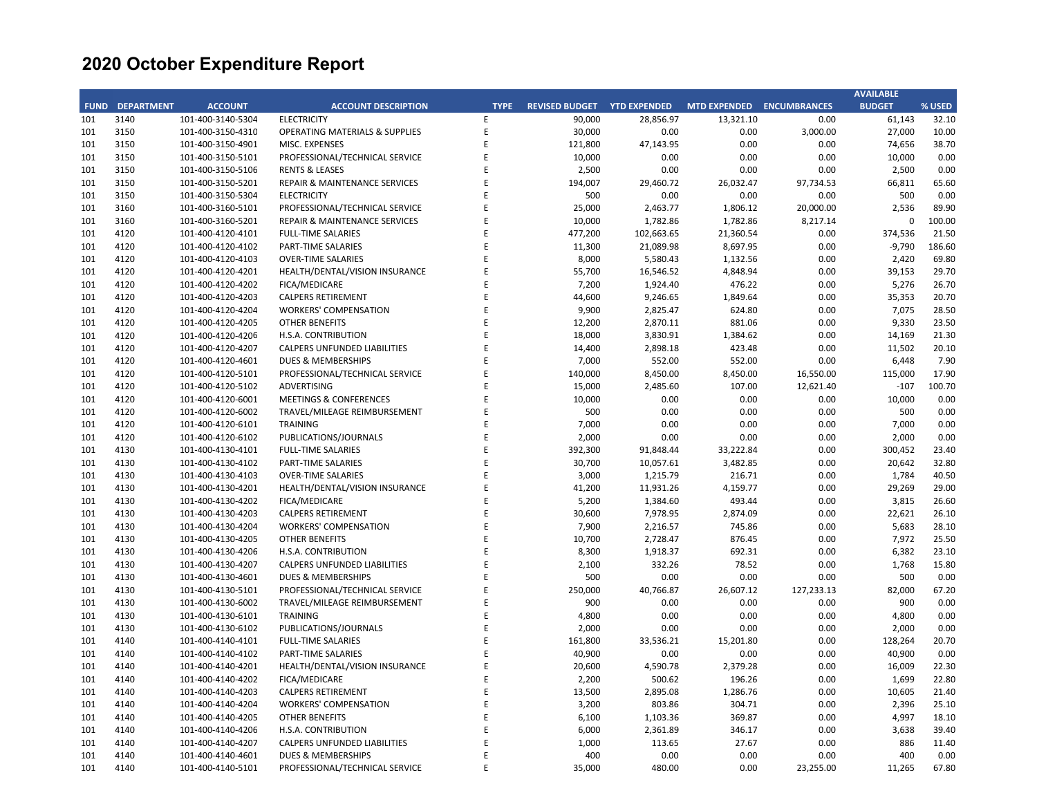|             |                   |                   |                                     |             |                       |                     |                           |            | <b>AVAILABLE</b> |        |
|-------------|-------------------|-------------------|-------------------------------------|-------------|-----------------------|---------------------|---------------------------|------------|------------------|--------|
| <b>FUND</b> | <b>DEPARTMENT</b> | <b>ACCOUNT</b>    | <b>ACCOUNT DESCRIPTION</b>          | <b>TYPE</b> | <b>REVISED BUDGET</b> | <b>YTD EXPENDED</b> | MTD EXPENDED ENCUMBRANCES |            | <b>BUDGET</b>    | % USED |
| 101         | 3140              | 101-400-3140-5304 | <b>ELECTRICITY</b>                  | E           | 90,000                | 28,856.97           | 13,321.10                 | 0.00       | 61,143           | 32.10  |
| 101         | 3150              | 101-400-3150-4310 | OPERATING MATERIALS & SUPPLIES      | E           | 30,000                | 0.00                | 0.00                      | 3,000.00   | 27,000           | 10.00  |
| 101         | 3150              | 101-400-3150-4901 | MISC. EXPENSES                      | E           | 121,800               | 47,143.95           | 0.00                      | 0.00       | 74,656           | 38.70  |
| 101         | 3150              | 101-400-3150-5101 | PROFESSIONAL/TECHNICAL SERVICE      | E           | 10,000                | 0.00                | 0.00                      | 0.00       | 10,000           | 0.00   |
| 101         | 3150              | 101-400-3150-5106 | <b>RENTS &amp; LEASES</b>           | E           | 2,500                 | 0.00                | 0.00                      | 0.00       | 2,500            | 0.00   |
| 101         | 3150              | 101-400-3150-5201 | REPAIR & MAINTENANCE SERVICES       | E           | 194,007               | 29,460.72           | 26,032.47                 | 97,734.53  | 66,811           | 65.60  |
| 101         | 3150              | 101-400-3150-5304 | <b>ELECTRICITY</b>                  | E           | 500                   | 0.00                | 0.00                      | 0.00       | 500              | 0.00   |
| 101         | 3160              | 101-400-3160-5101 | PROFESSIONAL/TECHNICAL SERVICE      | E           | 25,000                | 2,463.77            | 1,806.12                  | 20,000.00  | 2,536            | 89.90  |
| 101         | 3160              | 101-400-3160-5201 | REPAIR & MAINTENANCE SERVICES       | E           | 10,000                | 1,782.86            | 1,782.86                  | 8,217.14   | $\mathbf 0$      | 100.00 |
| 101         | 4120              | 101-400-4120-4101 | <b>FULL-TIME SALARIES</b>           | E           | 477,200               | 102,663.65          | 21,360.54                 | 0.00       | 374,536          | 21.50  |
| 101         | 4120              | 101-400-4120-4102 | PART-TIME SALARIES                  | E           | 11,300                | 21,089.98           | 8,697.95                  | 0.00       | $-9,790$         | 186.60 |
| 101         | 4120              | 101-400-4120-4103 | <b>OVER-TIME SALARIES</b>           | E           | 8,000                 | 5,580.43            | 1,132.56                  | 0.00       | 2,420            | 69.80  |
| 101         | 4120              | 101-400-4120-4201 | HEALTH/DENTAL/VISION INSURANCE      | E           | 55,700                | 16,546.52           | 4,848.94                  | 0.00       | 39,153           | 29.70  |
| 101         | 4120              | 101-400-4120-4202 | FICA/MEDICARE                       | E           | 7,200                 | 1,924.40            | 476.22                    | 0.00       | 5,276            | 26.70  |
| 101         | 4120              | 101-400-4120-4203 | <b>CALPERS RETIREMENT</b>           | E           | 44,600                | 9,246.65            | 1,849.64                  | 0.00       | 35,353           | 20.70  |
| 101         | 4120              | 101-400-4120-4204 | <b>WORKERS' COMPENSATION</b>        | E           | 9,900                 | 2,825.47            | 624.80                    | 0.00       | 7,075            | 28.50  |
| 101         | 4120              | 101-400-4120-4205 | <b>OTHER BENEFITS</b>               | E           | 12,200                | 2,870.11            | 881.06                    | 0.00       | 9,330            | 23.50  |
| 101         | 4120              | 101-400-4120-4206 | H.S.A. CONTRIBUTION                 | E           | 18,000                | 3,830.91            | 1,384.62                  | 0.00       | 14,169           | 21.30  |
| 101         | 4120              | 101-400-4120-4207 | <b>CALPERS UNFUNDED LIABILITIES</b> | E           | 14,400                | 2,898.18            | 423.48                    | 0.00       | 11,502           | 20.10  |
| 101         | 4120              | 101-400-4120-4601 | DUES & MEMBERSHIPS                  | E           | 7,000                 | 552.00              | 552.00                    | 0.00       | 6,448            | 7.90   |
| 101         | 4120              | 101-400-4120-5101 | PROFESSIONAL/TECHNICAL SERVICE      | E           |                       | 8,450.00            | 8,450.00                  | 16,550.00  | 115,000          | 17.90  |
|             |                   |                   |                                     | E           | 140,000               |                     |                           |            |                  |        |
| 101         | 4120              | 101-400-4120-5102 | <b>ADVERTISING</b>                  | E           | 15,000                | 2,485.60            | 107.00                    | 12,621.40  | $-107$           | 100.70 |
| 101         | 4120              | 101-400-4120-6001 | <b>MEETINGS &amp; CONFERENCES</b>   | E           | 10,000                | 0.00                | 0.00                      | 0.00       | 10,000           | 0.00   |
| 101         | 4120              | 101-400-4120-6002 | TRAVEL/MILEAGE REIMBURSEMENT        |             | 500                   | 0.00                | 0.00                      | 0.00       | 500              | 0.00   |
| 101         | 4120              | 101-400-4120-6101 | <b>TRAINING</b>                     | E           | 7,000                 | 0.00                | 0.00                      | 0.00       | 7,000            | 0.00   |
| 101         | 4120              | 101-400-4120-6102 | PUBLICATIONS/JOURNALS               | E           | 2,000                 | 0.00                | 0.00                      | 0.00       | 2,000            | 0.00   |
| 101         | 4130              | 101-400-4130-4101 | <b>FULL-TIME SALARIES</b>           | E           | 392,300               | 91,848.44           | 33,222.84                 | 0.00       | 300,452          | 23.40  |
| 101         | 4130              | 101-400-4130-4102 | PART-TIME SALARIES                  | E           | 30,700                | 10,057.61           | 3,482.85                  | 0.00       | 20,642           | 32.80  |
| 101         | 4130              | 101-400-4130-4103 | <b>OVER-TIME SALARIES</b>           | E           | 3,000                 | 1,215.79            | 216.71                    | 0.00       | 1,784            | 40.50  |
| 101         | 4130              | 101-400-4130-4201 | HEALTH/DENTAL/VISION INSURANCE      | E           | 41,200                | 11,931.26           | 4,159.77                  | 0.00       | 29,269           | 29.00  |
| 101         | 4130              | 101-400-4130-4202 | FICA/MEDICARE                       | E           | 5,200                 | 1,384.60            | 493.44                    | 0.00       | 3,815            | 26.60  |
| 101         | 4130              | 101-400-4130-4203 | <b>CALPERS RETIREMENT</b>           | E           | 30,600                | 7,978.95            | 2,874.09                  | 0.00       | 22,621           | 26.10  |
| 101         | 4130              | 101-400-4130-4204 | <b>WORKERS' COMPENSATION</b>        | E           | 7,900                 | 2,216.57            | 745.86                    | 0.00       | 5,683            | 28.10  |
| 101         | 4130              | 101-400-4130-4205 | <b>OTHER BENEFITS</b>               | E           | 10,700                | 2,728.47            | 876.45                    | 0.00       | 7,972            | 25.50  |
| 101         | 4130              | 101-400-4130-4206 | H.S.A. CONTRIBUTION                 | E           | 8,300                 | 1,918.37            | 692.31                    | 0.00       | 6,382            | 23.10  |
| 101         | 4130              | 101-400-4130-4207 | CALPERS UNFUNDED LIABILITIES        | E           | 2,100                 | 332.26              | 78.52                     | 0.00       | 1,768            | 15.80  |
| 101         | 4130              | 101-400-4130-4601 | <b>DUES &amp; MEMBERSHIPS</b>       | E           | 500                   | 0.00                | 0.00                      | 0.00       | 500              | 0.00   |
| 101         | 4130              | 101-400-4130-5101 | PROFESSIONAL/TECHNICAL SERVICE      | E           | 250,000               | 40,766.87           | 26,607.12                 | 127,233.13 | 82,000           | 67.20  |
| 101         | 4130              | 101-400-4130-6002 | TRAVEL/MILEAGE REIMBURSEMENT        | E           | 900                   | 0.00                | 0.00                      | 0.00       | 900              | 0.00   |
| 101         | 4130              | 101-400-4130-6101 | <b>TRAINING</b>                     | E           | 4,800                 | 0.00                | 0.00                      | 0.00       | 4,800            | 0.00   |
| 101         | 4130              | 101-400-4130-6102 | PUBLICATIONS/JOURNALS               | E           | 2,000                 | 0.00                | 0.00                      | 0.00       | 2,000            | 0.00   |
| 101         | 4140              | 101-400-4140-4101 | <b>FULL-TIME SALARIES</b>           | E           | 161,800               | 33,536.21           | 15,201.80                 | 0.00       | 128,264          | 20.70  |
| 101         | 4140              | 101-400-4140-4102 | PART-TIME SALARIES                  | E           | 40,900                | 0.00                | 0.00                      | 0.00       | 40,900           | 0.00   |
| 101         | 4140              | 101-400-4140-4201 | HEALTH/DENTAL/VISION INSURANCE      | E           | 20,600                | 4,590.78            | 2,379.28                  | 0.00       | 16,009           | 22.30  |
| 101         | 4140              | 101-400-4140-4202 | FICA/MEDICARE                       | E           | 2,200                 | 500.62              | 196.26                    | 0.00       | 1,699            | 22.80  |
| 101         | 4140              | 101-400-4140-4203 | <b>CALPERS RETIREMENT</b>           | E           | 13,500                | 2,895.08            | 1,286.76                  | 0.00       | 10,605           | 21.40  |
| 101         | 4140              | 101-400-4140-4204 | <b>WORKERS' COMPENSATION</b>        | Е           | 3,200                 | 803.86              | 304.71                    | 0.00       | 2,396            | 25.10  |
| 101         | 4140              | 101-400-4140-4205 | <b>OTHER BENEFITS</b>               | E           | 6,100                 | 1,103.36            | 369.87                    | 0.00       | 4,997            | 18.10  |
| 101         | 4140              | 101-400-4140-4206 | H.S.A. CONTRIBUTION                 | E           | 6,000                 | 2,361.89            | 346.17                    | 0.00       | 3,638            | 39.40  |
| 101         | 4140              | 101-400-4140-4207 | <b>CALPERS UNFUNDED LIABILITIES</b> | E           | 1,000                 | 113.65              | 27.67                     | 0.00       | 886              | 11.40  |
| 101         | 4140              | 101-400-4140-4601 | <b>DUES &amp; MEMBERSHIPS</b>       | E           | 400                   | 0.00                | 0.00                      | 0.00       | 400              | 0.00   |
| 101         | 4140              | 101-400-4140-5101 | PROFESSIONAL/TECHNICAL SERVICE      | F           | 35,000                | 480.00              | 0.00                      | 23,255.00  | 11,265           | 67.80  |
|             |                   |                   |                                     |             |                       |                     |                           |            |                  |        |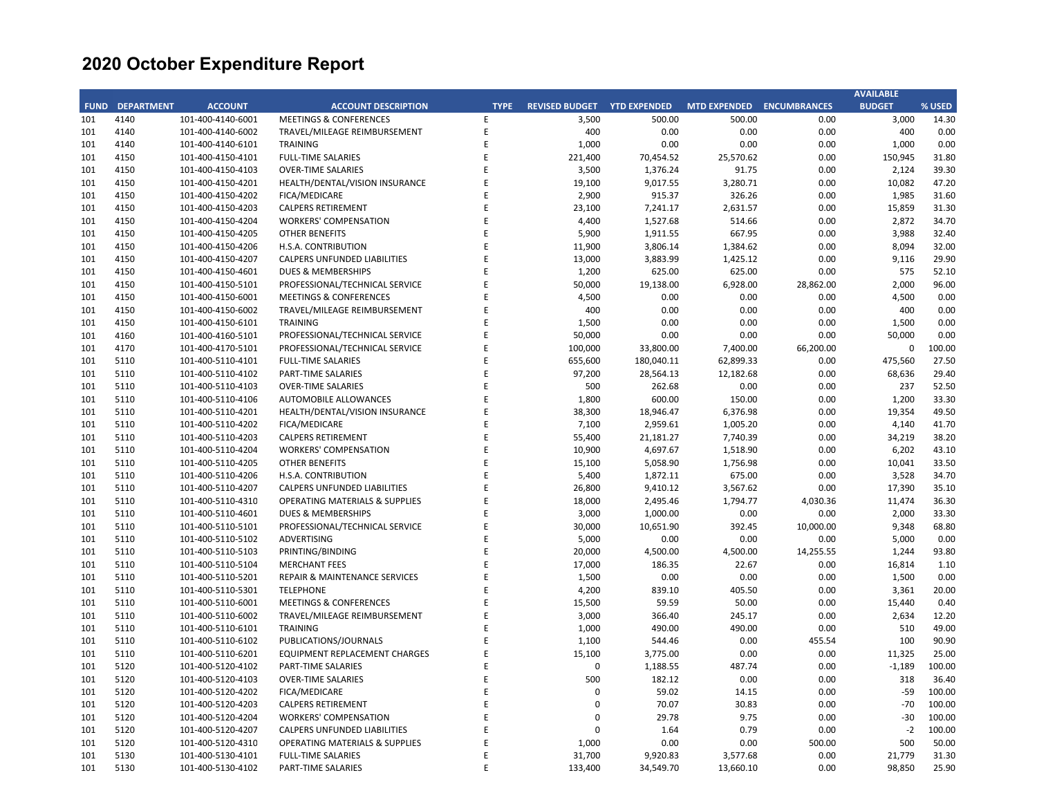|             |                   |                   |                                           |             |                       |                     |                           |           | <b>AVAILABLE</b> |        |
|-------------|-------------------|-------------------|-------------------------------------------|-------------|-----------------------|---------------------|---------------------------|-----------|------------------|--------|
| <b>FUND</b> | <b>DEPARTMENT</b> | <b>ACCOUNT</b>    | <b>ACCOUNT DESCRIPTION</b>                | <b>TYPE</b> | <b>REVISED BUDGET</b> | <b>YTD EXPENDED</b> | MTD EXPENDED ENCUMBRANCES |           | <b>BUDGET</b>    | % USED |
| 101         | 4140              | 101-400-4140-6001 | <b>MEETINGS &amp; CONFERENCES</b>         | E           | 3,500                 | 500.00              | 500.00                    | 0.00      | 3,000            | 14.30  |
| 101         | 4140              | 101-400-4140-6002 | TRAVEL/MILEAGE REIMBURSEMENT              | E           | 400                   | 0.00                | 0.00                      | 0.00      | 400              | 0.00   |
| 101         | 4140              | 101-400-4140-6101 | <b>TRAINING</b>                           | E           | 1,000                 | 0.00                | 0.00                      | 0.00      | 1,000            | 0.00   |
| 101         | 4150              | 101-400-4150-4101 | <b>FULL-TIME SALARIES</b>                 | E           | 221,400               | 70,454.52           | 25,570.62                 | 0.00      | 150,945          | 31.80  |
| 101         | 4150              | 101-400-4150-4103 | <b>OVER-TIME SALARIES</b>                 | E           | 3,500                 | 1,376.24            | 91.75                     | 0.00      | 2,124            | 39.30  |
| 101         | 4150              | 101-400-4150-4201 | HEALTH/DENTAL/VISION INSURANCE            | E           | 19,100                | 9,017.55            | 3,280.71                  | 0.00      | 10,082           | 47.20  |
| 101         | 4150              | 101-400-4150-4202 | FICA/MEDICARE                             | E           | 2,900                 | 915.37              | 326.26                    | 0.00      | 1,985            | 31.60  |
| 101         | 4150              | 101-400-4150-4203 | <b>CALPERS RETIREMENT</b>                 | E           | 23,100                | 7,241.17            | 2,631.57                  | 0.00      | 15,859           | 31.30  |
| 101         | 4150              | 101-400-4150-4204 | <b>WORKERS' COMPENSATION</b>              | E           | 4,400                 | 1,527.68            | 514.66                    | 0.00      | 2,872            | 34.70  |
| 101         | 4150              | 101-400-4150-4205 | <b>OTHER BENEFITS</b>                     | E           | 5,900                 | 1,911.55            | 667.95                    | 0.00      | 3,988            | 32.40  |
| 101         | 4150              | 101-400-4150-4206 | H.S.A. CONTRIBUTION                       | E           | 11,900                | 3,806.14            | 1,384.62                  | 0.00      | 8,094            | 32.00  |
| 101         | 4150              | 101-400-4150-4207 | CALPERS UNFUNDED LIABILITIES              | E           | 13,000                | 3,883.99            | 1,425.12                  | 0.00      | 9,116            | 29.90  |
| 101         | 4150              | 101-400-4150-4601 | <b>DUES &amp; MEMBERSHIPS</b>             | E           | 1,200                 | 625.00              | 625.00                    | 0.00      | 575              | 52.10  |
| 101         | 4150              | 101-400-4150-5101 | PROFESSIONAL/TECHNICAL SERVICE            | E           | 50,000                | 19,138.00           | 6,928.00                  | 28,862.00 | 2,000            | 96.00  |
| 101         | 4150              | 101-400-4150-6001 | <b>MEETINGS &amp; CONFERENCES</b>         | E           | 4,500                 | 0.00                | 0.00                      | 0.00      | 4,500            | 0.00   |
| 101         | 4150              | 101-400-4150-6002 | TRAVEL/MILEAGE REIMBURSEMENT              | E           | 400                   | 0.00                | 0.00                      | 0.00      | 400              | 0.00   |
| 101         | 4150              | 101-400-4150-6101 | <b>TRAINING</b>                           | E           | 1,500                 | 0.00                | 0.00                      | 0.00      | 1,500            | 0.00   |
| 101         | 4160              | 101-400-4160-5101 | PROFESSIONAL/TECHNICAL SERVICE            | E           | 50,000                | 0.00                | 0.00                      | 0.00      | 50,000           | 0.00   |
| 101         | 4170              | 101-400-4170-5101 | PROFESSIONAL/TECHNICAL SERVICE            | E           | 100,000               | 33,800.00           | 7,400.00                  | 66,200.00 | 0                | 100.00 |
| 101         | 5110              | 101-400-5110-4101 | <b>FULL-TIME SALARIES</b>                 | E           | 655,600               | 180,040.11          | 62,899.33                 | 0.00      | 475,560          | 27.50  |
| 101         | 5110              | 101-400-5110-4102 | PART-TIME SALARIES                        | E           | 97,200                | 28,564.13           | 12,182.68                 | 0.00      | 68,636           | 29.40  |
| 101         | 5110              | 101-400-5110-4103 | <b>OVER-TIME SALARIES</b>                 | E           | 500                   | 262.68              | 0.00                      | 0.00      | 237              | 52.50  |
| 101         | 5110              | 101-400-5110-4106 | AUTOMOBILE ALLOWANCES                     | E           | 1,800                 | 600.00              | 150.00                    | 0.00      | 1,200            | 33.30  |
| 101         | 5110              | 101-400-5110-4201 | HEALTH/DENTAL/VISION INSURANCE            | E           | 38,300                | 18,946.47           | 6,376.98                  | 0.00      | 19,354           | 49.50  |
| 101         | 5110              | 101-400-5110-4202 | FICA/MEDICARE                             | E           | 7,100                 | 2,959.61            | 1,005.20                  | 0.00      | 4,140            | 41.70  |
| 101         | 5110              | 101-400-5110-4203 | <b>CALPERS RETIREMENT</b>                 | E           | 55,400                | 21,181.27           | 7,740.39                  | 0.00      | 34,219           | 38.20  |
| 101         | 5110              | 101-400-5110-4204 | <b>WORKERS' COMPENSATION</b>              | E           | 10,900                | 4,697.67            | 1,518.90                  | 0.00      | 6,202            | 43.10  |
| 101         | 5110              | 101-400-5110-4205 | <b>OTHER BENEFITS</b>                     | E           | 15,100                | 5,058.90            | 1,756.98                  | 0.00      | 10,041           | 33.50  |
| 101         | 5110              | 101-400-5110-4206 | H.S.A. CONTRIBUTION                       | E           | 5,400                 | 1,872.11            | 675.00                    | 0.00      | 3,528            | 34.70  |
| 101         | 5110              | 101-400-5110-4207 | CALPERS UNFUNDED LIABILITIES              | E           | 26,800                | 9,410.12            | 3,567.62                  | 0.00      | 17,390           | 35.10  |
| 101         | 5110              | 101-400-5110-4310 | <b>OPERATING MATERIALS &amp; SUPPLIES</b> | E           | 18,000                | 2,495.46            | 1,794.77                  | 4,030.36  | 11,474           | 36.30  |
| 101         | 5110              | 101-400-5110-4601 | DUES & MEMBERSHIPS                        | E           | 3,000                 | 1,000.00            | 0.00                      | 0.00      | 2,000            | 33.30  |
| 101         | 5110              | 101-400-5110-5101 | PROFESSIONAL/TECHNICAL SERVICE            | E           | 30,000                | 10,651.90           | 392.45                    | 10,000.00 | 9,348            | 68.80  |
| 101         | 5110              | 101-400-5110-5102 | ADVERTISING                               | E           | 5,000                 | 0.00                | 0.00                      | 0.00      | 5,000            | 0.00   |
| 101         | 5110              | 101-400-5110-5103 | PRINTING/BINDING                          | E           | 20,000                | 4,500.00            | 4,500.00                  | 14,255.55 | 1,244            | 93.80  |
| 101         | 5110              | 101-400-5110-5104 | <b>MERCHANT FEES</b>                      | E           | 17,000                | 186.35              | 22.67                     | 0.00      | 16,814           | 1.10   |
| 101         | 5110              | 101-400-5110-5201 | REPAIR & MAINTENANCE SERVICES             | E           | 1,500                 | 0.00                | 0.00                      | 0.00      | 1,500            | 0.00   |
| 101         | 5110              | 101-400-5110-5301 | <b>TELEPHONE</b>                          | E           | 4,200                 | 839.10              | 405.50                    | 0.00      | 3,361            | 20.00  |
| 101         | 5110              | 101-400-5110-6001 | <b>MEETINGS &amp; CONFERENCES</b>         | E           | 15,500                | 59.59               | 50.00                     | 0.00      | 15,440           | 0.40   |
| 101         | 5110              | 101-400-5110-6002 | TRAVEL/MILEAGE REIMBURSEMENT              | E           | 3,000                 | 366.40              | 245.17                    | 0.00      | 2,634            | 12.20  |
| 101         | 5110              | 101-400-5110-6101 | <b>TRAINING</b>                           | E           | 1,000                 | 490.00              | 490.00                    | 0.00      | 510              | 49.00  |
| 101         | 5110              | 101-400-5110-6102 | PUBLICATIONS/JOURNALS                     | E           | 1,100                 | 544.46              | 0.00                      | 455.54    | 100              | 90.90  |
| 101         | 5110              | 101-400-5110-6201 | EQUIPMENT REPLACEMENT CHARGES             | E           | 15,100                | 3,775.00            | 0.00                      | 0.00      | 11,325           | 25.00  |
| 101         | 5120              | 101-400-5120-4102 | PART-TIME SALARIES                        | E           | $\mathbf 0$           | 1,188.55            | 487.74                    | 0.00      | $-1,189$         | 100.00 |
| 101         | 5120              | 101-400-5120-4103 | <b>OVER-TIME SALARIES</b>                 | E           | 500                   | 182.12              | 0.00                      | 0.00      | 318              | 36.40  |
| 101         | 5120              | 101-400-5120-4202 | FICA/MEDICARE                             | E           | 0                     | 59.02               | 14.15                     | 0.00      | $-59$            | 100.00 |
| 101         | 5120              | 101-400-5120-4203 | <b>CALPERS RETIREMENT</b>                 | E           | $\mathbf 0$           | 70.07               | 30.83                     | 0.00      | $-70$            | 100.00 |
| 101         | 5120              | 101-400-5120-4204 | <b>WORKERS' COMPENSATION</b>              | E           | 0                     | 29.78               | 9.75                      | 0.00      | $-30$            | 100.00 |
| 101         | 5120              | 101-400-5120-4207 | CALPERS UNFUNDED LIABILITIES              | E           | 0                     | 1.64                | 0.79                      | 0.00      | $-2$             | 100.00 |
| 101         | 5120              | 101-400-5120-4310 | <b>OPERATING MATERIALS &amp; SUPPLIES</b> | E           | 1,000                 | 0.00                | 0.00                      | 500.00    | 500              | 50.00  |
| 101         | 5130              | 101-400-5130-4101 | <b>FULL-TIME SALARIES</b>                 | E           | 31,700                | 9,920.83            | 3,577.68                  | 0.00      | 21,779           | 31.30  |
| 101         | 5130              | 101-400-5130-4102 | PART-TIME SALARIES                        | F           | 133,400               | 34,549.70           | 13,660.10                 | 0.00      | 98,850           | 25.90  |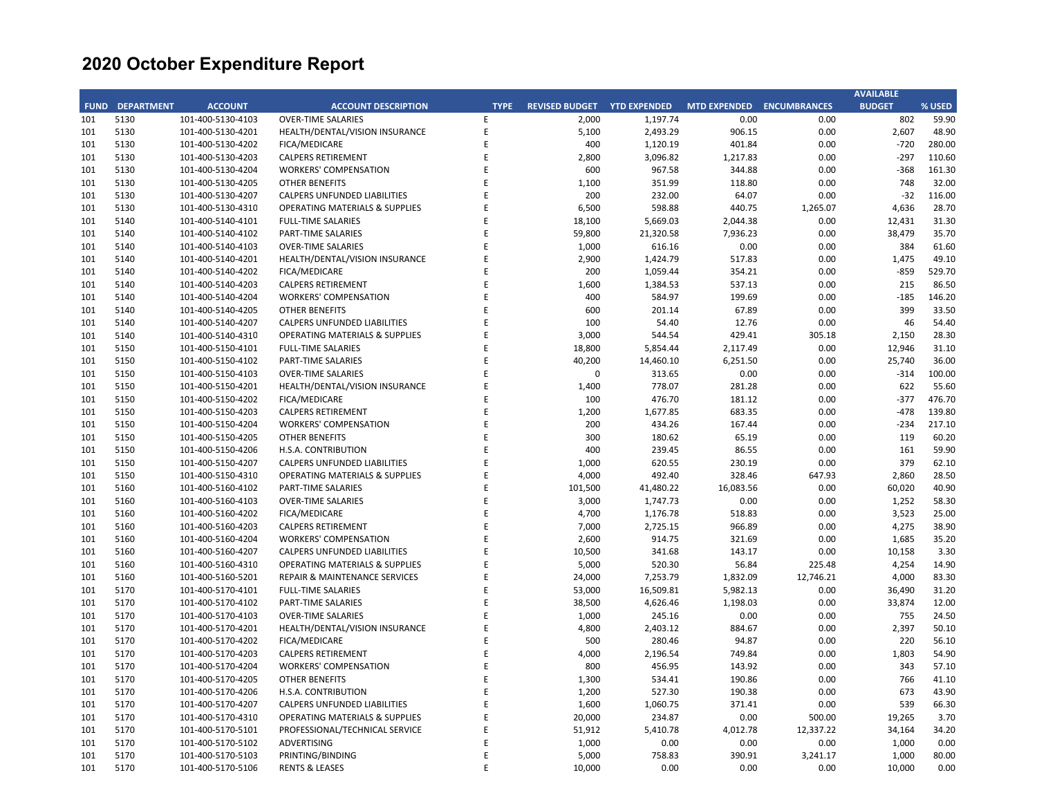|             |                   |                   |                                           |             |                       |                     |                           |           | <b>AVAILABLE</b> |        |
|-------------|-------------------|-------------------|-------------------------------------------|-------------|-----------------------|---------------------|---------------------------|-----------|------------------|--------|
| <b>FUND</b> | <b>DEPARTMENT</b> | <b>ACCOUNT</b>    | <b>ACCOUNT DESCRIPTION</b>                | <b>TYPE</b> | <b>REVISED BUDGET</b> | <b>YTD EXPENDED</b> | MTD EXPENDED ENCUMBRANCES |           | <b>BUDGET</b>    | % USED |
| 101         | 5130              | 101-400-5130-4103 | <b>OVER-TIME SALARIES</b>                 | E           | 2,000                 | 1,197.74            | 0.00                      | 0.00      | 802              | 59.90  |
| 101         | 5130              | 101-400-5130-4201 | HEALTH/DENTAL/VISION INSURANCE            | E           | 5,100                 | 2,493.29            | 906.15                    | 0.00      | 2,607            | 48.90  |
| 101         | 5130              | 101-400-5130-4202 | FICA/MEDICARE                             | E           | 400                   | 1,120.19            | 401.84                    | 0.00      | $-720$           | 280.00 |
| 101         | 5130              | 101-400-5130-4203 | <b>CALPERS RETIREMENT</b>                 | E           | 2,800                 | 3,096.82            | 1,217.83                  | 0.00      | $-297$           | 110.60 |
| 101         | 5130              | 101-400-5130-4204 | <b>WORKERS' COMPENSATION</b>              | E           | 600                   | 967.58              | 344.88                    | 0.00      | $-368$           | 161.30 |
| 101         | 5130              | 101-400-5130-4205 | <b>OTHER BENEFITS</b>                     | E           | 1,100                 | 351.99              | 118.80                    | 0.00      | 748              | 32.00  |
| 101         | 5130              | 101-400-5130-4207 | CALPERS UNFUNDED LIABILITIES              | E           | 200                   | 232.00              | 64.07                     | 0.00      | $-32$            | 116.00 |
| 101         | 5130              | 101-400-5130-4310 | <b>OPERATING MATERIALS &amp; SUPPLIES</b> | E           | 6,500                 | 598.88              | 440.75                    | 1,265.07  | 4,636            | 28.70  |
| 101         | 5140              | 101-400-5140-4101 | <b>FULL-TIME SALARIES</b>                 | E           | 18,100                | 5,669.03            | 2,044.38                  | 0.00      | 12,431           | 31.30  |
| 101         | 5140              | 101-400-5140-4102 | PART-TIME SALARIES                        | E           | 59,800                | 21,320.58           | 7,936.23                  | 0.00      | 38,479           | 35.70  |
| 101         | 5140              | 101-400-5140-4103 | <b>OVER-TIME SALARIES</b>                 | E           | 1,000                 | 616.16              | 0.00                      | 0.00      | 384              | 61.60  |
| 101         | 5140              | 101-400-5140-4201 | HEALTH/DENTAL/VISION INSURANCE            | E           | 2,900                 | 1,424.79            | 517.83                    | 0.00      | 1,475            | 49.10  |
| 101         | 5140              | 101-400-5140-4202 | FICA/MEDICARE                             | E           | 200                   | 1,059.44            | 354.21                    | 0.00      | $-859$           | 529.70 |
| 101         | 5140              | 101-400-5140-4203 | <b>CALPERS RETIREMENT</b>                 | E           | 1,600                 | 1,384.53            | 537.13                    | 0.00      | 215              | 86.50  |
| 101         | 5140              | 101-400-5140-4204 | <b>WORKERS' COMPENSATION</b>              | E           | 400                   | 584.97              | 199.69                    | 0.00      | $-185$           | 146.20 |
| 101         | 5140              | 101-400-5140-4205 | OTHER BENEFITS                            | E           | 600                   | 201.14              | 67.89                     | 0.00      | 399              | 33.50  |
| 101         | 5140              | 101-400-5140-4207 | CALPERS UNFUNDED LIABILITIES              | E           | 100                   | 54.40               | 12.76                     | 0.00      | 46               | 54.40  |
| 101         | 5140              | 101-400-5140-4310 | <b>OPERATING MATERIALS &amp; SUPPLIES</b> | E           | 3,000                 | 544.54              | 429.41                    | 305.18    | 2,150            | 28.30  |
| 101         | 5150              | 101-400-5150-4101 | <b>FULL-TIME SALARIES</b>                 | E           | 18,800                | 5,854.44            | 2,117.49                  | 0.00      | 12,946           | 31.10  |
| 101         | 5150              | 101-400-5150-4102 | PART-TIME SALARIES                        | E           | 40,200                | 14,460.10           | 6,251.50                  | 0.00      | 25,740           | 36.00  |
| 101         | 5150              | 101-400-5150-4103 | <b>OVER-TIME SALARIES</b>                 | E           | 0                     | 313.65              | 0.00                      | 0.00      | $-314$           | 100.00 |
| 101         | 5150              | 101-400-5150-4201 | HEALTH/DENTAL/VISION INSURANCE            | E           | 1,400                 | 778.07              | 281.28                    | 0.00      | 622              | 55.60  |
| 101         | 5150              | 101-400-5150-4202 | FICA/MEDICARE                             | E           | 100                   | 476.70              | 181.12                    | 0.00      | $-377$           | 476.70 |
| 101         | 5150              | 101-400-5150-4203 | <b>CALPERS RETIREMENT</b>                 | E           | 1,200                 | 1,677.85            | 683.35                    | 0.00      | $-478$           | 139.80 |
| 101         | 5150              | 101-400-5150-4204 | <b>WORKERS' COMPENSATION</b>              | E           | 200                   | 434.26              | 167.44                    | 0.00      | $-234$           | 217.10 |
| 101         | 5150              | 101-400-5150-4205 | OTHER BENEFITS                            | E           | 300                   | 180.62              | 65.19                     | 0.00      | 119              | 60.20  |
| 101         | 5150              | 101-400-5150-4206 | H.S.A. CONTRIBUTION                       | E           | 400                   | 239.45              | 86.55                     | 0.00      | 161              | 59.90  |
| 101         | 5150              | 101-400-5150-4207 | CALPERS UNFUNDED LIABILITIES              | E           | 1,000                 | 620.55              | 230.19                    | 0.00      | 379              | 62.10  |
| 101         | 5150              | 101-400-5150-4310 | OPERATING MATERIALS & SUPPLIES            | E           | 4,000                 | 492.40              | 328.46                    | 647.93    | 2,860            | 28.50  |
| 101         | 5160              | 101-400-5160-4102 | PART-TIME SALARIES                        | E           | 101,500               | 41,480.22           | 16,083.56                 | 0.00      | 60,020           | 40.90  |
| 101         | 5160              | 101-400-5160-4103 | <b>OVER-TIME SALARIES</b>                 | E           | 3,000                 | 1,747.73            | 0.00                      | 0.00      | 1,252            | 58.30  |
| 101         | 5160              | 101-400-5160-4202 | FICA/MEDICARE                             | E           | 4,700                 | 1,176.78            | 518.83                    | 0.00      | 3,523            | 25.00  |
| 101         | 5160              | 101-400-5160-4203 | <b>CALPERS RETIREMENT</b>                 | E           | 7,000                 | 2,725.15            | 966.89                    | 0.00      | 4,275            | 38.90  |
| 101         | 5160              | 101-400-5160-4204 | <b>WORKERS' COMPENSATION</b>              | E           | 2,600                 | 914.75              | 321.69                    | 0.00      | 1,685            | 35.20  |
| 101         | 5160              | 101-400-5160-4207 | CALPERS UNFUNDED LIABILITIES              | E           | 10,500                | 341.68              | 143.17                    | 0.00      | 10,158           | 3.30   |
| 101         | 5160              | 101-400-5160-4310 | <b>OPERATING MATERIALS &amp; SUPPLIES</b> | E           | 5,000                 | 520.30              | 56.84                     | 225.48    | 4,254            | 14.90  |
| 101         | 5160              | 101-400-5160-5201 | REPAIR & MAINTENANCE SERVICES             | E           | 24,000                | 7,253.79            | 1,832.09                  | 12,746.21 | 4,000            | 83.30  |
| 101         | 5170              | 101-400-5170-4101 | <b>FULL-TIME SALARIES</b>                 | E           | 53,000                | 16,509.81           | 5,982.13                  | 0.00      | 36,490           | 31.20  |
| 101         | 5170              | 101-400-5170-4102 | PART-TIME SALARIES                        | E           | 38,500                | 4,626.46            | 1,198.03                  | 0.00      | 33,874           | 12.00  |
| 101         | 5170              | 101-400-5170-4103 | <b>OVER-TIME SALARIES</b>                 | E           | 1,000                 | 245.16              | 0.00                      | 0.00      | 755              | 24.50  |
| 101         | 5170              | 101-400-5170-4201 | HEALTH/DENTAL/VISION INSURANCE            | E           | 4,800                 | 2,403.12            | 884.67                    | 0.00      | 2,397            | 50.10  |
| 101         | 5170              | 101-400-5170-4202 | FICA/MEDICARE                             | E           | 500                   | 280.46              | 94.87                     | 0.00      | 220              | 56.10  |
| 101         | 5170              | 101-400-5170-4203 | <b>CALPERS RETIREMENT</b>                 | E           | 4,000                 | 2,196.54            | 749.84                    | 0.00      | 1,803            | 54.90  |
| 101         | 5170              | 101-400-5170-4204 | <b>WORKERS' COMPENSATION</b>              | E           | 800                   | 456.95              | 143.92                    | 0.00      | 343              | 57.10  |
| 101         | 5170              | 101-400-5170-4205 | <b>OTHER BENEFITS</b>                     | E           | 1,300                 | 534.41              | 190.86                    | 0.00      | 766              | 41.10  |
| 101         | 5170              | 101-400-5170-4206 | H.S.A. CONTRIBUTION                       | E           | 1,200                 | 527.30              | 190.38                    | 0.00      | 673              | 43.90  |
| 101         | 5170              | 101-400-5170-4207 | CALPERS UNFUNDED LIABILITIES              | E           | 1,600                 | 1,060.75            | 371.41                    | 0.00      | 539              | 66.30  |
| 101         | 5170              | 101-400-5170-4310 | OPERATING MATERIALS & SUPPLIES            | E           | 20,000                | 234.87              | 0.00                      | 500.00    | 19,265           | 3.70   |
| 101         | 5170              | 101-400-5170-5101 | PROFESSIONAL/TECHNICAL SERVICE            | E           | 51,912                | 5,410.78            | 4,012.78                  | 12,337.22 | 34,164           | 34.20  |
| 101         | 5170              | 101-400-5170-5102 | ADVERTISING                               | E           | 1,000                 | 0.00                | 0.00                      | 0.00      | 1,000            | 0.00   |
| 101         | 5170              | 101-400-5170-5103 | PRINTING/BINDING                          | E           | 5,000                 | 758.83              | 390.91                    | 3,241.17  | 1,000            | 80.00  |
| 101         | 5170              | 101-400-5170-5106 | <b>RENTS &amp; LEASES</b>                 | F           | 10,000                | 0.00                | 0.00                      | 0.00      | 10,000           | 0.00   |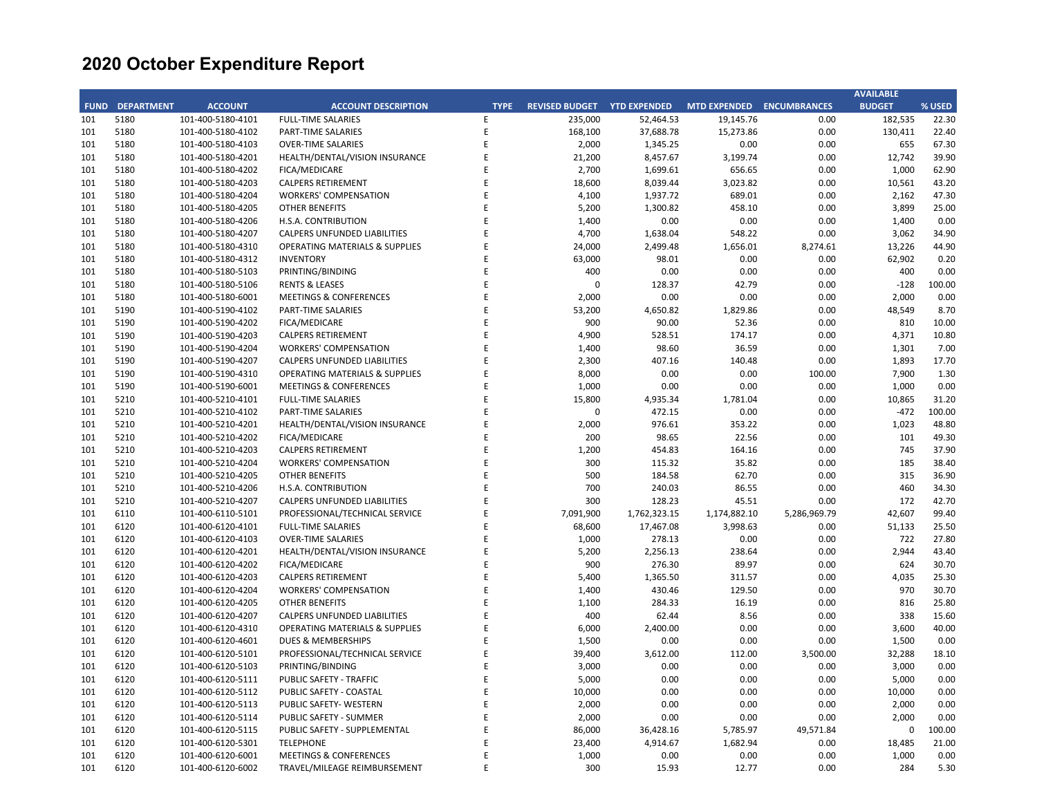|             |                   |                   |                                           |             |                                    |              |                           |              | <b>AVAILABLE</b> |        |
|-------------|-------------------|-------------------|-------------------------------------------|-------------|------------------------------------|--------------|---------------------------|--------------|------------------|--------|
| <b>FUND</b> | <b>DEPARTMENT</b> | <b>ACCOUNT</b>    | <b>ACCOUNT DESCRIPTION</b>                | <b>TYPE</b> | <b>REVISED BUDGET YTD EXPENDED</b> |              | MTD EXPENDED ENCUMBRANCES |              | <b>BUDGET</b>    | % USED |
| 101         | 5180              | 101-400-5180-4101 | <b>FULL-TIME SALARIES</b>                 | E           | 235,000                            | 52,464.53    | 19,145.76                 | 0.00         | 182,535          | 22.30  |
| 101         | 5180              | 101-400-5180-4102 | PART-TIME SALARIES                        | E           | 168,100                            | 37,688.78    | 15,273.86                 | 0.00         | 130,411          | 22.40  |
| 101         | 5180              | 101-400-5180-4103 | <b>OVER-TIME SALARIES</b>                 | E           | 2,000                              | 1,345.25     | 0.00                      | 0.00         | 655              | 67.30  |
| 101         | 5180              | 101-400-5180-4201 | HEALTH/DENTAL/VISION INSURANCE            | E           | 21,200                             | 8,457.67     | 3,199.74                  | 0.00         | 12,742           | 39.90  |
| 101         | 5180              | 101-400-5180-4202 | FICA/MEDICARE                             | E           | 2,700                              | 1,699.61     | 656.65                    | 0.00         | 1,000            | 62.90  |
| 101         | 5180              | 101-400-5180-4203 | <b>CALPERS RETIREMENT</b>                 | E           | 18,600                             | 8,039.44     | 3,023.82                  | 0.00         | 10,561           | 43.20  |
| 101         | 5180              | 101-400-5180-4204 | <b>WORKERS' COMPENSATION</b>              | E           | 4,100                              | 1,937.72     | 689.01                    | 0.00         | 2,162            | 47.30  |
| 101         | 5180              | 101-400-5180-4205 | <b>OTHER BENEFITS</b>                     | E           | 5,200                              | 1,300.82     | 458.10                    | 0.00         | 3,899            | 25.00  |
| 101         | 5180              | 101-400-5180-4206 | H.S.A. CONTRIBUTION                       | E           | 1,400                              | 0.00         | 0.00                      | 0.00         | 1,400            | 0.00   |
| 101         | 5180              | 101-400-5180-4207 | CALPERS UNFUNDED LIABILITIES              | F           | 4,700                              | 1,638.04     | 548.22                    | 0.00         | 3,062            | 34.90  |
| 101         | 5180              | 101-400-5180-4310 | <b>OPERATING MATERIALS &amp; SUPPLIES</b> | E           | 24,000                             | 2,499.48     | 1,656.01                  | 8,274.61     | 13,226           | 44.90  |
| 101         | 5180              | 101-400-5180-4312 | <b>INVENTORY</b>                          | F           | 63,000                             | 98.01        | 0.00                      | 0.00         | 62,902           | 0.20   |
| 101         | 5180              | 101-400-5180-5103 | PRINTING/BINDING                          | E           | 400                                | 0.00         | 0.00                      | 0.00         | 400              | 0.00   |
| 101         | 5180              | 101-400-5180-5106 | <b>RENTS &amp; LEASES</b>                 | E           | $\Omega$                           | 128.37       | 42.79                     | 0.00         | $-128$           | 100.00 |
| 101         | 5180              | 101-400-5180-6001 | <b>MEETINGS &amp; CONFERENCES</b>         | E           | 2,000                              | 0.00         | 0.00                      | 0.00         | 2,000            | 0.00   |
| 101         | 5190              | 101-400-5190-4102 | PART-TIME SALARIES                        | E           | 53,200                             | 4,650.82     | 1,829.86                  | 0.00         | 48,549           | 8.70   |
| 101         | 5190              | 101-400-5190-4202 | FICA/MEDICARE                             | E           | 900                                | 90.00        | 52.36                     | 0.00         | 810              | 10.00  |
| 101         | 5190              | 101-400-5190-4203 | <b>CALPERS RETIREMENT</b>                 | E           | 4,900                              | 528.51       | 174.17                    | 0.00         | 4,371            | 10.80  |
| 101         | 5190              | 101-400-5190-4204 | <b>WORKERS' COMPENSATION</b>              | E           | 1,400                              | 98.60        | 36.59                     | 0.00         | 1,301            | 7.00   |
| 101         | 5190              | 101-400-5190-4207 | CALPERS UNFUNDED LIABILITIES              | E           | 2,300                              | 407.16       | 140.48                    | 0.00         | 1,893            | 17.70  |
| 101         | 5190              | 101-400-5190-4310 |                                           | E           | 8,000                              | 0.00         | 0.00                      | 100.00       | 7,900            | 1.30   |
|             |                   |                   | OPERATING MATERIALS & SUPPLIES            | E           |                                    |              |                           |              |                  |        |
| 101         | 5190              | 101-400-5190-6001 | <b>MEETINGS &amp; CONFERENCES</b>         | E           | 1,000                              | 0.00         | 0.00                      | 0.00         | 1,000            | 0.00   |
| 101         | 5210              | 101-400-5210-4101 | <b>FULL-TIME SALARIES</b>                 | E           | 15,800                             | 4,935.34     | 1,781.04                  | 0.00         | 10,865           | 31.20  |
| 101         | 5210              | 101-400-5210-4102 | PART-TIME SALARIES                        |             | $\Omega$                           | 472.15       | 0.00                      | 0.00         | $-472$           | 100.00 |
| 101         | 5210              | 101-400-5210-4201 | HEALTH/DENTAL/VISION INSURANCE            | E           | 2,000                              | 976.61       | 353.22                    | 0.00         | 1,023            | 48.80  |
| 101         | 5210              | 101-400-5210-4202 | FICA/MEDICARE                             | E           | 200                                | 98.65        | 22.56                     | 0.00         | 101              | 49.30  |
| 101         | 5210              | 101-400-5210-4203 | <b>CALPERS RETIREMENT</b>                 | E           | 1,200                              | 454.83       | 164.16                    | 0.00         | 745              | 37.90  |
| 101         | 5210              | 101-400-5210-4204 | <b>WORKERS' COMPENSATION</b>              | E           | 300                                | 115.32       | 35.82                     | 0.00         | 185              | 38.40  |
| 101         | 5210              | 101-400-5210-4205 | <b>OTHER BENEFITS</b>                     | E           | 500                                | 184.58       | 62.70                     | 0.00         | 315              | 36.90  |
| 101         | 5210              | 101-400-5210-4206 | H.S.A. CONTRIBUTION                       | E           | 700                                | 240.03       | 86.55                     | 0.00         | 460              | 34.30  |
| 101         | 5210              | 101-400-5210-4207 | <b>CALPERS UNFUNDED LIABILITIES</b>       | E           | 300                                | 128.23       | 45.51                     | 0.00         | 172              | 42.70  |
| 101         | 6110              | 101-400-6110-5101 | PROFESSIONAL/TECHNICAL SERVICE            | E           | 7,091,900                          | 1,762,323.15 | 1,174,882.10              | 5,286,969.79 | 42,607           | 99.40  |
| 101         | 6120              | 101-400-6120-4101 | <b>FULL-TIME SALARIES</b>                 | E           | 68,600                             | 17,467.08    | 3,998.63                  | 0.00         | 51,133           | 25.50  |
| 101         | 6120              | 101-400-6120-4103 | <b>OVER-TIME SALARIES</b>                 | E           | 1,000                              | 278.13       | 0.00                      | 0.00         | 722              | 27.80  |
| 101         | 6120              | 101-400-6120-4201 | HEALTH/DENTAL/VISION INSURANCE            | E           | 5,200                              | 2,256.13     | 238.64                    | 0.00         | 2,944            | 43.40  |
| 101         | 6120              | 101-400-6120-4202 | FICA/MEDICARE                             | E           | 900                                | 276.30       | 89.97                     | 0.00         | 624              | 30.70  |
| 101         | 6120              | 101-400-6120-4203 | <b>CALPERS RETIREMENT</b>                 | E           | 5,400                              | 1,365.50     | 311.57                    | 0.00         | 4,035            | 25.30  |
| 101         | 6120              | 101-400-6120-4204 | <b>WORKERS' COMPENSATION</b>              | E           | 1,400                              | 430.46       | 129.50                    | 0.00         | 970              | 30.70  |
| 101         | 6120              | 101-400-6120-4205 | <b>OTHER BENEFITS</b>                     | E           | 1,100                              | 284.33       | 16.19                     | 0.00         | 816              | 25.80  |
| 101         | 6120              | 101-400-6120-4207 | <b>CALPERS UNFUNDED LIABILITIES</b>       | E           | 400                                | 62.44        | 8.56                      | 0.00         | 338              | 15.60  |
| 101         | 6120              | 101-400-6120-4310 | <b>OPERATING MATERIALS &amp; SUPPLIES</b> | E           | 6,000                              | 2,400.00     | 0.00                      | 0.00         | 3,600            | 40.00  |
| 101         | 6120              | 101-400-6120-4601 | DUES & MEMBERSHIPS                        | E           | 1,500                              | 0.00         | 0.00                      | 0.00         | 1,500            | 0.00   |
| 101         | 6120              | 101-400-6120-5101 | PROFESSIONAL/TECHNICAL SERVICE            | E           | 39,400                             | 3,612.00     | 112.00                    | 3,500.00     | 32,288           | 18.10  |
| 101         | 6120              | 101-400-6120-5103 | PRINTING/BINDING                          | E           | 3,000                              | 0.00         | 0.00                      | 0.00         | 3,000            | 0.00   |
| 101         | 6120              | 101-400-6120-5111 | PUBLIC SAFETY - TRAFFIC                   | E           | 5,000                              | 0.00         | 0.00                      | 0.00         | 5,000            | 0.00   |
| 101         | 6120              | 101-400-6120-5112 | PUBLIC SAFETY - COASTAL                   | E           | 10,000                             | 0.00         | 0.00                      | 0.00         | 10,000           | 0.00   |
| 101         | 6120              | 101-400-6120-5113 | PUBLIC SAFETY- WESTERN                    | E           | 2,000                              | 0.00         | 0.00                      | 0.00         | 2,000            | 0.00   |
| 101         | 6120              | 101-400-6120-5114 | PUBLIC SAFETY - SUMMER                    | E           | 2,000                              | 0.00         | 0.00                      | 0.00         | 2,000            | 0.00   |
| 101         | 6120              | 101-400-6120-5115 | PUBLIC SAFETY - SUPPLEMENTAL              | E           | 86,000                             | 36,428.16    | 5,785.97                  | 49,571.84    | 0                | 100.00 |
| 101         | 6120              | 101-400-6120-5301 | <b>TELEPHONE</b>                          | E           | 23,400                             | 4,914.67     | 1,682.94                  | 0.00         | 18,485           | 21.00  |
| 101         | 6120              | 101-400-6120-6001 | <b>MEETINGS &amp; CONFERENCES</b>         | E           | 1,000                              | 0.00         | 0.00                      | 0.00         | 1,000            | 0.00   |
| 101         | 6120              | 101-400-6120-6002 | TRAVEL/MILEAGE REIMBURSEMENT              | F           | 300                                | 15.93        | 12.77                     | 0.00         | 284              | 5.30   |
|             |                   |                   |                                           |             |                                    |              |                           |              |                  |        |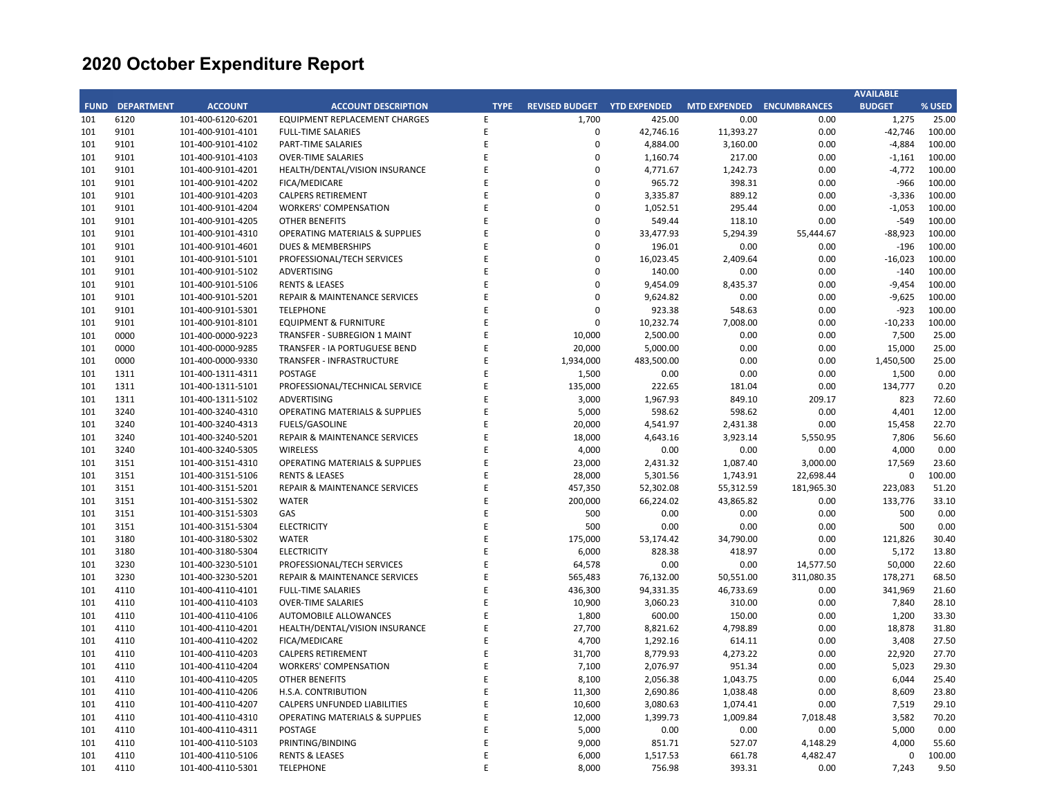|             |                   |                   |                                           |             |                       |                     |                     |                     | <b>AVAILABLE</b> |        |
|-------------|-------------------|-------------------|-------------------------------------------|-------------|-----------------------|---------------------|---------------------|---------------------|------------------|--------|
| <b>FUND</b> | <b>DEPARTMENT</b> | <b>ACCOUNT</b>    | <b>ACCOUNT DESCRIPTION</b>                | <b>TYPE</b> | <b>REVISED BUDGET</b> | <b>YTD EXPENDED</b> | <b>MTD EXPENDED</b> | <b>ENCUMBRANCES</b> | <b>BUDGET</b>    | % USED |
| 101         | 6120              | 101-400-6120-6201 | <b>EQUIPMENT REPLACEMENT CHARGES</b>      | E           | 1,700                 | 425.00              | 0.00                | 0.00                | 1,275            | 25.00  |
| 101         | 9101              | 101-400-9101-4101 | <b>FULL-TIME SALARIES</b>                 | E           | 0                     | 42,746.16           | 11,393.27           | 0.00                | $-42,746$        | 100.00 |
| 101         | 9101              | 101-400-9101-4102 | PART-TIME SALARIES                        | E           | $\mathbf 0$           | 4,884.00            | 3,160.00            | 0.00                | $-4,884$         | 100.00 |
| 101         | 9101              | 101-400-9101-4103 | <b>OVER-TIME SALARIES</b>                 | E           | $\mathbf 0$           | 1,160.74            | 217.00              | 0.00                | $-1,161$         | 100.00 |
| 101         | 9101              | 101-400-9101-4201 | HEALTH/DENTAL/VISION INSURANCE            | E           | 0                     | 4,771.67            | 1,242.73            | 0.00                | $-4,772$         | 100.00 |
| 101         | 9101              | 101-400-9101-4202 | FICA/MEDICARE                             | E           | $\mathbf 0$           | 965.72              | 398.31              | 0.00                | $-966$           | 100.00 |
| 101         | 9101              | 101-400-9101-4203 | <b>CALPERS RETIREMENT</b>                 | E           | 0                     | 3,335.87            | 889.12              | 0.00                | $-3,336$         | 100.00 |
| 101         | 9101              | 101-400-9101-4204 | <b>WORKERS' COMPENSATION</b>              | E           | $\mathbf 0$           | 1,052.51            | 295.44              | 0.00                | $-1,053$         | 100.00 |
| 101         | 9101              | 101-400-9101-4205 | <b>OTHER BENEFITS</b>                     | E           | $\mathbf 0$           | 549.44              | 118.10              | 0.00                | $-549$           | 100.00 |
| 101         | 9101              | 101-400-9101-4310 | OPERATING MATERIALS & SUPPLIES            | E           | 0                     | 33,477.93           | 5,294.39            | 55,444.67           | $-88,923$        | 100.00 |
| 101         | 9101              | 101-400-9101-4601 | <b>DUES &amp; MEMBERSHIPS</b>             | E           | $\mathbf 0$           | 196.01              | 0.00                | 0.00                | $-196$           | 100.00 |
| 101         | 9101              | 101-400-9101-5101 | PROFESSIONAL/TECH SERVICES                | E           | $\mathbf 0$           | 16,023.45           | 2,409.64            | 0.00                | $-16,023$        | 100.00 |
| 101         | 9101              | 101-400-9101-5102 | ADVERTISING                               | E           | 0                     | 140.00              | 0.00                | 0.00                | $-140$           | 100.00 |
| 101         | 9101              | 101-400-9101-5106 | <b>RENTS &amp; LEASES</b>                 | E           | $\mathbf 0$           | 9,454.09            | 8,435.37            | 0.00                | $-9,454$         | 100.00 |
| 101         | 9101              | 101-400-9101-5201 | REPAIR & MAINTENANCE SERVICES             | E           | $\mathbf 0$           | 9,624.82            | 0.00                | 0.00                | $-9,625$         | 100.00 |
| 101         | 9101              | 101-400-9101-5301 | <b>TELEPHONE</b>                          | E           | $\mathbf 0$           | 923.38              | 548.63              | 0.00                | $-923$           | 100.00 |
| 101         | 9101              | 101-400-9101-8101 | <b>EQUIPMENT &amp; FURNITURE</b>          | E           | $\Omega$              |                     | 7,008.00            | 0.00                | $-10,233$        | 100.00 |
|             |                   |                   |                                           | E           |                       | 10,232.74           |                     |                     |                  |        |
| 101         | 0000              | 101-400-0000-9223 | TRANSFER - SUBREGION 1 MAINT              |             | 10,000                | 2,500.00            | 0.00                | 0.00                | 7,500            | 25.00  |
| 101         | 0000              | 101-400-0000-9285 | TRANSFER - IA PORTUGUESE BEND             | E           | 20,000                | 5,000.00            | 0.00                | 0.00                | 15,000           | 25.00  |
| 101         | 0000              | 101-400-0000-9330 | <b>TRANSFER - INFRASTRUCTURE</b>          | E           | 1,934,000             | 483,500.00          | 0.00                | 0.00                | 1,450,500        | 25.00  |
| 101         | 1311              | 101-400-1311-4311 | <b>POSTAGE</b>                            | E           | 1,500                 | 0.00                | 0.00                | 0.00                | 1,500            | 0.00   |
| 101         | 1311              | 101-400-1311-5101 | PROFESSIONAL/TECHNICAL SERVICE            | E           | 135,000               | 222.65              | 181.04              | 0.00                | 134,777          | 0.20   |
| 101         | 1311              | 101-400-1311-5102 | ADVERTISING                               | E           | 3,000                 | 1,967.93            | 849.10              | 209.17              | 823              | 72.60  |
| 101         | 3240              | 101-400-3240-4310 | <b>OPERATING MATERIALS &amp; SUPPLIES</b> | E           | 5,000                 | 598.62              | 598.62              | 0.00                | 4,401            | 12.00  |
| 101         | 3240              | 101-400-3240-4313 | <b>FUELS/GASOLINE</b>                     | E           | 20,000                | 4,541.97            | 2,431.38            | 0.00                | 15,458           | 22.70  |
| 101         | 3240              | 101-400-3240-5201 | <b>REPAIR &amp; MAINTENANCE SERVICES</b>  | E           | 18,000                | 4,643.16            | 3,923.14            | 5,550.95            | 7,806            | 56.60  |
| 101         | 3240              | 101-400-3240-5305 | <b>WIRELESS</b>                           | E           | 4,000                 | 0.00                | 0.00                | 0.00                | 4,000            | 0.00   |
| 101         | 3151              | 101-400-3151-4310 | OPERATING MATERIALS & SUPPLIES            | E           | 23,000                | 2,431.32            | 1,087.40            | 3,000.00            | 17,569           | 23.60  |
| 101         | 3151              | 101-400-3151-5106 | <b>RENTS &amp; LEASES</b>                 | E           | 28,000                | 5,301.56            | 1,743.91            | 22,698.44           | $\mathbf 0$      | 100.00 |
| 101         | 3151              | 101-400-3151-5201 | REPAIR & MAINTENANCE SERVICES             | E           | 457,350               | 52,302.08           | 55,312.59           | 181,965.30          | 223,083          | 51.20  |
| 101         | 3151              | 101-400-3151-5302 | <b>WATER</b>                              | E           | 200,000               | 66,224.02           | 43,865.82           | 0.00                | 133,776          | 33.10  |
| 101         | 3151              | 101-400-3151-5303 | GAS                                       | E           | 500                   | 0.00                | 0.00                | 0.00                | 500              | 0.00   |
| 101         | 3151              | 101-400-3151-5304 | <b>ELECTRICITY</b>                        | E           | 500                   | 0.00                | 0.00                | 0.00                | 500              | 0.00   |
| 101         | 3180              | 101-400-3180-5302 | WATER                                     | E           | 175,000               | 53,174.42           | 34,790.00           | 0.00                | 121,826          | 30.40  |
| 101         | 3180              | 101-400-3180-5304 | <b>ELECTRICITY</b>                        | E           | 6,000                 | 828.38              | 418.97              | 0.00                | 5,172            | 13.80  |
| 101         | 3230              | 101-400-3230-5101 | PROFESSIONAL/TECH SERVICES                | E           | 64,578                | 0.00                | 0.00                | 14,577.50           | 50,000           | 22.60  |
| 101         | 3230              | 101-400-3230-5201 | REPAIR & MAINTENANCE SERVICES             | E           | 565,483               | 76,132.00           | 50,551.00           | 311,080.35          | 178,271          | 68.50  |
| 101         | 4110              | 101-400-4110-4101 | <b>FULL-TIME SALARIES</b>                 | E           | 436,300               | 94,331.35           | 46,733.69           | 0.00                | 341,969          | 21.60  |
| 101         | 4110              | 101-400-4110-4103 | <b>OVER-TIME SALARIES</b>                 | E           | 10,900                | 3,060.23            | 310.00              | 0.00                | 7,840            | 28.10  |
| 101         | 4110              | 101-400-4110-4106 | AUTOMOBILE ALLOWANCES                     | E           | 1,800                 | 600.00              | 150.00              | 0.00                | 1,200            | 33.30  |
| 101         | 4110              | 101-400-4110-4201 | HEALTH/DENTAL/VISION INSURANCE            | E           | 27,700                | 8,821.62            | 4,798.89            | 0.00                | 18,878           | 31.80  |
| 101         | 4110              | 101-400-4110-4202 | FICA/MEDICARE                             | E           | 4,700                 | 1,292.16            | 614.11              | 0.00                | 3,408            | 27.50  |
| 101         | 4110              | 101-400-4110-4203 | <b>CALPERS RETIREMENT</b>                 | E           | 31,700                | 8,779.93            | 4,273.22            | 0.00                | 22,920           | 27.70  |
| 101         | 4110              | 101-400-4110-4204 | <b>WORKERS' COMPENSATION</b>              | E           | 7,100                 | 2,076.97            | 951.34              | 0.00                | 5,023            | 29.30  |
| 101         | 4110              | 101-400-4110-4205 | <b>OTHER BENEFITS</b>                     | E           | 8,100                 | 2,056.38            | 1,043.75            | 0.00                | 6,044            | 25.40  |
| 101         | 4110              | 101-400-4110-4206 | H.S.A. CONTRIBUTION                       | E           | 11,300                | 2,690.86            | 1,038.48            | 0.00                | 8,609            | 23.80  |
| 101         | 4110              | 101-400-4110-4207 | CALPERS UNFUNDED LIABILITIES              | E           | 10,600                | 3,080.63            | 1,074.41            | 0.00                | 7,519            | 29.10  |
| 101         | 4110              | 101-400-4110-4310 | <b>OPERATING MATERIALS &amp; SUPPLIES</b> | E           | 12,000                | 1,399.73            | 1,009.84            | 7,018.48            | 3,582            | 70.20  |
| 101         | 4110              | 101-400-4110-4311 | <b>POSTAGE</b>                            | E           | 5,000                 | 0.00                | 0.00                | 0.00                | 5,000            | 0.00   |
| 101         | 4110              | 101-400-4110-5103 | PRINTING/BINDING                          | E           | 9,000                 | 851.71              | 527.07              | 4,148.29            | 4,000            | 55.60  |
| 101         | 4110              | 101-400-4110-5106 | <b>RENTS &amp; LEASES</b>                 | F           | 6,000                 | 1,517.53            | 661.78              | 4,482.47            | 0                | 100.00 |
| 101         | 4110              | 101-400-4110-5301 | <b>TELEPHONE</b>                          | E           | 8,000                 | 756.98              | 393.31              | 0.00                | 7.243            | 9.50   |
|             |                   |                   |                                           |             |                       |                     |                     |                     |                  |        |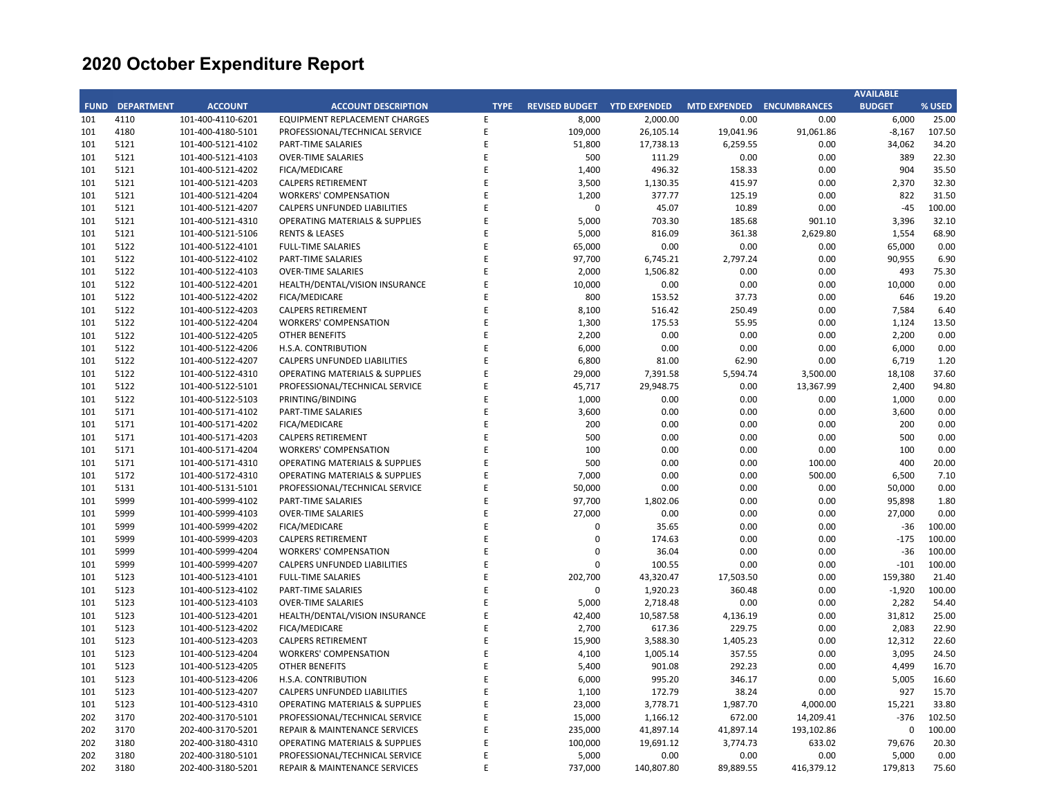|             |                   |                   |                                           |             |                       |                     |                           |            | <b>AVAILABLE</b> |        |
|-------------|-------------------|-------------------|-------------------------------------------|-------------|-----------------------|---------------------|---------------------------|------------|------------------|--------|
| <b>FUND</b> | <b>DEPARTMENT</b> | <b>ACCOUNT</b>    | <b>ACCOUNT DESCRIPTION</b>                | <b>TYPE</b> | <b>REVISED BUDGET</b> | <b>YTD EXPENDED</b> | MTD EXPENDED ENCUMBRANCES |            | <b>BUDGET</b>    | % USED |
| 101         | 4110              | 101-400-4110-6201 | EQUIPMENT REPLACEMENT CHARGES             | E           | 8,000                 | 2,000.00            | 0.00                      | 0.00       | 6,000            | 25.00  |
| 101         | 4180              | 101-400-4180-5101 | PROFESSIONAL/TECHNICAL SERVICE            | E           | 109,000               | 26,105.14           | 19,041.96                 | 91,061.86  | $-8,167$         | 107.50 |
| 101         | 5121              | 101-400-5121-4102 | PART-TIME SALARIES                        | E           | 51,800                | 17,738.13           | 6,259.55                  | 0.00       | 34,062           | 34.20  |
| 101         | 5121              | 101-400-5121-4103 | <b>OVER-TIME SALARIES</b>                 | E           | 500                   | 111.29              | 0.00                      | 0.00       | 389              | 22.30  |
| 101         | 5121              | 101-400-5121-4202 | FICA/MEDICARE                             | Е           | 1,400                 | 496.32              | 158.33                    | 0.00       | 904              | 35.50  |
| 101         | 5121              | 101-400-5121-4203 | <b>CALPERS RETIREMENT</b>                 | E           | 3,500                 | 1,130.35            | 415.97                    | 0.00       | 2,370            | 32.30  |
| 101         | 5121              | 101-400-5121-4204 | <b>WORKERS' COMPENSATION</b>              | E           | 1,200                 | 377.77              | 125.19                    | 0.00       | 822              | 31.50  |
| 101         | 5121              | 101-400-5121-4207 | CALPERS UNFUNDED LIABILITIES              | E           | 0                     | 45.07               | 10.89                     | 0.00       | $-45$            | 100.00 |
| 101         | 5121              | 101-400-5121-4310 | <b>OPERATING MATERIALS &amp; SUPPLIES</b> | E           | 5,000                 | 703.30              | 185.68                    | 901.10     | 3,396            | 32.10  |
| 101         | 5121              | 101-400-5121-5106 | <b>RENTS &amp; LEASES</b>                 | E           | 5,000                 | 816.09              | 361.38                    | 2,629.80   | 1,554            | 68.90  |
| 101         | 5122              | 101-400-5122-4101 | <b>FULL-TIME SALARIES</b>                 | E           | 65,000                | 0.00                | 0.00                      | 0.00       | 65,000           | 0.00   |
| 101         | 5122              | 101-400-5122-4102 | PART-TIME SALARIES                        | E           | 97,700                | 6,745.21            | 2,797.24                  | 0.00       | 90,955           | 6.90   |
| 101         | 5122              | 101-400-5122-4103 | <b>OVER-TIME SALARIES</b>                 | E           | 2,000                 | 1,506.82            | 0.00                      | 0.00       | 493              | 75.30  |
| 101         | 5122              | 101-400-5122-4201 | HEALTH/DENTAL/VISION INSURANCE            | E           | 10,000                | 0.00                | 0.00                      | 0.00       | 10,000           | 0.00   |
| 101         | 5122              | 101-400-5122-4202 | FICA/MEDICARE                             | E           | 800                   | 153.52              | 37.73                     | 0.00       | 646              | 19.20  |
| 101         | 5122              | 101-400-5122-4203 | <b>CALPERS RETIREMENT</b>                 | E           | 8,100                 | 516.42              | 250.49                    | 0.00       | 7,584            | 6.40   |
| 101         | 5122              | 101-400-5122-4204 | <b>WORKERS' COMPENSATION</b>              | E           | 1,300                 | 175.53              | 55.95                     | 0.00       | 1,124            | 13.50  |
| 101         | 5122              | 101-400-5122-4205 | OTHER BENEFITS                            | E           | 2,200                 | 0.00                | 0.00                      | 0.00       | 2,200            | 0.00   |
| 101         | 5122              | 101-400-5122-4206 | H.S.A. CONTRIBUTION                       | Е           | 6,000                 | 0.00                | 0.00                      | 0.00       | 6,000            | 0.00   |
| 101         | 5122              |                   | <b>CALPERS UNFUNDED LIABILITIES</b>       | E           |                       |                     |                           |            |                  |        |
|             |                   | 101-400-5122-4207 |                                           | E           | 6,800                 | 81.00               | 62.90                     | 0.00       | 6,719            | 1.20   |
| 101         | 5122              | 101-400-5122-4310 | <b>OPERATING MATERIALS &amp; SUPPLIES</b> | E           | 29,000                | 7,391.58            | 5,594.74                  | 3,500.00   | 18,108           | 37.60  |
| 101         | 5122              | 101-400-5122-5101 | PROFESSIONAL/TECHNICAL SERVICE            |             | 45,717                | 29,948.75           | 0.00                      | 13,367.99  | 2,400            | 94.80  |
| 101         | 5122              | 101-400-5122-5103 | PRINTING/BINDING                          | E           | 1,000                 | 0.00                | 0.00                      | 0.00       | 1,000            | 0.00   |
| 101         | 5171              | 101-400-5171-4102 | PART-TIME SALARIES                        | E           | 3,600                 | 0.00                | 0.00                      | 0.00       | 3,600            | 0.00   |
| 101         | 5171              | 101-400-5171-4202 | FICA/MEDICARE                             | E           | 200                   | 0.00                | 0.00                      | 0.00       | 200              | 0.00   |
| 101         | 5171              | 101-400-5171-4203 | <b>CALPERS RETIREMENT</b>                 | E           | 500                   | 0.00                | 0.00                      | 0.00       | 500              | 0.00   |
| 101         | 5171              | 101-400-5171-4204 | <b>WORKERS' COMPENSATION</b>              | E           | 100                   | 0.00                | 0.00                      | 0.00       | 100              | 0.00   |
| 101         | 5171              | 101-400-5171-4310 | <b>OPERATING MATERIALS &amp; SUPPLIES</b> | E           | 500                   | 0.00                | 0.00                      | 100.00     | 400              | 20.00  |
| 101         | 5172              | 101-400-5172-4310 | <b>OPERATING MATERIALS &amp; SUPPLIES</b> | E           | 7,000                 | 0.00                | 0.00                      | 500.00     | 6,500            | 7.10   |
| 101         | 5131              | 101-400-5131-5101 | PROFESSIONAL/TECHNICAL SERVICE            | E           | 50,000                | 0.00                | 0.00                      | 0.00       | 50,000           | 0.00   |
| 101         | 5999              | 101-400-5999-4102 | PART-TIME SALARIES                        | E           | 97,700                | 1,802.06            | 0.00                      | 0.00       | 95,898           | 1.80   |
| 101         | 5999              | 101-400-5999-4103 | <b>OVER-TIME SALARIES</b>                 | E           | 27,000                | 0.00                | 0.00                      | 0.00       | 27,000           | 0.00   |
| 101         | 5999              | 101-400-5999-4202 | FICA/MEDICARE                             | E           | 0                     | 35.65               | 0.00                      | 0.00       | $-36$            | 100.00 |
| 101         | 5999              | 101-400-5999-4203 | <b>CALPERS RETIREMENT</b>                 | E           | $\Omega$              | 174.63              | 0.00                      | 0.00       | $-175$           | 100.00 |
| 101         | 5999              | 101-400-5999-4204 | <b>WORKERS' COMPENSATION</b>              | E           | 0                     | 36.04               | 0.00                      | 0.00       | $-36$            | 100.00 |
| 101         | 5999              | 101-400-5999-4207 | CALPERS UNFUNDED LIABILITIES              | E           | 0                     | 100.55              | 0.00                      | 0.00       | $-101$           | 100.00 |
| 101         | 5123              | 101-400-5123-4101 | <b>FULL-TIME SALARIES</b>                 | E           | 202,700               | 43,320.47           | 17,503.50                 | 0.00       | 159,380          | 21.40  |
| 101         | 5123              | 101-400-5123-4102 | PART-TIME SALARIES                        | F           | 0                     | 1,920.23            | 360.48                    | 0.00       | $-1,920$         | 100.00 |
| 101         | 5123              | 101-400-5123-4103 | <b>OVER-TIME SALARIES</b>                 | E           | 5,000                 | 2,718.48            | 0.00                      | 0.00       | 2,282            | 54.40  |
| 101         | 5123              | 101-400-5123-4201 | HEALTH/DENTAL/VISION INSURANCE            | E           | 42,400                | 10,587.58           | 4,136.19                  | 0.00       | 31,812           | 25.00  |
| 101         | 5123              | 101-400-5123-4202 | FICA/MEDICARE                             | E           | 2,700                 | 617.36              | 229.75                    | 0.00       | 2,083            | 22.90  |
| 101         | 5123              | 101-400-5123-4203 | <b>CALPERS RETIREMENT</b>                 | E           | 15,900                | 3,588.30            | 1,405.23                  | 0.00       | 12,312           | 22.60  |
| 101         | 5123              | 101-400-5123-4204 | <b>WORKERS' COMPENSATION</b>              | E           | 4,100                 | 1,005.14            | 357.55                    | 0.00       | 3,095            | 24.50  |
| 101         | 5123              | 101-400-5123-4205 | <b>OTHER BENEFITS</b>                     | E           | 5,400                 | 901.08              | 292.23                    | 0.00       | 4,499            | 16.70  |
| 101         | 5123              | 101-400-5123-4206 | H.S.A. CONTRIBUTION                       | E           | 6,000                 | 995.20              | 346.17                    | 0.00       | 5,005            | 16.60  |
| 101         | 5123              | 101-400-5123-4207 | CALPERS UNFUNDED LIABILITIES              | E           | 1,100                 | 172.79              | 38.24                     | 0.00       | 927              | 15.70  |
| 101         | 5123              | 101-400-5123-4310 | OPERATING MATERIALS & SUPPLIES            | E           | 23,000                | 3,778.71            | 1,987.70                  | 4,000.00   | 15,221           | 33.80  |
| 202         | 3170              | 202-400-3170-5101 | PROFESSIONAL/TECHNICAL SERVICE            | E           | 15,000                | 1,166.12            | 672.00                    | 14,209.41  | $-376$           | 102.50 |
| 202         | 3170              | 202-400-3170-5201 | REPAIR & MAINTENANCE SERVICES             | Е           | 235,000               | 41,897.14           | 41,897.14                 | 193,102.86 | $\mathbf 0$      | 100.00 |
| 202         | 3180              | 202-400-3180-4310 | <b>OPERATING MATERIALS &amp; SUPPLIES</b> | E           | 100,000               | 19,691.12           | 3,774.73                  | 633.02     | 79,676           | 20.30  |
| 202         | 3180              | 202-400-3180-5101 | PROFESSIONAL/TECHNICAL SERVICE            | E           | 5,000                 | 0.00                | 0.00                      | 0.00       | 5,000            | 0.00   |
| 202         | 3180              | 202-400-3180-5201 | REPAIR & MAINTENANCE SERVICES             | F           | 737,000               | 140,807.80          | 89,889.55                 | 416,379.12 | 179,813          | 75.60  |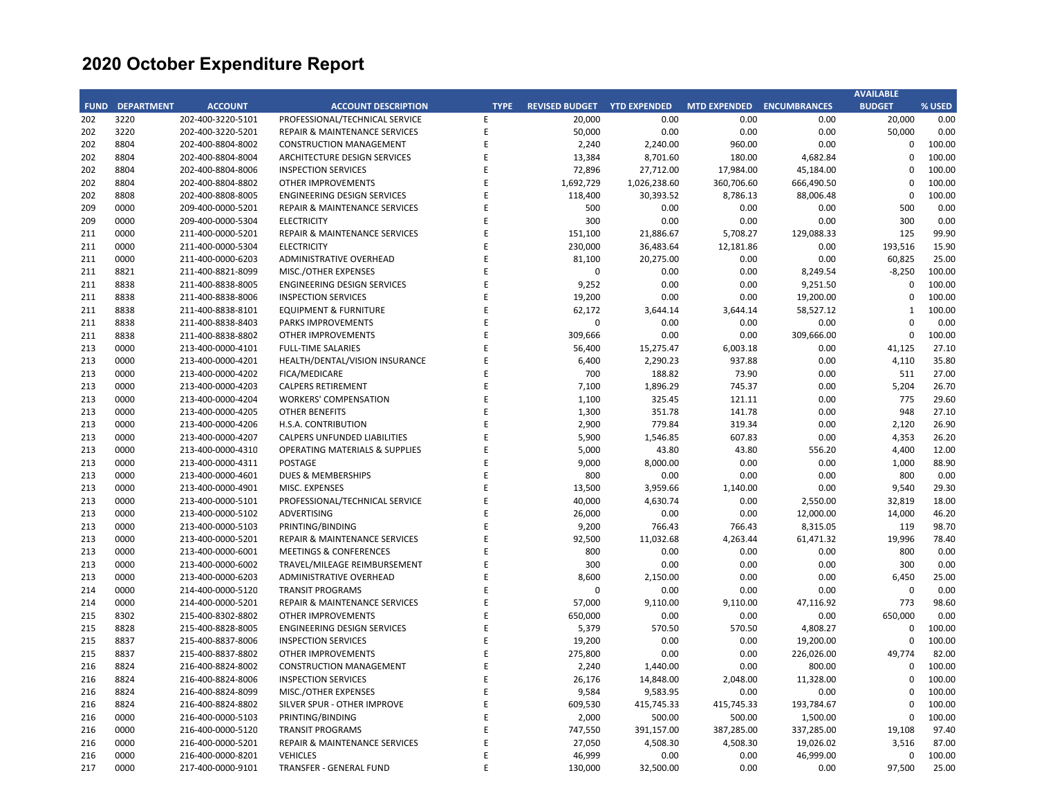|             |                   |                   |                                           |             |                       |                     |                     |                     | <b>AVAILABLE</b> |        |
|-------------|-------------------|-------------------|-------------------------------------------|-------------|-----------------------|---------------------|---------------------|---------------------|------------------|--------|
| <b>FUND</b> | <b>DEPARTMENT</b> | <b>ACCOUNT</b>    | <b>ACCOUNT DESCRIPTION</b>                | <b>TYPE</b> | <b>REVISED BUDGET</b> | <b>YTD EXPENDED</b> | <b>MTD EXPENDED</b> | <b>ENCUMBRANCES</b> | <b>BUDGET</b>    | % USED |
| 202         | 3220              | 202-400-3220-5101 | PROFESSIONAL/TECHNICAL SERVICE            | E           | 20,000                | 0.00                | 0.00                | 0.00                | 20,000           | 0.00   |
| 202         | 3220              | 202-400-3220-5201 | REPAIR & MAINTENANCE SERVICES             | E           | 50,000                | 0.00                | 0.00                | 0.00                | 50,000           | 0.00   |
| 202         | 8804              | 202-400-8804-8002 | <b>CONSTRUCTION MANAGEMENT</b>            | E           | 2,240                 | 2,240.00            | 960.00              | 0.00                | $\Omega$         | 100.00 |
| 202         | 8804              | 202-400-8804-8004 | ARCHITECTURE DESIGN SERVICES              | E           | 13,384                | 8,701.60            | 180.00              | 4,682.84            | $\mathbf 0$      | 100.00 |
| 202         | 8804              | 202-400-8804-8006 | <b>INSPECTION SERVICES</b>                | E           | 72,896                | 27,712.00           | 17,984.00           | 45,184.00           | $\mathbf 0$      | 100.00 |
| 202         | 8804              | 202-400-8804-8802 | <b>OTHER IMPROVEMENTS</b>                 | E           | 1,692,729             | 1,026,238.60        | 360,706.60          | 666,490.50          | $\mathbf 0$      | 100.00 |
| 202         | 8808              | 202-400-8808-8005 | <b>ENGINEERING DESIGN SERVICES</b>        | E           | 118,400               | 30,393.52           | 8,786.13            | 88,006.48           | $\mathbf 0$      | 100.00 |
| 209         | 0000              | 209-400-0000-5201 | REPAIR & MAINTENANCE SERVICES             | F           | 500                   | 0.00                | 0.00                | 0.00                | 500              | 0.00   |
| 209         | 0000              | 209-400-0000-5304 | <b>ELECTRICITY</b>                        | E           | 300                   | 0.00                | 0.00                | 0.00                | 300              | 0.00   |
| 211         | 0000              | 211-400-0000-5201 | REPAIR & MAINTENANCE SERVICES             | E           | 151,100               | 21,886.67           | 5,708.27            | 129,088.33          | 125              | 99.90  |
| 211         | 0000              | 211-400-0000-5304 | <b>ELECTRICITY</b>                        | E           | 230,000               | 36,483.64           | 12,181.86           | 0.00                | 193,516          | 15.90  |
| 211         | 0000              | 211-400-0000-6203 | ADMINISTRATIVE OVERHEAD                   | E           | 81,100                | 20,275.00           | 0.00                | 0.00                | 60,825           | 25.00  |
| 211         | 8821              | 211-400-8821-8099 | MISC./OTHER EXPENSES                      | E           | $\pmb{0}$             | 0.00                | 0.00                | 8,249.54            | $-8,250$         | 100.00 |
| 211         | 8838              | 211-400-8838-8005 | <b>ENGINEERING DESIGN SERVICES</b>        | E           | 9,252                 | 0.00                | 0.00                | 9,251.50            | $\mathbf 0$      | 100.00 |
| 211         | 8838              | 211-400-8838-8006 | <b>INSPECTION SERVICES</b>                | E           | 19,200                | 0.00                | 0.00                | 19,200.00           | $\mathbf 0$      | 100.00 |
| 211         | 8838              | 211-400-8838-8101 | <b>EQUIPMENT &amp; FURNITURE</b>          | E           | 62,172                | 3,644.14            | 3,644.14            | 58,527.12           | $\mathbf{1}$     | 100.00 |
| 211         | 8838              | 211-400-8838-8403 | PARKS IMPROVEMENTS                        | E           | $\Omega$              | 0.00                | 0.00                | 0.00                | $\Omega$         | 0.00   |
|             | 8838              |                   |                                           | E           |                       | 0.00                |                     |                     | $\mathbf 0$      |        |
| 211         |                   | 211-400-8838-8802 | OTHER IMPROVEMENTS                        |             | 309,666               |                     | 0.00                | 309,666.00          |                  | 100.00 |
| 213         | 0000              | 213-400-0000-4101 | <b>FULL-TIME SALARIES</b>                 | E           | 56,400                | 15,275.47           | 6,003.18            | 0.00                | 41,125           | 27.10  |
| 213         | 0000              | 213-400-0000-4201 | HEALTH/DENTAL/VISION INSURANCE            | E           | 6,400                 | 2,290.23            | 937.88              | 0.00                | 4,110            | 35.80  |
| 213         | 0000              | 213-400-0000-4202 | FICA/MEDICARE                             | E           | 700                   | 188.82              | 73.90               | 0.00                | 511              | 27.00  |
| 213         | 0000              | 213-400-0000-4203 | <b>CALPERS RETIREMENT</b>                 | E           | 7,100                 | 1,896.29            | 745.37              | 0.00                | 5,204            | 26.70  |
| 213         | 0000              | 213-400-0000-4204 | <b>WORKERS' COMPENSATION</b>              | E           | 1,100                 | 325.45              | 121.11              | 0.00                | 775              | 29.60  |
| 213         | 0000              | 213-400-0000-4205 | <b>OTHER BENEFITS</b>                     | E           | 1,300                 | 351.78              | 141.78              | 0.00                | 948              | 27.10  |
| 213         | 0000              | 213-400-0000-4206 | H.S.A. CONTRIBUTION                       | E           | 2,900                 | 779.84              | 319.34              | 0.00                | 2,120            | 26.90  |
| 213         | 0000              | 213-400-0000-4207 | <b>CALPERS UNFUNDED LIABILITIES</b>       | E           | 5,900                 | 1,546.85            | 607.83              | 0.00                | 4,353            | 26.20  |
| 213         | 0000              | 213-400-0000-4310 | <b>OPERATING MATERIALS &amp; SUPPLIES</b> | E           | 5,000                 | 43.80               | 43.80               | 556.20              | 4,400            | 12.00  |
| 213         | 0000              | 213-400-0000-4311 | <b>POSTAGE</b>                            | E           | 9,000                 | 8,000.00            | 0.00                | 0.00                | 1,000            | 88.90  |
| 213         | 0000              | 213-400-0000-4601 | <b>DUES &amp; MEMBERSHIPS</b>             | E           | 800                   | 0.00                | 0.00                | 0.00                | 800              | 0.00   |
| 213         | 0000              | 213-400-0000-4901 | MISC. EXPENSES                            | E           | 13,500                | 3,959.66            | 1,140.00            | 0.00                | 9,540            | 29.30  |
| 213         | 0000              | 213-400-0000-5101 | PROFESSIONAL/TECHNICAL SERVICE            | E           | 40,000                | 4,630.74            | 0.00                | 2,550.00            | 32,819           | 18.00  |
| 213         | 0000              | 213-400-0000-5102 | <b>ADVERTISING</b>                        | E           | 26,000                | 0.00                | 0.00                | 12,000.00           | 14,000           | 46.20  |
| 213         | 0000              | 213-400-0000-5103 | PRINTING/BINDING                          | E           | 9,200                 | 766.43              | 766.43              | 8,315.05            | 119              | 98.70  |
| 213         | 0000              | 213-400-0000-5201 | REPAIR & MAINTENANCE SERVICES             | E           | 92,500                | 11,032.68           | 4,263.44            | 61,471.32           | 19,996           | 78.40  |
| 213         | 0000              | 213-400-0000-6001 | <b>MEETINGS &amp; CONFERENCES</b>         | E           | 800                   | 0.00                | 0.00                | 0.00                | 800              | 0.00   |
| 213         | 0000              | 213-400-0000-6002 | TRAVEL/MILEAGE REIMBURSEMENT              | E           | 300                   | 0.00                | 0.00                | 0.00                | 300              | 0.00   |
| 213         | 0000              | 213-400-0000-6203 | ADMINISTRATIVE OVERHEAD                   | E           | 8,600                 | 2,150.00            | 0.00                | 0.00                | 6,450            | 25.00  |
| 214         | 0000              | 214-400-0000-5120 | <b>TRANSIT PROGRAMS</b>                   | E           | $\mathbf 0$           | 0.00                | 0.00                | 0.00                | $\mathbf 0$      | 0.00   |
| 214         | 0000              | 214-400-0000-5201 | REPAIR & MAINTENANCE SERVICES             | E           | 57,000                | 9,110.00            | 9,110.00            | 47,116.92           | 773              | 98.60  |
| 215         | 8302              | 215-400-8302-8802 | OTHER IMPROVEMENTS                        | F           | 650,000               | 0.00                | 0.00                | 0.00                | 650,000          | 0.00   |
| 215         | 8828              | 215-400-8828-8005 | <b>ENGINEERING DESIGN SERVICES</b>        | E           | 5,379                 | 570.50              | 570.50              | 4,808.27            | $\mathbf 0$      | 100.00 |
| 215         | 8837              | 215-400-8837-8006 | <b>INSPECTION SERVICES</b>                | E           | 19,200                | 0.00                | 0.00                | 19,200.00           | $\mathbf 0$      | 100.00 |
| 215         | 8837              | 215-400-8837-8802 | OTHER IMPROVEMENTS                        | E           | 275,800               | 0.00                | 0.00                | 226,026.00          | 49,774           | 82.00  |
| 216         | 8824              | 216-400-8824-8002 | <b>CONSTRUCTION MANAGEMENT</b>            | E           | 2,240                 | 1,440.00            | 0.00                | 800.00              | $\mathbf 0$      | 100.00 |
| 216         | 8824              | 216-400-8824-8006 | <b>INSPECTION SERVICES</b>                | E           | 26,176                | 14,848.00           | 2,048.00            | 11,328.00           | $\mathbf 0$      | 100.00 |
| 216         | 8824              | 216-400-8824-8099 | MISC./OTHER EXPENSES                      | E           | 9,584                 | 9,583.95            | 0.00                | 0.00                | 0                | 100.00 |
| 216         | 8824              | 216-400-8824-8802 | SILVER SPUR - OTHER IMPROVE               | E           | 609,530               | 415,745.33          | 415,745.33          | 193,784.67          | $\mathbf 0$      | 100.00 |
| 216         | 0000              | 216-400-0000-5103 | PRINTING/BINDING                          | E           | 2,000                 | 500.00              | 500.00              | 1,500.00            | $\mathbf 0$      | 100.00 |
| 216         | 0000              | 216-400-0000-5120 | <b>TRANSIT PROGRAMS</b>                   | E           | 747,550               | 391,157.00          | 387,285.00          | 337,285.00          | 19,108           | 97.40  |
| 216         | 0000              | 216-400-0000-5201 | REPAIR & MAINTENANCE SERVICES             | E           | 27,050                | 4,508.30            | 4,508.30            | 19,026.02           | 3,516            | 87.00  |
| 216         | 0000              | 216-400-0000-8201 | <b>VEHICLES</b>                           | E           | 46,999                | 0.00                | 0.00                | 46,999.00           | 0                | 100.00 |
| 217         | 0000              | 217-400-0000-9101 | TRANSFER - GENERAL FUND                   | F           | 130,000               | 32,500.00           | 0.00                | 0.00                | 97,500           | 25.00  |
|             |                   |                   |                                           |             |                       |                     |                     |                     |                  |        |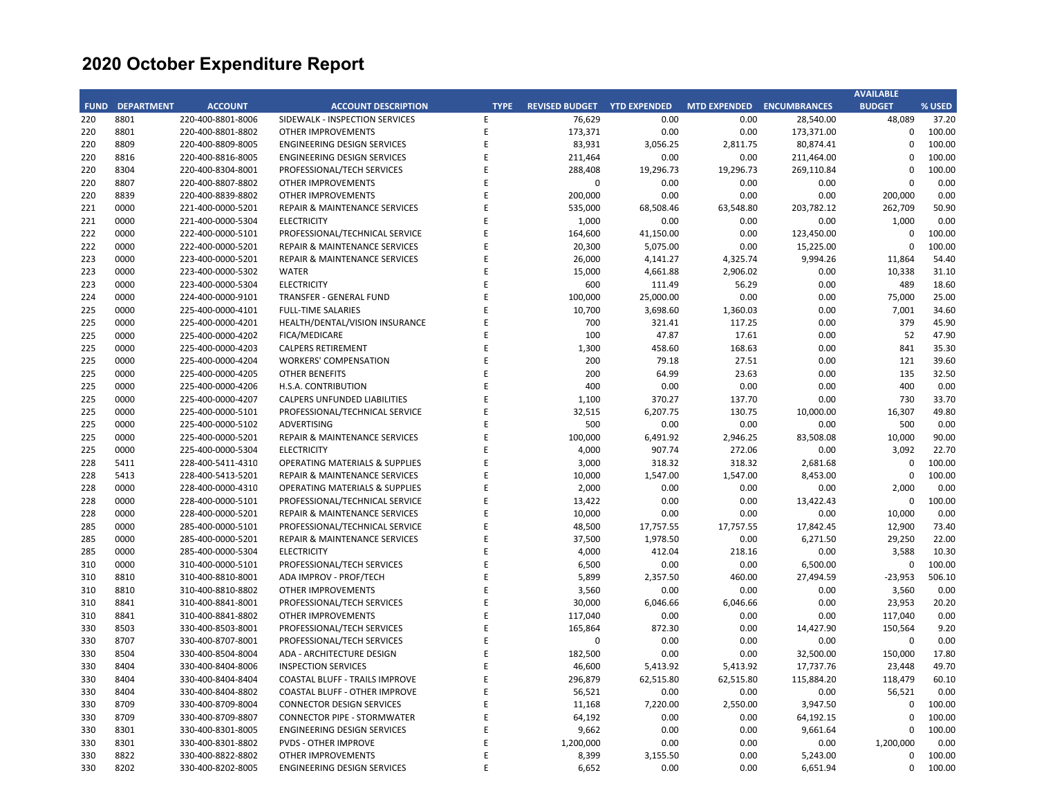|             |                   |                   |                                           |             |                                    |           |                           |            | <b>AVAILABLE</b> |        |
|-------------|-------------------|-------------------|-------------------------------------------|-------------|------------------------------------|-----------|---------------------------|------------|------------------|--------|
| <b>FUND</b> | <b>DEPARTMENT</b> | <b>ACCOUNT</b>    | <b>ACCOUNT DESCRIPTION</b>                | <b>TYPE</b> | <b>REVISED BUDGET YTD EXPENDED</b> |           | MTD EXPENDED ENCUMBRANCES |            | <b>BUDGET</b>    | % USED |
| 220         | 8801              | 220-400-8801-8006 | SIDEWALK - INSPECTION SERVICES            | E           | 76,629                             | 0.00      | 0.00                      | 28.540.00  | 48,089           | 37.20  |
| 220         | 8801              | 220-400-8801-8802 | OTHER IMPROVEMENTS                        | E           | 173,371                            | 0.00      | 0.00                      | 173,371.00 | 0                | 100.00 |
| 220         | 8809              | 220-400-8809-8005 | <b>ENGINEERING DESIGN SERVICES</b>        | E           | 83,931                             | 3,056.25  | 2,811.75                  | 80,874.41  | $\Omega$         | 100.00 |
| 220         | 8816              | 220-400-8816-8005 | <b>ENGINEERING DESIGN SERVICES</b>        | E           | 211,464                            | 0.00      | 0.00                      | 211,464.00 | $\mathbf 0$      | 100.00 |
| 220         | 8304              | 220-400-8304-8001 | PROFESSIONAL/TECH SERVICES                | E           | 288,408                            | 19,296.73 | 19,296.73                 | 269,110.84 | $\mathbf 0$      | 100.00 |
| 220         | 8807              | 220-400-8807-8802 | <b>OTHER IMPROVEMENTS</b>                 | E           | $\mathbf 0$                        | 0.00      | 0.00                      | 0.00       | $\Omega$         | 0.00   |
| 220         | 8839              | 220-400-8839-8802 | OTHER IMPROVEMENTS                        | E           | 200,000                            | 0.00      | 0.00                      | 0.00       | 200,000          | 0.00   |
| 221         | 0000              | 221-400-0000-5201 | REPAIR & MAINTENANCE SERVICES             | F           | 535,000                            | 68,508.46 | 63,548.80                 | 203,782.12 | 262,709          | 50.90  |
| 221         | 0000              | 221-400-0000-5304 | <b>ELECTRICITY</b>                        | E           | 1,000                              | 0.00      | 0.00                      | 0.00       | 1,000            | 0.00   |
| 222         | 0000              | 222-400-0000-5101 | PROFESSIONAL/TECHNICAL SERVICE            | E           | 164,600                            | 41,150.00 | 0.00                      | 123,450.00 | $\mathbf 0$      | 100.00 |
| 222         | 0000              | 222-400-0000-5201 | REPAIR & MAINTENANCE SERVICES             | E           | 20,300                             | 5,075.00  | 0.00                      | 15,225.00  | $\Omega$         | 100.00 |
| 223         | 0000              | 223-400-0000-5201 | <b>REPAIR &amp; MAINTENANCE SERVICES</b>  | E           | 26,000                             | 4,141.27  | 4,325.74                  | 9,994.26   | 11,864           | 54.40  |
| 223         | 0000              | 223-400-0000-5302 | WATER                                     | E           | 15,000                             | 4,661.88  | 2,906.02                  | 0.00       | 10,338           | 31.10  |
| 223         | 0000              | 223-400-0000-5304 | <b>ELECTRICITY</b>                        | E           | 600                                | 111.49    | 56.29                     | 0.00       | 489              | 18.60  |
| 224         | 0000              | 224-400-0000-9101 | <b>TRANSFER - GENERAL FUND</b>            | E           | 100,000                            | 25,000.00 | 0.00                      | 0.00       | 75,000           | 25.00  |
| 225         | 0000              | 225-400-0000-4101 | <b>FULL-TIME SALARIES</b>                 | E           | 10,700                             | 3,698.60  | 1,360.03                  | 0.00       | 7,001            | 34.60  |
| 225         | 0000              | 225-400-0000-4201 | HEALTH/DENTAL/VISION INSURANCE            | E           | 700                                | 321.41    | 117.25                    | 0.00       | 379              | 45.90  |
| 225         | 0000              | 225-400-0000-4202 | <b>FICA/MEDICARE</b>                      | E           | 100                                | 47.87     | 17.61                     | 0.00       | 52               | 47.90  |
| 225         | 0000              | 225-400-0000-4203 | <b>CALPERS RETIREMENT</b>                 | E           | 1,300                              | 458.60    | 168.63                    | 0.00       | 841              | 35.30  |
| 225         | 0000              | 225-400-0000-4204 | <b>WORKERS' COMPENSATION</b>              | E           | 200                                | 79.18     | 27.51                     | 0.00       | 121              | 39.60  |
| 225         | 0000              | 225-400-0000-4205 | <b>OTHER BENEFITS</b>                     | E           | 200                                | 64.99     | 23.63                     | 0.00       | 135              | 32.50  |
|             |                   |                   |                                           | E           |                                    |           |                           |            | 400              |        |
| 225         | 0000              | 225-400-0000-4206 | H.S.A. CONTRIBUTION                       | E           | 400                                | 0.00      | 0.00                      | 0.00       |                  | 0.00   |
| 225         | 0000              | 225-400-0000-4207 | CALPERS UNFUNDED LIABILITIES              | E           | 1,100                              | 370.27    | 137.70                    | 0.00       | 730              | 33.70  |
| 225         | 0000              | 225-400-0000-5101 | PROFESSIONAL/TECHNICAL SERVICE            |             | 32,515                             | 6,207.75  | 130.75                    | 10,000.00  | 16,307           | 49.80  |
| 225         | 0000              | 225-400-0000-5102 | ADVERTISING                               | E           | 500                                | 0.00      | 0.00                      | 0.00       | 500              | 0.00   |
| 225         | 0000              | 225-400-0000-5201 | REPAIR & MAINTENANCE SERVICES             | E           | 100,000                            | 6,491.92  | 2,946.25                  | 83,508.08  | 10,000           | 90.00  |
| 225         | 0000              | 225-400-0000-5304 | <b>ELECTRICITY</b>                        | E           | 4,000                              | 907.74    | 272.06                    | 0.00       | 3,092            | 22.70  |
| 228         | 5411              | 228-400-5411-4310 | OPERATING MATERIALS & SUPPLIES            | E           | 3,000                              | 318.32    | 318.32                    | 2,681.68   | 0                | 100.00 |
| 228         | 5413              | 228-400-5413-5201 | <b>REPAIR &amp; MAINTENANCE SERVICES</b>  | E           | 10,000                             | 1,547.00  | 1,547.00                  | 8,453.00   | $\Omega$         | 100.00 |
| 228         | 0000              | 228-400-0000-4310 | <b>OPERATING MATERIALS &amp; SUPPLIES</b> | E           | 2,000                              | 0.00      | 0.00                      | 0.00       | 2,000            | 0.00   |
| 228         | 0000              | 228-400-0000-5101 | PROFESSIONAL/TECHNICAL SERVICE            | E           | 13,422                             | 0.00      | 0.00                      | 13,422.43  | $\mathbf 0$      | 100.00 |
| 228         | 0000              | 228-400-0000-5201 | REPAIR & MAINTENANCE SERVICES             | E           | 10,000                             | 0.00      | 0.00                      | 0.00       | 10,000           | 0.00   |
| 285         | 0000              | 285-400-0000-5101 | PROFESSIONAL/TECHNICAL SERVICE            | E           | 48,500                             | 17,757.55 | 17,757.55                 | 17,842.45  | 12,900           | 73.40  |
| 285         | 0000              | 285-400-0000-5201 | REPAIR & MAINTENANCE SERVICES             | E           | 37,500                             | 1,978.50  | 0.00                      | 6,271.50   | 29,250           | 22.00  |
| 285         | 0000              | 285-400-0000-5304 | <b>ELECTRICITY</b>                        | E           | 4,000                              | 412.04    | 218.16                    | 0.00       | 3,588            | 10.30  |
| 310         | 0000              | 310-400-0000-5101 | PROFESSIONAL/TECH SERVICES                | E           | 6,500                              | 0.00      | 0.00                      | 6,500.00   | $\mathbf 0$      | 100.00 |
| 310         | 8810              | 310-400-8810-8001 | ADA IMPROV - PROF/TECH                    | E           | 5,899                              | 2,357.50  | 460.00                    | 27,494.59  | $-23,953$        | 506.10 |
| 310         | 8810              | 310-400-8810-8802 | <b>OTHER IMPROVEMENTS</b>                 | E           | 3,560                              | 0.00      | 0.00                      | 0.00       | 3,560            | 0.00   |
| 310         | 8841              | 310-400-8841-8001 | PROFESSIONAL/TECH SERVICES                | E           | 30,000                             | 6,046.66  | 6,046.66                  | 0.00       | 23,953           | 20.20  |
| 310         | 8841              | 310-400-8841-8802 | OTHER IMPROVEMENTS                        | F           | 117,040                            | 0.00      | 0.00                      | 0.00       | 117,040          | 0.00   |
| 330         | 8503              | 330-400-8503-8001 | PROFESSIONAL/TECH SERVICES                | E           | 165,864                            | 872.30    | 0.00                      | 14,427.90  | 150,564          | 9.20   |
| 330         | 8707              | 330-400-8707-8001 | PROFESSIONAL/TECH SERVICES                | E           | $\pmb{0}$                          | 0.00      | 0.00                      | 0.00       | $\mathbf 0$      | 0.00   |
| 330         | 8504              | 330-400-8504-8004 | ADA - ARCHITECTURE DESIGN                 | E           | 182,500                            | 0.00      | 0.00                      | 32,500.00  | 150,000          | 17.80  |
| 330         | 8404              | 330-400-8404-8006 | <b>INSPECTION SERVICES</b>                | E           | 46,600                             | 5,413.92  | 5,413.92                  | 17,737.76  | 23,448           | 49.70  |
| 330         | 8404              | 330-400-8404-8404 | COASTAL BLUFF - TRAILS IMPROVE            | E           | 296,879                            | 62,515.80 | 62,515.80                 | 115,884.20 | 118,479          | 60.10  |
| 330         | 8404              | 330-400-8404-8802 | COASTAL BLUFF - OTHER IMPROVE             | E           | 56,521                             | 0.00      | 0.00                      | 0.00       | 56,521           | 0.00   |
| 330         | 8709              | 330-400-8709-8004 | <b>CONNECTOR DESIGN SERVICES</b>          | E           | 11,168                             | 7,220.00  | 2,550.00                  | 3,947.50   | $\mathbf 0$      | 100.00 |
| 330         | 8709              | 330-400-8709-8807 | <b>CONNECTOR PIPE - STORMWATER</b>        | E           | 64,192                             | 0.00      | 0.00                      | 64,192.15  | $\mathbf 0$      | 100.00 |
| 330         | 8301              | 330-400-8301-8005 | ENGINEERING DESIGN SERVICES               | E           | 9,662                              | 0.00      | 0.00                      | 9,661.64   | 0                | 100.00 |
| 330         | 8301              | 330-400-8301-8802 | <b>PVDS - OTHER IMPROVE</b>               | E           | 1,200,000                          | 0.00      | 0.00                      | 0.00       | 1,200,000        | 0.00   |
| 330         | 8822              | 330-400-8822-8802 | OTHER IMPROVEMENTS                        | E           | 8,399                              | 3,155.50  | 0.00                      | 5,243.00   | $\mathbf 0$      | 100.00 |
| 330         | 8202              | 330-400-8202-8005 | ENGINEERING DESIGN SERVICES               | F           | 6,652                              | 0.00      | 0.00                      | 6,651.94   | $\Omega$         | 100.00 |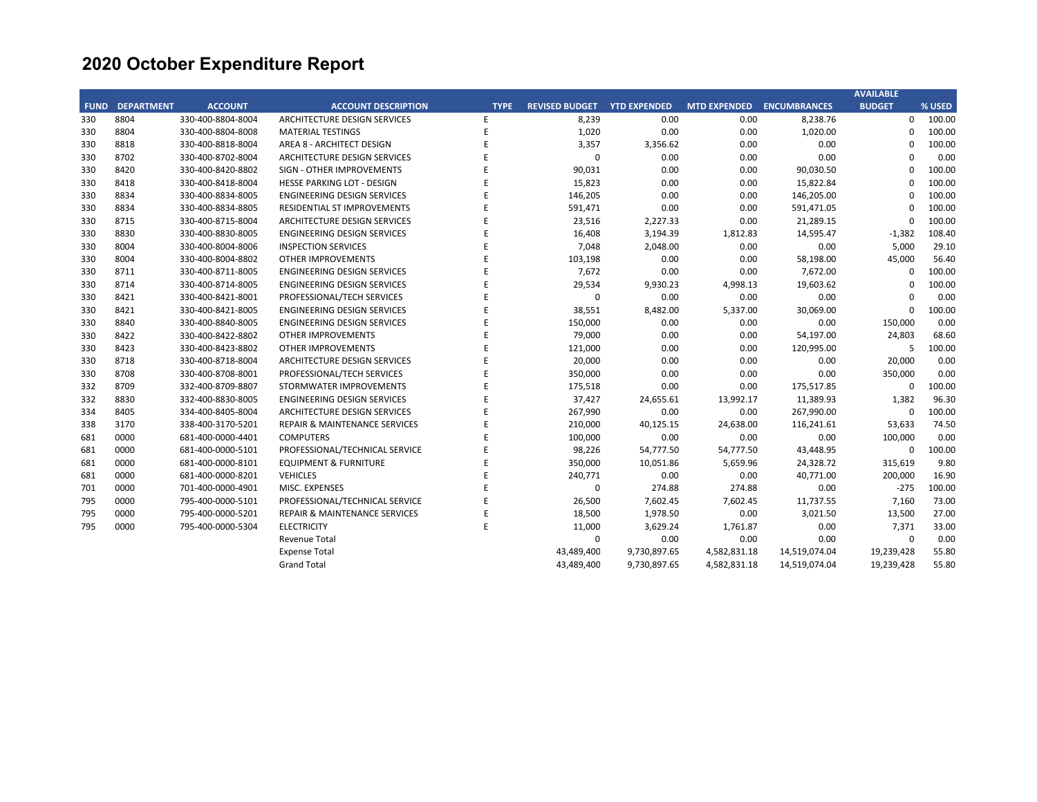|             |                   |                   |                                          |             |                       |                     |                     |                     | <b>AVAILABLE</b> |        |
|-------------|-------------------|-------------------|------------------------------------------|-------------|-----------------------|---------------------|---------------------|---------------------|------------------|--------|
| <b>FUND</b> | <b>DEPARTMENT</b> | <b>ACCOUNT</b>    | <b>ACCOUNT DESCRIPTION</b>               | <b>TYPE</b> | <b>REVISED BUDGET</b> | <b>YTD EXPENDED</b> | <b>MTD EXPENDED</b> | <b>ENCUMBRANCES</b> | <b>BUDGET</b>    | % USED |
| 330         | 8804              | 330-400-8804-8004 | ARCHITECTURE DESIGN SERVICES             | Е           | 8,239                 | 0.00                | 0.00                | 8,238.76            | $\mathbf{0}$     | 100.00 |
| 330         | 8804              | 330-400-8804-8008 | <b>MATERIAL TESTINGS</b>                 |             | 1,020                 | 0.00                | 0.00                | 1,020.00            | $\Omega$         | 100.00 |
| 330         | 8818              | 330-400-8818-8004 | AREA 8 - ARCHITECT DESIGN                |             | 3,357                 | 3,356.62            | 0.00                | 0.00                | $\Omega$         | 100.00 |
| 330         | 8702              | 330-400-8702-8004 | ARCHITECTURE DESIGN SERVICES             |             | 0                     | 0.00                | 0.00                | 0.00                | $\Omega$         | 0.00   |
| 330         | 8420              | 330-400-8420-8802 | SIGN - OTHER IMPROVEMENTS                |             | 90,031                | 0.00                | 0.00                | 90,030.50           | $\Omega$         | 100.00 |
| 330         | 8418              | 330-400-8418-8004 | <b>HESSE PARKING LOT - DESIGN</b>        |             | 15,823                | 0.00                | 0.00                | 15,822.84           | $\Omega$         | 100.00 |
| 330         | 8834              | 330-400-8834-8005 | <b>ENGINEERING DESIGN SERVICES</b>       |             | 146,205               | 0.00                | 0.00                | 146,205.00          | $\Omega$         | 100.00 |
| 330         | 8834              | 330-400-8834-8805 | RESIDENTIAL ST IMPROVEMENTS              |             | 591,471               | 0.00                | 0.00                | 591,471.05          | $\Omega$         | 100.00 |
| 330         | 8715              | 330-400-8715-8004 | ARCHITECTURE DESIGN SERVICES             |             | 23,516                | 2,227.33            | 0.00                | 21,289.15           | $\mathbf 0$      | 100.00 |
| 330         | 8830              | 330-400-8830-8005 | <b>ENGINEERING DESIGN SERVICES</b>       |             | 16,408                | 3,194.39            | 1,812.83            | 14,595.47           | $-1,382$         | 108.40 |
| 330         | 8004              | 330-400-8004-8006 | <b>INSPECTION SERVICES</b>               |             | 7,048                 | 2,048.00            | 0.00                | 0.00                | 5,000            | 29.10  |
| 330         | 8004              | 330-400-8004-8802 | OTHER IMPROVEMENTS                       |             | 103,198               | 0.00                | 0.00                | 58,198.00           | 45,000           | 56.40  |
| 330         | 8711              | 330-400-8711-8005 | <b>ENGINEERING DESIGN SERVICES</b>       |             | 7,672                 | 0.00                | 0.00                | 7,672.00            | $\Omega$         | 100.00 |
| 330         | 8714              | 330-400-8714-8005 | <b>ENGINEERING DESIGN SERVICES</b>       |             | 29,534                | 9,930.23            | 4,998.13            | 19,603.62           | $\mathbf 0$      | 100.00 |
| 330         | 8421              | 330-400-8421-8001 | PROFESSIONAL/TECH SERVICES               |             | 0                     | 0.00                | 0.00                | 0.00                | $\Omega$         | 0.00   |
| 330         | 8421              | 330-400-8421-8005 | <b>ENGINEERING DESIGN SERVICES</b>       |             | 38,551                | 8,482.00            | 5,337.00            | 30,069.00           | $\mathbf 0$      | 100.00 |
| 330         | 8840              | 330-400-8840-8005 | <b>ENGINEERING DESIGN SERVICES</b>       |             | 150,000               | 0.00                | 0.00                | 0.00                | 150,000          | 0.00   |
| 330         | 8422              | 330-400-8422-8802 | OTHER IMPROVEMENTS                       |             | 79,000                | 0.00                | 0.00                | 54,197.00           | 24,803           | 68.60  |
| 330         | 8423              | 330-400-8423-8802 | <b>OTHER IMPROVEMENTS</b>                |             | 121,000               | 0.00                | 0.00                | 120,995.00          | 5                | 100.00 |
| 330         | 8718              | 330-400-8718-8004 | ARCHITECTURE DESIGN SERVICES             |             | 20,000                | 0.00                | 0.00                | 0.00                | 20,000           | 0.00   |
| 330         | 8708              | 330-400-8708-8001 | PROFESSIONAL/TECH SERVICES               |             | 350,000               | 0.00                | 0.00                | 0.00                | 350,000          | 0.00   |
| 332         | 8709              | 332-400-8709-8807 | STORMWATER IMPROVEMENTS                  |             | 175,518               | 0.00                | 0.00                | 175,517.85          | 0                | 100.00 |
| 332         | 8830              | 332-400-8830-8005 | <b>ENGINEERING DESIGN SERVICES</b>       |             | 37,427                | 24,655.61           | 13,992.17           | 11,389.93           | 1,382            | 96.30  |
| 334         | 8405              | 334-400-8405-8004 | ARCHITECTURE DESIGN SERVICES             |             | 267,990               | 0.00                | 0.00                | 267,990.00          | 0                | 100.00 |
| 338         | 3170              | 338-400-3170-5201 | <b>REPAIR &amp; MAINTENANCE SERVICES</b> |             | 210,000               | 40,125.15           | 24,638.00           | 116,241.61          | 53,633           | 74.50  |
| 681         | 0000              | 681-400-0000-4401 | <b>COMPUTERS</b>                         |             | 100,000               | 0.00                | 0.00                | 0.00                | 100,000          | 0.00   |
| 681         | 0000              | 681-400-0000-5101 | PROFESSIONAL/TECHNICAL SERVICE           |             | 98,226                | 54,777.50           | 54,777.50           | 43,448.95           | 0                | 100.00 |
| 681         | 0000              | 681-400-0000-8101 | <b>EQUIPMENT &amp; FURNITURE</b>         |             | 350,000               | 10,051.86           | 5,659.96            | 24,328.72           | 315,619          | 9.80   |
| 681         | 0000              | 681-400-0000-8201 | <b>VEHICLES</b>                          |             | 240,771               | 0.00                | 0.00                | 40,771.00           | 200,000          | 16.90  |
| 701         | 0000              | 701-400-0000-4901 | MISC. EXPENSES                           |             | 0                     | 274.88              | 274.88              | 0.00                | $-275$           | 100.00 |
| 795         | 0000              | 795-400-0000-5101 | PROFESSIONAL/TECHNICAL SERVICE           |             | 26,500                | 7,602.45            | 7,602.45            | 11,737.55           | 7,160            | 73.00  |
| 795         | 0000              | 795-400-0000-5201 | <b>REPAIR &amp; MAINTENANCE SERVICES</b> |             | 18,500                | 1,978.50            | 0.00                | 3,021.50            | 13,500           | 27.00  |
| 795         | 0000              | 795-400-0000-5304 | <b>ELECTRICITY</b>                       | E           | 11,000                | 3,629.24            | 1,761.87            | 0.00                | 7,371            | 33.00  |
|             |                   |                   | Revenue Total                            |             | 0                     | 0.00                | 0.00                | 0.00                | 0                | 0.00   |
|             |                   |                   | <b>Expense Total</b>                     |             | 43,489,400            | 9,730,897.65        | 4,582,831.18        | 14,519,074.04       | 19,239,428       | 55.80  |
|             |                   |                   | <b>Grand Total</b>                       |             | 43,489,400            | 9,730,897.65        | 4,582,831.18        | 14,519,074.04       | 19,239,428       | 55.80  |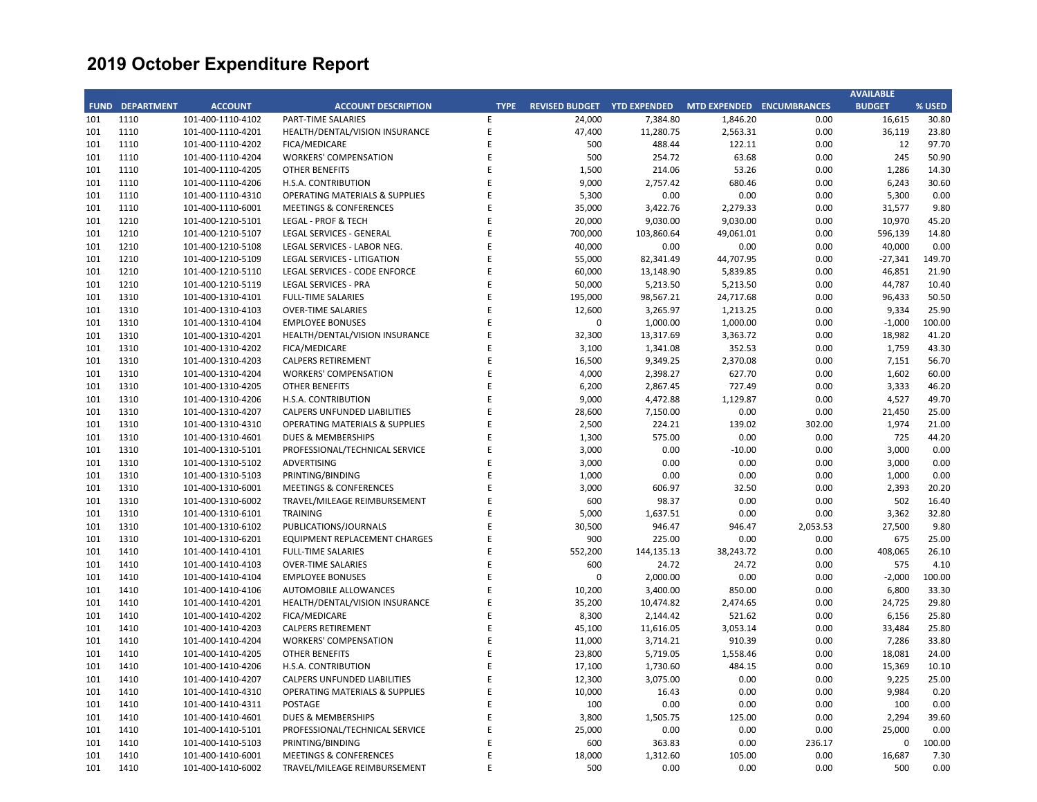|     |                        |                   |                                           |             |                             |            |                           |          | <b>AVAILABLE</b> |        |
|-----|------------------------|-------------------|-------------------------------------------|-------------|-----------------------------|------------|---------------------------|----------|------------------|--------|
|     | <b>FUND DEPARTMENT</b> | <b>ACCOUNT</b>    | <b>ACCOUNT DESCRIPTION</b>                | <b>TYPE</b> | REVISED BUDGET YTD EXPENDED |            | MTD EXPENDED ENCUMBRANCES |          | <b>BUDGET</b>    | % USED |
| 101 | 1110                   | 101-400-1110-4102 | <b>PART-TIME SALARIES</b>                 | E           | 24,000                      | 7,384.80   | 1,846.20                  | 0.00     | 16,615           | 30.80  |
| 101 | 1110                   | 101-400-1110-4201 | HEALTH/DENTAL/VISION INSURANCE            | E           | 47,400                      | 11,280.75  | 2,563.31                  | 0.00     | 36,119           | 23.80  |
| 101 | 1110                   | 101-400-1110-4202 | FICA/MEDICARE                             | E           | 500                         | 488.44     | 122.11                    | 0.00     | 12               | 97.70  |
| 101 | 1110                   | 101-400-1110-4204 | <b>WORKERS' COMPENSATION</b>              | E           | 500                         | 254.72     | 63.68                     | 0.00     | 245              | 50.90  |
| 101 | 1110                   | 101-400-1110-4205 | <b>OTHER BENEFITS</b>                     | E           | 1,500                       | 214.06     | 53.26                     | 0.00     | 1,286            | 14.30  |
| 101 | 1110                   | 101-400-1110-4206 | H.S.A. CONTRIBUTION                       | E           | 9,000                       | 2,757.42   | 680.46                    | 0.00     | 6,243            | 30.60  |
| 101 | 1110                   | 101-400-1110-4310 | <b>OPERATING MATERIALS &amp; SUPPLIES</b> | E           | 5,300                       | 0.00       | 0.00                      | 0.00     | 5,300            | 0.00   |
| 101 | 1110                   | 101-400-1110-6001 | <b>MEETINGS &amp; CONFERENCES</b>         | E           | 35,000                      | 3,422.76   | 2,279.33                  | 0.00     | 31,577           | 9.80   |
| 101 | 1210                   | 101-400-1210-5101 | LEGAL - PROF & TECH                       | E           | 20,000                      | 9,030.00   | 9,030.00                  | 0.00     | 10,970           | 45.20  |
| 101 | 1210                   | 101-400-1210-5107 | LEGAL SERVICES - GENERAL                  | E           | 700,000                     | 103,860.64 | 49,061.01                 | 0.00     | 596,139          | 14.80  |
| 101 | 1210                   | 101-400-1210-5108 | LEGAL SERVICES - LABOR NEG.               | E           | 40,000                      | 0.00       | 0.00                      | 0.00     | 40,000           | 0.00   |
| 101 | 1210                   | 101-400-1210-5109 | LEGAL SERVICES - LITIGATION               | E           | 55,000                      | 82,341.49  | 44,707.95                 | 0.00     | $-27,341$        | 149.70 |
| 101 | 1210                   | 101-400-1210-5110 | LEGAL SERVICES - CODE ENFORCE             | E           | 60,000                      | 13,148.90  | 5,839.85                  | 0.00     | 46,851           | 21.90  |
| 101 | 1210                   | 101-400-1210-5119 | LEGAL SERVICES - PRA                      | E           | 50,000                      | 5,213.50   | 5,213.50                  | 0.00     | 44,787           | 10.40  |
| 101 | 1310                   | 101-400-1310-4101 | <b>FULL-TIME SALARIES</b>                 | E           | 195,000                     | 98,567.21  | 24,717.68                 | 0.00     | 96,433           | 50.50  |
| 101 | 1310                   | 101-400-1310-4103 | <b>OVER-TIME SALARIES</b>                 | E           | 12,600                      | 3,265.97   | 1,213.25                  | 0.00     | 9,334            | 25.90  |
| 101 | 1310                   | 101-400-1310-4104 | <b>EMPLOYEE BONUSES</b>                   | E           | $\mathbf 0$                 | 1,000.00   | 1,000.00                  | 0.00     | $-1,000$         | 100.00 |
| 101 | 1310                   | 101-400-1310-4201 | HEALTH/DENTAL/VISION INSURANCE            | E           | 32,300                      | 13,317.69  | 3,363.72                  | 0.00     | 18,982           | 41.20  |
| 101 | 1310                   | 101-400-1310-4202 | FICA/MEDICARE                             | E           | 3,100                       | 1,341.08   | 352.53                    | 0.00     | 1,759            | 43.30  |
| 101 | 1310                   | 101-400-1310-4203 | <b>CALPERS RETIREMENT</b>                 | E           | 16,500                      | 9,349.25   | 2,370.08                  | 0.00     | 7,151            | 56.70  |
| 101 | 1310                   | 101-400-1310-4204 | <b>WORKERS' COMPENSATION</b>              | E           | 4,000                       | 2,398.27   | 627.70                    | 0.00     | 1,602            | 60.00  |
| 101 | 1310                   | 101-400-1310-4205 | <b>OTHER BENEFITS</b>                     | F           | 6,200                       | 2,867.45   | 727.49                    | 0.00     | 3,333            | 46.20  |
| 101 | 1310                   | 101-400-1310-4206 | H.S.A. CONTRIBUTION                       | E           | 9,000                       | 4,472.88   | 1,129.87                  | 0.00     | 4,527            | 49.70  |
| 101 | 1310                   | 101-400-1310-4207 | CALPERS UNFUNDED LIABILITIES              | E           | 28,600                      | 7,150.00   | 0.00                      | 0.00     | 21,450           | 25.00  |
| 101 | 1310                   | 101-400-1310-4310 | OPERATING MATERIALS & SUPPLIES            | E           | 2,500                       | 224.21     | 139.02                    | 302.00   | 1,974            | 21.00  |
| 101 | 1310                   | 101-400-1310-4601 | <b>DUES &amp; MEMBERSHIPS</b>             | E           | 1,300                       | 575.00     | 0.00                      | 0.00     | 725              | 44.20  |
| 101 | 1310                   | 101-400-1310-5101 | PROFESSIONAL/TECHNICAL SERVICE            | E           | 3,000                       | 0.00       | $-10.00$                  | 0.00     | 3,000            | 0.00   |
| 101 | 1310                   | 101-400-1310-5102 | <b>ADVERTISING</b>                        | E           | 3,000                       | 0.00       | 0.00                      | 0.00     | 3,000            | 0.00   |
| 101 | 1310                   | 101-400-1310-5103 | PRINTING/BINDING                          | E           | 1,000                       | 0.00       | 0.00                      | 0.00     | 1,000            | 0.00   |
| 101 | 1310                   | 101-400-1310-6001 | <b>MEETINGS &amp; CONFERENCES</b>         | E           | 3,000                       | 606.97     | 32.50                     | 0.00     | 2,393            | 20.20  |
| 101 | 1310                   | 101-400-1310-6002 | TRAVEL/MILEAGE REIMBURSEMENT              | E           | 600                         | 98.37      | 0.00                      | 0.00     | 502              | 16.40  |
| 101 | 1310                   | 101-400-1310-6101 | <b>TRAINING</b>                           | E           | 5,000                       | 1,637.51   | 0.00                      | 0.00     | 3,362            | 32.80  |
| 101 | 1310                   | 101-400-1310-6102 | PUBLICATIONS/JOURNALS                     | E           | 30,500                      | 946.47     | 946.47                    | 2,053.53 | 27,500           | 9.80   |
| 101 | 1310                   | 101-400-1310-6201 | <b>EQUIPMENT REPLACEMENT CHARGES</b>      | E           | 900                         | 225.00     | 0.00                      | 0.00     | 675              | 25.00  |
| 101 | 1410                   | 101-400-1410-4101 | <b>FULL-TIME SALARIES</b>                 | E           | 552,200                     | 144,135.13 | 38,243.72                 | 0.00     | 408,065          | 26.10  |
| 101 | 1410                   | 101-400-1410-4103 | <b>OVER-TIME SALARIES</b>                 | E           | 600                         | 24.72      | 24.72                     | 0.00     | 575              | 4.10   |
| 101 | 1410                   | 101-400-1410-4104 | <b>EMPLOYEE BONUSES</b>                   | E           | $\Omega$                    | 2,000.00   | 0.00                      | 0.00     | $-2,000$         | 100.00 |
| 101 | 1410                   | 101-400-1410-4106 | AUTOMOBILE ALLOWANCES                     | E           | 10,200                      | 3,400.00   | 850.00                    | 0.00     | 6,800            | 33.30  |
| 101 | 1410                   | 101-400-1410-4201 | HEALTH/DENTAL/VISION INSURANCE            | E           | 35,200                      | 10,474.82  | 2,474.65                  | 0.00     | 24,725           | 29.80  |
| 101 | 1410                   | 101-400-1410-4202 | FICA/MEDICARE                             | E           | 8,300                       | 2,144.42   | 521.62                    | 0.00     | 6,156            | 25.80  |
| 101 | 1410                   | 101-400-1410-4203 | <b>CALPERS RETIREMENT</b>                 | E           | 45,100                      | 11,616.05  | 3,053.14                  | 0.00     | 33,484           | 25.80  |
| 101 | 1410                   | 101-400-1410-4204 | <b>WORKERS' COMPENSATION</b>              | E           | 11,000                      | 3,714.21   | 910.39                    | 0.00     | 7,286            | 33.80  |
| 101 | 1410                   | 101-400-1410-4205 | <b>OTHER BENEFITS</b>                     | E           | 23,800                      | 5,719.05   | 1,558.46                  | 0.00     | 18,081           | 24.00  |
| 101 | 1410                   | 101-400-1410-4206 | H.S.A. CONTRIBUTION                       | E           | 17,100                      | 1,730.60   | 484.15                    | 0.00     | 15,369           | 10.10  |
| 101 | 1410                   | 101-400-1410-4207 | CALPERS UNFUNDED LIABILITIES              | E           | 12,300                      | 3,075.00   | 0.00                      | 0.00     | 9,225            | 25.00  |
| 101 | 1410                   | 101-400-1410-4310 | <b>OPERATING MATERIALS &amp; SUPPLIES</b> | E           | 10,000                      | 16.43      | 0.00                      | 0.00     | 9,984            | 0.20   |
| 101 | 1410                   | 101-400-1410-4311 | <b>POSTAGE</b>                            | E           | 100                         | 0.00       | 0.00                      | 0.00     | 100              | 0.00   |
| 101 | 1410                   | 101-400-1410-4601 | <b>DUES &amp; MEMBERSHIPS</b>             | E           | 3,800                       | 1,505.75   | 125.00                    | 0.00     | 2,294            | 39.60  |
| 101 | 1410                   | 101-400-1410-5101 | PROFESSIONAL/TECHNICAL SERVICE            | E           | 25,000                      | 0.00       | 0.00                      | 0.00     | 25,000           | 0.00   |
| 101 | 1410                   | 101-400-1410-5103 | PRINTING/BINDING                          | E           | 600                         | 363.83     | 0.00                      | 236.17   | $\Omega$         | 100.00 |
| 101 | 1410                   | 101-400-1410-6001 | <b>MEETINGS &amp; CONFERENCES</b>         | E           | 18,000                      | 1,312.60   | 105.00                    | 0.00     | 16,687           | 7.30   |
| 101 | 1410                   | 101-400-1410-6002 | TRAVEL/MILEAGE REIMBURSEMENT              | F           | 500                         | 0.00       | 0.00                      | 0.00     | 500              | 0.00   |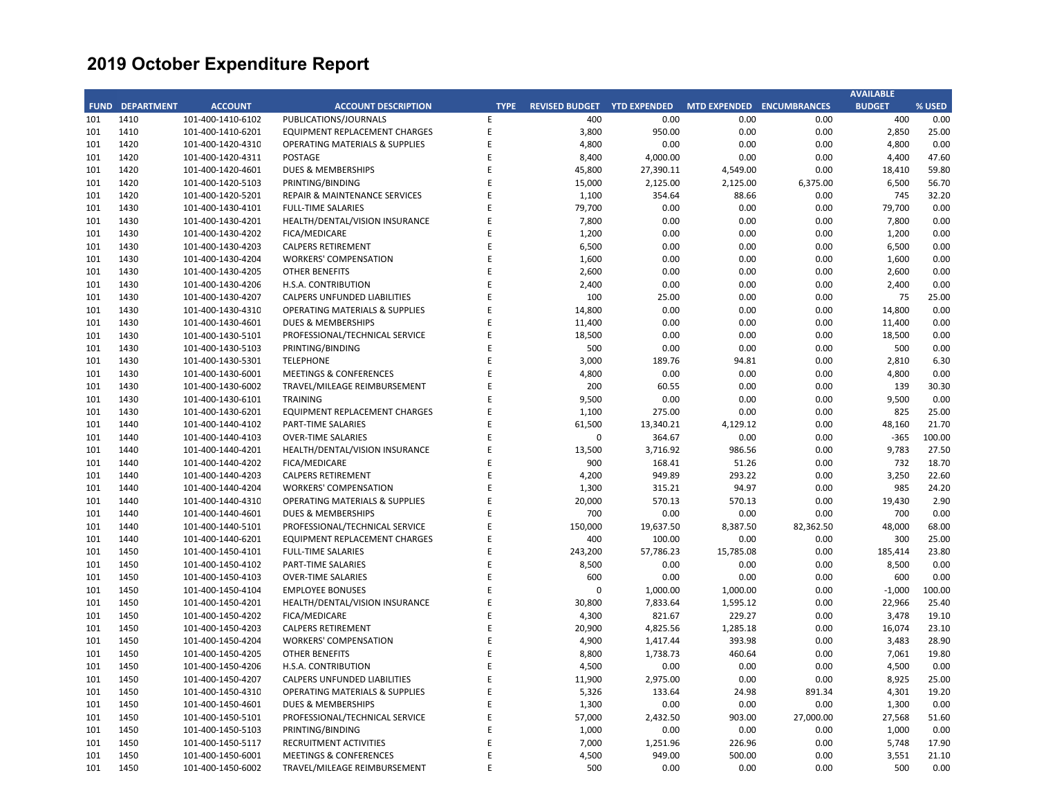|     |                        |                   |                                           |             |                             |           |                           |           | <b>AVAILABLE</b> |        |
|-----|------------------------|-------------------|-------------------------------------------|-------------|-----------------------------|-----------|---------------------------|-----------|------------------|--------|
|     | <b>FUND DEPARTMENT</b> | <b>ACCOUNT</b>    | <b>ACCOUNT DESCRIPTION</b>                | <b>TYPE</b> | REVISED BUDGET YTD EXPENDED |           | MTD EXPENDED ENCUMBRANCES |           | <b>BUDGET</b>    | % USED |
| 101 | 1410                   | 101-400-1410-6102 | PUBLICATIONS/JOURNALS                     | E           | 400                         | 0.00      | 0.00                      | 0.00      | 400              | 0.00   |
| 101 | 1410                   | 101-400-1410-6201 | EQUIPMENT REPLACEMENT CHARGES             | $\mathsf E$ | 3,800                       | 950.00    | 0.00                      | 0.00      | 2,850            | 25.00  |
| 101 | 1420                   | 101-400-1420-4310 | <b>OPERATING MATERIALS &amp; SUPPLIES</b> | E           | 4,800                       | 0.00      | 0.00                      | 0.00      | 4,800            | 0.00   |
| 101 | 1420                   | 101-400-1420-4311 | POSTAGE                                   | E           | 8,400                       | 4,000.00  | 0.00                      | 0.00      | 4,400            | 47.60  |
| 101 | 1420                   | 101-400-1420-4601 | DUES & MEMBERSHIPS                        | Е           | 45,800                      | 27,390.11 | 4,549.00                  | 0.00      | 18,410           | 59.80  |
| 101 | 1420                   | 101-400-1420-5103 | PRINTING/BINDING                          | E           | 15,000                      | 2,125.00  | 2,125.00                  | 6,375.00  | 6,500            | 56.70  |
| 101 | 1420                   | 101-400-1420-5201 | REPAIR & MAINTENANCE SERVICES             | E           | 1,100                       | 354.64    | 88.66                     | 0.00      | 745              | 32.20  |
| 101 | 1430                   | 101-400-1430-4101 | <b>FULL-TIME SALARIES</b>                 | E           | 79,700                      | 0.00      | 0.00                      | 0.00      | 79,700           | 0.00   |
| 101 | 1430                   | 101-400-1430-4201 | HEALTH/DENTAL/VISION INSURANCE            | E           | 7,800                       | 0.00      | 0.00                      | 0.00      | 7,800            | 0.00   |
| 101 | 1430                   | 101-400-1430-4202 | FICA/MEDICARE                             | E           | 1,200                       | 0.00      | 0.00                      | 0.00      | 1,200            | 0.00   |
| 101 | 1430                   | 101-400-1430-4203 | <b>CALPERS RETIREMENT</b>                 | E           | 6,500                       | 0.00      | 0.00                      | 0.00      | 6,500            | 0.00   |
| 101 | 1430                   | 101-400-1430-4204 | <b>WORKERS' COMPENSATION</b>              | E           | 1,600                       | 0.00      | 0.00                      | 0.00      | 1,600            | 0.00   |
| 101 | 1430                   | 101-400-1430-4205 | <b>OTHER BENEFITS</b>                     | E           | 2,600                       | 0.00      | 0.00                      | 0.00      | 2,600            | 0.00   |
| 101 | 1430                   | 101-400-1430-4206 | H.S.A. CONTRIBUTION                       | E           | 2,400                       | 0.00      | 0.00                      | 0.00      | 2,400            | 0.00   |
| 101 | 1430                   | 101-400-1430-4207 | CALPERS UNFUNDED LIABILITIES              | E           | 100                         | 25.00     | 0.00                      | 0.00      | 75               | 25.00  |
| 101 | 1430                   | 101-400-1430-4310 | OPERATING MATERIALS & SUPPLIES            | E           | 14,800                      | 0.00      | 0.00                      | 0.00      | 14,800           | 0.00   |
| 101 | 1430                   | 101-400-1430-4601 | <b>DUES &amp; MEMBERSHIPS</b>             | E           | 11,400                      | 0.00      | 0.00                      | 0.00      | 11,400           | 0.00   |
| 101 | 1430                   | 101-400-1430-5101 | PROFESSIONAL/TECHNICAL SERVICE            | E           | 18,500                      | 0.00      | 0.00                      | 0.00      | 18,500           | 0.00   |
| 101 | 1430                   | 101-400-1430-5103 | PRINTING/BINDING                          | E           | 500                         | 0.00      | 0.00                      | 0.00      | 500              | 0.00   |
| 101 | 1430                   | 101-400-1430-5301 | <b>TELEPHONE</b>                          | E           | 3,000                       | 189.76    | 94.81                     | 0.00      | 2,810            | 6.30   |
| 101 | 1430                   | 101-400-1430-6001 | <b>MEETINGS &amp; CONFERENCES</b>         | E           | 4,800                       | 0.00      | 0.00                      | 0.00      | 4,800            | 0.00   |
| 101 | 1430                   | 101-400-1430-6002 | TRAVEL/MILEAGE REIMBURSEMENT              | F           | 200                         | 60.55     | 0.00                      | 0.00      | 139              | 30.30  |
| 101 | 1430                   | 101-400-1430-6101 | <b>TRAINING</b>                           | E           | 9,500                       | 0.00      | 0.00                      | 0.00      | 9,500            | 0.00   |
| 101 | 1430                   | 101-400-1430-6201 | EQUIPMENT REPLACEMENT CHARGES             | E           | 1,100                       | 275.00    | 0.00                      | 0.00      | 825              | 25.00  |
| 101 | 1440                   | 101-400-1440-4102 | PART-TIME SALARIES                        | E           | 61,500                      | 13,340.21 | 4,129.12                  | 0.00      | 48,160           | 21.70  |
| 101 | 1440                   | 101-400-1440-4103 | <b>OVER-TIME SALARIES</b>                 | E           | 0                           | 364.67    | 0.00                      | 0.00      | $-365$           | 100.00 |
| 101 | 1440                   | 101-400-1440-4201 | HEALTH/DENTAL/VISION INSURANCE            | E           | 13,500                      | 3,716.92  | 986.56                    | 0.00      | 9,783            | 27.50  |
| 101 | 1440                   | 101-400-1440-4202 | FICA/MEDICARE                             | E           | 900                         | 168.41    | 51.26                     | 0.00      | 732              | 18.70  |
| 101 | 1440                   | 101-400-1440-4203 | <b>CALPERS RETIREMENT</b>                 | E           | 4,200                       | 949.89    | 293.22                    | 0.00      | 3,250            | 22.60  |
| 101 | 1440                   | 101-400-1440-4204 | <b>WORKERS' COMPENSATION</b>              | E           | 1,300                       | 315.21    | 94.97                     | 0.00      | 985              | 24.20  |
| 101 | 1440                   | 101-400-1440-4310 | <b>OPERATING MATERIALS &amp; SUPPLIES</b> | E           | 20,000                      | 570.13    | 570.13                    | 0.00      | 19,430           | 2.90   |
| 101 | 1440                   | 101-400-1440-4601 | <b>DUES &amp; MEMBERSHIPS</b>             | E           | 700                         | 0.00      | 0.00                      | 0.00      | 700              | 0.00   |
| 101 | 1440                   | 101-400-1440-5101 | PROFESSIONAL/TECHNICAL SERVICE            | E           | 150,000                     | 19,637.50 | 8,387.50                  | 82,362.50 | 48,000           | 68.00  |
| 101 | 1440                   | 101-400-1440-6201 | <b>EQUIPMENT REPLACEMENT CHARGES</b>      | E           | 400                         | 100.00    | 0.00                      | 0.00      | 300              | 25.00  |
| 101 | 1450                   | 101-400-1450-4101 | <b>FULL-TIME SALARIES</b>                 | E           | 243,200                     | 57,786.23 | 15,785.08                 | 0.00      | 185,414          | 23.80  |
| 101 | 1450                   | 101-400-1450-4102 | PART-TIME SALARIES                        | E           | 8,500                       | 0.00      | 0.00                      | 0.00      | 8,500            | 0.00   |
| 101 | 1450                   | 101-400-1450-4103 | <b>OVER-TIME SALARIES</b>                 | E           | 600                         | 0.00      | 0.00                      | 0.00      | 600              | 0.00   |
| 101 | 1450                   | 101-400-1450-4104 | <b>EMPLOYEE BONUSES</b>                   | F           | $\mathbf 0$                 | 1,000.00  | 1,000.00                  | 0.00      | $-1,000$         | 100.00 |
| 101 | 1450                   | 101-400-1450-4201 | HEALTH/DENTAL/VISION INSURANCE            | E           | 30,800                      | 7,833.64  | 1,595.12                  | 0.00      | 22,966           | 25.40  |
| 101 | 1450                   | 101-400-1450-4202 | FICA/MEDICARE                             | E           | 4,300                       | 821.67    | 229.27                    | 0.00      | 3,478            | 19.10  |
| 101 | 1450                   | 101-400-1450-4203 | <b>CALPERS RETIREMENT</b>                 | E           | 20,900                      | 4,825.56  | 1,285.18                  | 0.00      | 16,074           | 23.10  |
| 101 | 1450                   | 101-400-1450-4204 | <b>WORKERS' COMPENSATION</b>              | E           | 4,900                       | 1,417.44  | 393.98                    | 0.00      | 3,483            | 28.90  |
| 101 | 1450                   | 101-400-1450-4205 | OTHER BENEFITS                            | E           | 8,800                       | 1,738.73  | 460.64                    | 0.00      | 7,061            | 19.80  |
| 101 | 1450                   | 101-400-1450-4206 | H.S.A. CONTRIBUTION                       | E           | 4,500                       | 0.00      | 0.00                      | 0.00      | 4,500            | 0.00   |
| 101 | 1450                   | 101-400-1450-4207 | CALPERS UNFUNDED LIABILITIES              | E           | 11,900                      | 2,975.00  | 0.00                      | 0.00      | 8,925            | 25.00  |
| 101 | 1450                   | 101-400-1450-4310 | <b>OPERATING MATERIALS &amp; SUPPLIES</b> | E           | 5,326                       | 133.64    | 24.98                     | 891.34    | 4,301            | 19.20  |
| 101 | 1450                   | 101-400-1450-4601 | <b>DUES &amp; MEMBERSHIPS</b>             | E           | 1,300                       | 0.00      | 0.00                      | 0.00      | 1,300            | 0.00   |
| 101 | 1450                   | 101-400-1450-5101 | PROFESSIONAL/TECHNICAL SERVICE            | E           | 57,000                      | 2,432.50  | 903.00                    | 27,000.00 | 27,568           | 51.60  |
| 101 | 1450                   | 101-400-1450-5103 | PRINTING/BINDING                          | E           | 1,000                       | 0.00      | 0.00                      | 0.00      | 1,000            | 0.00   |
| 101 | 1450                   | 101-400-1450-5117 | <b>RECRUITMENT ACTIVITIES</b>             | E           | 7,000                       | 1,251.96  | 226.96                    | 0.00      | 5,748            | 17.90  |
| 101 | 1450                   | 101-400-1450-6001 | <b>MEETINGS &amp; CONFERENCES</b>         | E           | 4,500                       | 949.00    | 500.00                    | 0.00      | 3,551            | 21.10  |
| 101 | 1450                   | 101-400-1450-6002 | TRAVEL/MILEAGE REIMBURSEMENT              | F           | 500                         | 0.00      | 0.00                      | 0.00      | 500              | 0.00   |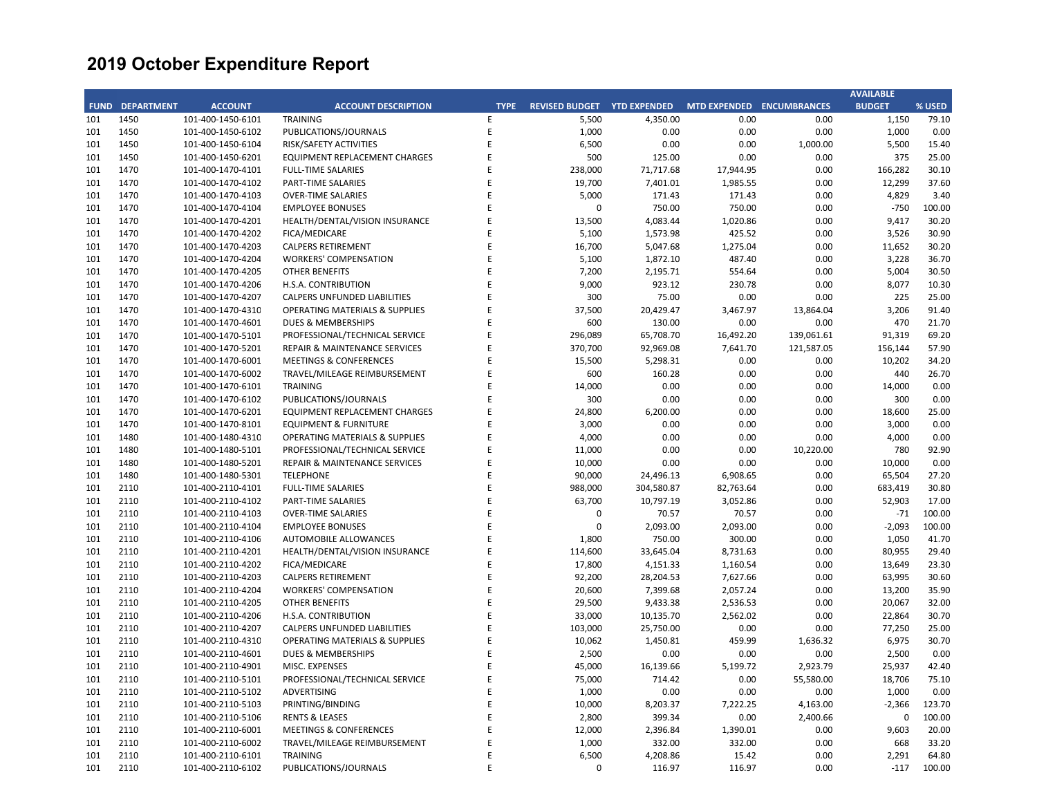|     |                        |                   |                                           |             |                       |                     |                           |            | <b>AVAILABLE</b> |        |
|-----|------------------------|-------------------|-------------------------------------------|-------------|-----------------------|---------------------|---------------------------|------------|------------------|--------|
|     | <b>FUND DEPARTMENT</b> | <b>ACCOUNT</b>    | <b>ACCOUNT DESCRIPTION</b>                | <b>TYPE</b> | <b>REVISED BUDGET</b> | <b>YTD EXPENDED</b> | MTD EXPENDED ENCUMBRANCES |            | <b>BUDGET</b>    | % USED |
| 101 | 1450                   | 101-400-1450-6101 | <b>TRAINING</b>                           | E           | 5,500                 | 4,350.00            | 0.00                      | 0.00       | 1,150            | 79.10  |
| 101 | 1450                   | 101-400-1450-6102 | PUBLICATIONS/JOURNALS                     | E           | 1,000                 | 0.00                | 0.00                      | 0.00       | 1,000            | 0.00   |
| 101 | 1450                   | 101-400-1450-6104 | RISK/SAFETY ACTIVITIES                    | E           | 6,500                 | 0.00                | 0.00                      | 1,000.00   | 5,500            | 15.40  |
| 101 | 1450                   | 101-400-1450-6201 | EQUIPMENT REPLACEMENT CHARGES             | E           | 500                   | 125.00              | 0.00                      | 0.00       | 375              | 25.00  |
| 101 | 1470                   | 101-400-1470-4101 | FULL-TIME SALARIES                        | E           | 238,000               | 71,717.68           | 17,944.95                 | 0.00       | 166,282          | 30.10  |
| 101 | 1470                   | 101-400-1470-4102 | PART-TIME SALARIES                        | E           | 19,700                | 7,401.01            | 1,985.55                  | 0.00       | 12,299           | 37.60  |
| 101 | 1470                   | 101-400-1470-4103 | <b>OVER-TIME SALARIES</b>                 | E           | 5,000                 | 171.43              | 171.43                    | 0.00       | 4,829            | 3.40   |
| 101 | 1470                   | 101-400-1470-4104 | <b>EMPLOYEE BONUSES</b>                   | F           | $\Omega$              | 750.00              | 750.00                    | 0.00       | $-750$           | 100.00 |
| 101 | 1470                   | 101-400-1470-4201 | HEALTH/DENTAL/VISION INSURANCE            |             | 13,500                | 4,083.44            | 1,020.86                  | 0.00       | 9,417            | 30.20  |
| 101 | 1470                   | 101-400-1470-4202 | FICA/MEDICARE                             | E           | 5,100                 | 1,573.98            | 425.52                    | 0.00       | 3,526            | 30.90  |
| 101 | 1470                   | 101-400-1470-4203 | <b>CALPERS RETIREMENT</b>                 | E           | 16,700                | 5,047.68            | 1,275.04                  | 0.00       | 11,652           | 30.20  |
| 101 | 1470                   | 101-400-1470-4204 | <b>WORKERS' COMPENSATION</b>              | E           | 5,100                 | 1,872.10            | 487.40                    | 0.00       | 3,228            | 36.70  |
| 101 | 1470                   | 101-400-1470-4205 | OTHER BENEFITS                            | F           | 7,200                 | 2,195.71            | 554.64                    | 0.00       | 5,004            | 30.50  |
| 101 | 1470                   | 101-400-1470-4206 | H.S.A. CONTRIBUTION                       | E           | 9,000                 | 923.12              | 230.78                    | 0.00       | 8,077            | 10.30  |
| 101 | 1470                   | 101-400-1470-4207 | CALPERS UNFUNDED LIABILITIES              | E           | 300                   | 75.00               | 0.00                      | 0.00       | 225              | 25.00  |
| 101 | 1470                   | 101-400-1470-4310 | OPERATING MATERIALS & SUPPLIES            | F           | 37,500                | 20,429.47           | 3,467.97                  | 13,864.04  | 3,206            | 91.40  |
| 101 | 1470                   | 101-400-1470-4601 | <b>DUES &amp; MEMBERSHIPS</b>             | F           | 600                   | 130.00              | 0.00                      | 0.00       | 470              | 21.70  |
| 101 | 1470                   | 101-400-1470-5101 | PROFESSIONAL/TECHNICAL SERVICE            | E           | 296,089               | 65,708.70           | 16,492.20                 | 139,061.61 | 91,319           | 69.20  |
| 101 | 1470                   | 101-400-1470-5201 | REPAIR & MAINTENANCE SERVICES             | E           | 370,700               | 92,969.08           | 7,641.70                  | 121,587.05 | 156,144          | 57.90  |
| 101 | 1470                   | 101-400-1470-6001 | <b>MEETINGS &amp; CONFERENCES</b>         | E           | 15,500                | 5,298.31            | 0.00                      | 0.00       | 10,202           | 34.20  |
| 101 | 1470                   | 101-400-1470-6002 | TRAVEL/MILEAGE REIMBURSEMENT              | E           | 600                   | 160.28              | 0.00                      | 0.00       | 440              | 26.70  |
| 101 | 1470                   | 101-400-1470-6101 | TRAINING                                  | F           | 14,000                | 0.00                | 0.00                      | 0.00       | 14,000           | 0.00   |
| 101 | 1470                   | 101-400-1470-6102 | PUBLICATIONS/JOURNALS                     | E           | 300                   | 0.00                | 0.00                      | 0.00       | 300              | 0.00   |
| 101 | 1470                   | 101-400-1470-6201 | EQUIPMENT REPLACEMENT CHARGES             | F           | 24,800                | 6,200.00            | 0.00                      | 0.00       | 18,600           | 25.00  |
| 101 | 1470                   | 101-400-1470-8101 | <b>EQUIPMENT &amp; FURNITURE</b>          | E           | 3,000                 | 0.00                | 0.00                      | 0.00       | 3,000            | 0.00   |
| 101 | 1480                   | 101-400-1480-4310 | <b>OPERATING MATERIALS &amp; SUPPLIES</b> | E           | 4,000                 | 0.00                | 0.00                      | 0.00       | 4,000            | 0.00   |
| 101 | 1480                   | 101-400-1480-5101 | PROFESSIONAL/TECHNICAL SERVICE            | F           | 11,000                | 0.00                | 0.00                      | 10,220.00  | 780              | 92.90  |
| 101 | 1480                   | 101-400-1480-5201 | <b>REPAIR &amp; MAINTENANCE SERVICES</b>  | E           | 10,000                | 0.00                | 0.00                      | 0.00       | 10,000           | 0.00   |
| 101 | 1480                   | 101-400-1480-5301 | <b>TELEPHONE</b>                          | E           | 90,000                | 24,496.13           | 6,908.65                  | 0.00       | 65,504           | 27.20  |
| 101 | 2110                   | 101-400-2110-4101 | FULL-TIME SALARIES                        | F           | 988,000               | 304,580.87          | 82,763.64                 | 0.00       | 683,419          | 30.80  |
| 101 | 2110                   | 101-400-2110-4102 | <b>PART-TIME SALARIES</b>                 | F           | 63,700                | 10,797.19           | 3,052.86                  | 0.00       | 52,903           | 17.00  |
| 101 | 2110                   | 101-400-2110-4103 | <b>OVER-TIME SALARIES</b>                 | E           | 0                     | 70.57               | 70.57                     | 0.00       | $-71$            | 100.00 |
| 101 | 2110                   | 101-400-2110-4104 | <b>EMPLOYEE BONUSES</b>                   | E           | $\mathbf 0$           | 2,093.00            | 2,093.00                  | 0.00       | $-2,093$         | 100.00 |
| 101 | 2110                   | 101-400-2110-4106 | <b>AUTOMOBILE ALLOWANCES</b>              | E           | 1,800                 | 750.00              | 300.00                    | 0.00       | 1,050            | 41.70  |
| 101 | 2110                   | 101-400-2110-4201 | HEALTH/DENTAL/VISION INSURANCE            | E           | 114,600               | 33,645.04           | 8,731.63                  | 0.00       | 80,955           | 29.40  |
| 101 | 2110                   | 101-400-2110-4202 | FICA/MEDICARE                             | E           | 17,800                | 4,151.33            | 1,160.54                  | 0.00       | 13,649           | 23.30  |
| 101 | 2110                   | 101-400-2110-4203 | <b>CALPERS RETIREMENT</b>                 | E           | 92,200                | 28,204.53           | 7,627.66                  | 0.00       | 63,995           | 30.60  |
| 101 | 2110                   | 101-400-2110-4204 | <b>WORKERS' COMPENSATION</b>              | F           | 20,600                | 7,399.68            | 2,057.24                  | 0.00       | 13,200           | 35.90  |
| 101 | 2110                   | 101-400-2110-4205 | <b>OTHER BENEFITS</b>                     | F           | 29,500                | 9,433.38            | 2,536.53                  | 0.00       | 20,067           | 32.00  |
| 101 | 2110                   | 101-400-2110-4206 | H.S.A. CONTRIBUTION                       | E           | 33,000                | 10,135.70           | 2,562.02                  | 0.00       | 22,864           | 30.70  |
| 101 | 2110                   | 101-400-2110-4207 | CALPERS UNFUNDED LIABILITIES              | F           | 103,000               | 25,750.00           | 0.00                      | 0.00       | 77,250           | 25.00  |
| 101 | 2110                   | 101-400-2110-4310 | <b>OPERATING MATERIALS &amp; SUPPLIES</b> | E           | 10,062                | 1,450.81            | 459.99                    | 1,636.32   | 6,975            | 30.70  |
| 101 | 2110                   | 101-400-2110-4601 | <b>DUES &amp; MEMBERSHIPS</b>             | E           | 2,500                 | 0.00                | 0.00                      | 0.00       | 2,500            | 0.00   |
| 101 | 2110                   | 101-400-2110-4901 | MISC. EXPENSES                            | F           | 45,000                | 16,139.66           | 5,199.72                  | 2,923.79   | 25,937           | 42.40  |
| 101 | 2110                   | 101-400-2110-5101 | PROFESSIONAL/TECHNICAL SERVICE            | F           | 75,000                | 714.42              | 0.00                      | 55,580.00  | 18,706           | 75.10  |
| 101 | 2110                   | 101-400-2110-5102 | ADVERTISING                               | E           | 1,000                 | 0.00                | 0.00                      | 0.00       | 1,000            | 0.00   |
| 101 | 2110                   | 101-400-2110-5103 | PRINTING/BINDING                          | E           | 10,000                | 8,203.37            | 7,222.25                  | 4,163.00   | $-2,366$         | 123.70 |
| 101 | 2110                   | 101-400-2110-5106 | <b>RENTS &amp; LEASES</b>                 | F           | 2,800                 | 399.34              | 0.00                      | 2,400.66   | $\mathbf 0$      | 100.00 |
| 101 | 2110                   | 101-400-2110-6001 | <b>MEETINGS &amp; CONFERENCES</b>         | F           | 12,000                | 2,396.84            | 1,390.01                  | 0.00       | 9,603            | 20.00  |
| 101 | 2110                   | 101-400-2110-6002 | TRAVEL/MILEAGE REIMBURSEMENT              | F           | 1,000                 | 332.00              | 332.00                    | 0.00       | 668              | 33.20  |
| 101 | 2110                   | 101-400-2110-6101 | <b>TRAINING</b>                           | E           | 6,500                 | 4,208.86            | 15.42                     | 0.00       | 2,291            | 64.80  |
| 101 | 2110                   | 101-400-2110-6102 | PUBLICATIONS/JOURNALS                     | F           | $\Omega$              | 116.97              | 116.97                    | 0.00       | $-117$           | 100.00 |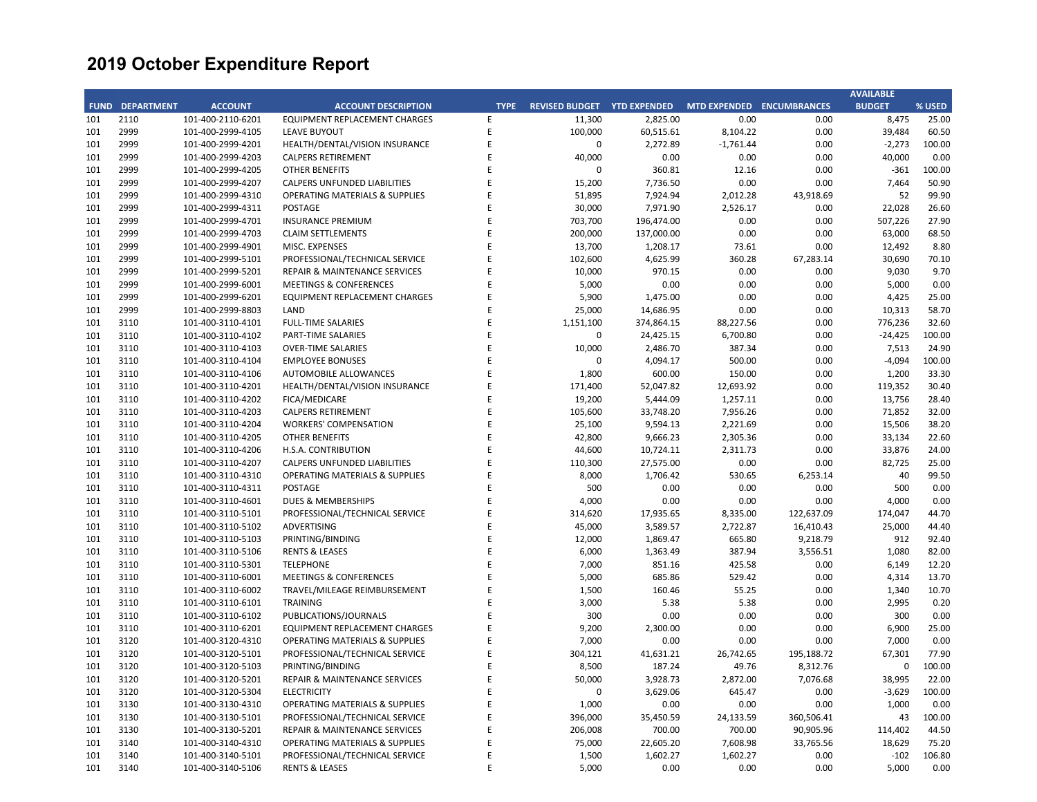|     |                        |                   |                                           |             |                             |            |                           |            | <b>AVAILABLE</b> |        |
|-----|------------------------|-------------------|-------------------------------------------|-------------|-----------------------------|------------|---------------------------|------------|------------------|--------|
|     | <b>FUND DEPARTMENT</b> | <b>ACCOUNT</b>    | <b>ACCOUNT DESCRIPTION</b>                | <b>TYPE</b> | REVISED BUDGET YTD EXPENDED |            | MTD EXPENDED ENCUMBRANCES |            | <b>BUDGET</b>    | % USED |
| 101 | 2110                   | 101-400-2110-6201 | <b>EQUIPMENT REPLACEMENT CHARGES</b>      | E           | 11,300                      | 2,825.00   | 0.00                      | 0.00       | 8,475            | 25.00  |
| 101 | 2999                   | 101-400-2999-4105 | <b>LEAVE BUYOUT</b>                       | $\mathsf E$ | 100,000                     | 60,515.61  | 8,104.22                  | 0.00       | 39,484           | 60.50  |
| 101 | 2999                   | 101-400-2999-4201 | HEALTH/DENTAL/VISION INSURANCE            | E           | $\mathbf 0$                 | 2,272.89   | $-1,761.44$               | 0.00       | $-2,273$         | 100.00 |
| 101 | 2999                   | 101-400-2999-4203 | <b>CALPERS RETIREMENT</b>                 | E           | 40,000                      | 0.00       | 0.00                      | 0.00       | 40,000           | 0.00   |
| 101 | 2999                   | 101-400-2999-4205 | <b>OTHER BENEFITS</b>                     | Ε           | 0                           | 360.81     | 12.16                     | 0.00       | $-361$           | 100.00 |
| 101 | 2999                   | 101-400-2999-4207 | CALPERS UNFUNDED LIABILITIES              | E           | 15,200                      | 7,736.50   | 0.00                      | 0.00       | 7,464            | 50.90  |
| 101 | 2999                   | 101-400-2999-4310 | <b>OPERATING MATERIALS &amp; SUPPLIES</b> | E           | 51,895                      | 7,924.94   | 2,012.28                  | 43,918.69  | 52               | 99.90  |
| 101 | 2999                   | 101-400-2999-4311 | POSTAGE                                   | E           | 30,000                      | 7,971.90   | 2,526.17                  | 0.00       | 22,028           | 26.60  |
| 101 | 2999                   | 101-400-2999-4701 | <b>INSURANCE PREMIUM</b>                  | E           | 703,700                     | 196,474.00 | 0.00                      | 0.00       | 507,226          | 27.90  |
| 101 | 2999                   | 101-400-2999-4703 | <b>CLAIM SETTLEMENTS</b>                  | E           | 200,000                     | 137,000.00 | 0.00                      | 0.00       | 63,000           | 68.50  |
| 101 | 2999                   | 101-400-2999-4901 | MISC. EXPENSES                            | E           | 13,700                      | 1,208.17   | 73.61                     | 0.00       | 12,492           | 8.80   |
| 101 | 2999                   | 101-400-2999-5101 | PROFESSIONAL/TECHNICAL SERVICE            | E           | 102,600                     | 4,625.99   | 360.28                    | 67,283.14  | 30,690           | 70.10  |
| 101 | 2999                   | 101-400-2999-5201 | REPAIR & MAINTENANCE SERVICES             | E           | 10,000                      | 970.15     | 0.00                      | 0.00       | 9,030            | 9.70   |
| 101 | 2999                   | 101-400-2999-6001 | <b>MEETINGS &amp; CONFERENCES</b>         | E           | 5,000                       | 0.00       | 0.00                      | 0.00       | 5,000            | 0.00   |
| 101 | 2999                   | 101-400-2999-6201 | EQUIPMENT REPLACEMENT CHARGES             | E           | 5,900                       | 1,475.00   | 0.00                      | 0.00       | 4,425            | 25.00  |
| 101 | 2999                   | 101-400-2999-8803 | LAND                                      | E           | 25,000                      | 14,686.95  | 0.00                      | 0.00       | 10,313           | 58.70  |
| 101 | 3110                   | 101-400-3110-4101 | <b>FULL-TIME SALARIES</b>                 | F           | 1,151,100                   | 374,864.15 | 88,227.56                 | 0.00       | 776,236          | 32.60  |
| 101 | 3110                   | 101-400-3110-4102 | PART-TIME SALARIES                        | E           | $\mathsf 0$                 | 24,425.15  | 6,700.80                  | 0.00       | $-24,425$        | 100.00 |
| 101 | 3110                   | 101-400-3110-4103 | <b>OVER-TIME SALARIES</b>                 | E           | 10,000                      | 2,486.70   | 387.34                    | 0.00       | 7,513            | 24.90  |
| 101 | 3110                   | 101-400-3110-4104 | <b>EMPLOYEE BONUSES</b>                   | E           | $\mathbf 0$                 | 4,094.17   | 500.00                    | 0.00       | $-4,094$         | 100.00 |
| 101 | 3110                   | 101-400-3110-4106 | AUTOMOBILE ALLOWANCES                     | E           | 1,800                       | 600.00     | 150.00                    | 0.00       | 1,200            | 33.30  |
|     |                        |                   |                                           | F           |                             |            |                           |            |                  |        |
| 101 | 3110                   | 101-400-3110-4201 | HEALTH/DENTAL/VISION INSURANCE            | E           | 171,400                     | 52,047.82  | 12,693.92                 | 0.00       | 119,352          | 30.40  |
| 101 | 3110                   | 101-400-3110-4202 | FICA/MEDICARE                             | E           | 19,200                      | 5,444.09   | 1,257.11                  | 0.00       | 13,756           | 28.40  |
| 101 | 3110                   | 101-400-3110-4203 | <b>CALPERS RETIREMENT</b>                 |             | 105,600                     | 33,748.20  | 7,956.26                  | 0.00       | 71,852           | 32.00  |
| 101 | 3110                   | 101-400-3110-4204 | <b>WORKERS' COMPENSATION</b>              | E           | 25,100                      | 9,594.13   | 2,221.69                  | 0.00       | 15,506           | 38.20  |
| 101 | 3110                   | 101-400-3110-4205 | <b>OTHER BENEFITS</b>                     | E           | 42,800                      | 9,666.23   | 2,305.36                  | 0.00       | 33,134           | 22.60  |
| 101 | 3110                   | 101-400-3110-4206 | H.S.A. CONTRIBUTION                       | E           | 44,600                      | 10,724.11  | 2,311.73                  | 0.00       | 33,876           | 24.00  |
| 101 | 3110                   | 101-400-3110-4207 | CALPERS UNFUNDED LIABILITIES              | E           | 110,300                     | 27,575.00  | 0.00                      | 0.00       | 82,725           | 25.00  |
| 101 | 3110                   | 101-400-3110-4310 | <b>OPERATING MATERIALS &amp; SUPPLIES</b> | E           | 8,000                       | 1,706.42   | 530.65                    | 6,253.14   | 40               | 99.50  |
| 101 | 3110                   | 101-400-3110-4311 | POSTAGE                                   | F           | 500                         | 0.00       | 0.00                      | 0.00       | 500              | 0.00   |
| 101 | 3110                   | 101-400-3110-4601 | DUES & MEMBERSHIPS                        | E           | 4,000                       | 0.00       | 0.00                      | 0.00       | 4,000            | 0.00   |
| 101 | 3110                   | 101-400-3110-5101 | PROFESSIONAL/TECHNICAL SERVICE            | E           | 314,620                     | 17,935.65  | 8,335.00                  | 122,637.09 | 174,047          | 44.70  |
| 101 | 3110                   | 101-400-3110-5102 | ADVERTISING                               | E           | 45,000                      | 3,589.57   | 2,722.87                  | 16,410.43  | 25,000           | 44.40  |
| 101 | 3110                   | 101-400-3110-5103 | PRINTING/BINDING                          | E           | 12,000                      | 1,869.47   | 665.80                    | 9,218.79   | 912              | 92.40  |
| 101 | 3110                   | 101-400-3110-5106 | <b>RENTS &amp; LEASES</b>                 | E           | 6,000                       | 1,363.49   | 387.94                    | 3,556.51   | 1,080            | 82.00  |
| 101 | 3110                   | 101-400-3110-5301 | <b>TELEPHONE</b>                          | E           | 7,000                       | 851.16     | 425.58                    | 0.00       | 6,149            | 12.20  |
| 101 | 3110                   | 101-400-3110-6001 | <b>MEETINGS &amp; CONFERENCES</b>         | E           | 5,000                       | 685.86     | 529.42                    | 0.00       | 4,314            | 13.70  |
| 101 | 3110                   | 101-400-3110-6002 | TRAVEL/MILEAGE REIMBURSEMENT              | E           | 1,500                       | 160.46     | 55.25                     | 0.00       | 1,340            | 10.70  |
| 101 | 3110                   | 101-400-3110-6101 | <b>TRAINING</b>                           | E           | 3,000                       | 5.38       | 5.38                      | 0.00       | 2,995            | 0.20   |
| 101 | 3110                   | 101-400-3110-6102 | PUBLICATIONS/JOURNALS                     | E           | 300                         | 0.00       | 0.00                      | 0.00       | 300              | 0.00   |
| 101 | 3110                   | 101-400-3110-6201 | EQUIPMENT REPLACEMENT CHARGES             | E           | 9,200                       | 2,300.00   | 0.00                      | 0.00       | 6,900            | 25.00  |
| 101 | 3120                   | 101-400-3120-4310 | <b>OPERATING MATERIALS &amp; SUPPLIES</b> | E           | 7,000                       | 0.00       | 0.00                      | 0.00       | 7,000            | 0.00   |
| 101 | 3120                   | 101-400-3120-5101 | PROFESSIONAL/TECHNICAL SERVICE            | E           | 304,121                     | 41,631.21  | 26,742.65                 | 195,188.72 | 67,301           | 77.90  |
| 101 | 3120                   | 101-400-3120-5103 | PRINTING/BINDING                          | E           | 8,500                       | 187.24     | 49.76                     | 8,312.76   | $\mathbf 0$      | 100.00 |
| 101 | 3120                   | 101-400-3120-5201 | <b>REPAIR &amp; MAINTENANCE SERVICES</b>  | E           | 50,000                      | 3,928.73   | 2,872.00                  | 7,076.68   | 38,995           | 22.00  |
| 101 | 3120                   | 101-400-3120-5304 | <b>ELECTRICITY</b>                        | E           | 0                           | 3,629.06   | 645.47                    | 0.00       | $-3,629$         | 100.00 |
| 101 | 3130                   | 101-400-3130-4310 | OPERATING MATERIALS & SUPPLIES            | E           | 1,000                       | 0.00       | 0.00                      | 0.00       | 1,000            | 0.00   |
| 101 | 3130                   | 101-400-3130-5101 | PROFESSIONAL/TECHNICAL SERVICE            | E           | 396,000                     | 35,450.59  | 24,133.59                 | 360,506.41 | 43               | 100.00 |
| 101 | 3130                   | 101-400-3130-5201 | REPAIR & MAINTENANCE SERVICES             | Ε           | 206,008                     | 700.00     | 700.00                    | 90,905.96  | 114,402          | 44.50  |
| 101 | 3140                   | 101-400-3140-4310 | <b>OPERATING MATERIALS &amp; SUPPLIES</b> | E           | 75,000                      | 22,605.20  | 7,608.98                  | 33,765.56  | 18,629           | 75.20  |
| 101 | 3140                   | 101-400-3140-5101 | PROFESSIONAL/TECHNICAL SERVICE            | E           | 1,500                       | 1,602.27   | 1,602.27                  | 0.00       | $-102$           | 106.80 |
| 101 | 3140                   | 101-400-3140-5106 | <b>RENTS &amp; LEASES</b>                 | F           | 5,000                       | 0.00       | 0.00                      | 0.00       | 5,000            | 0.00   |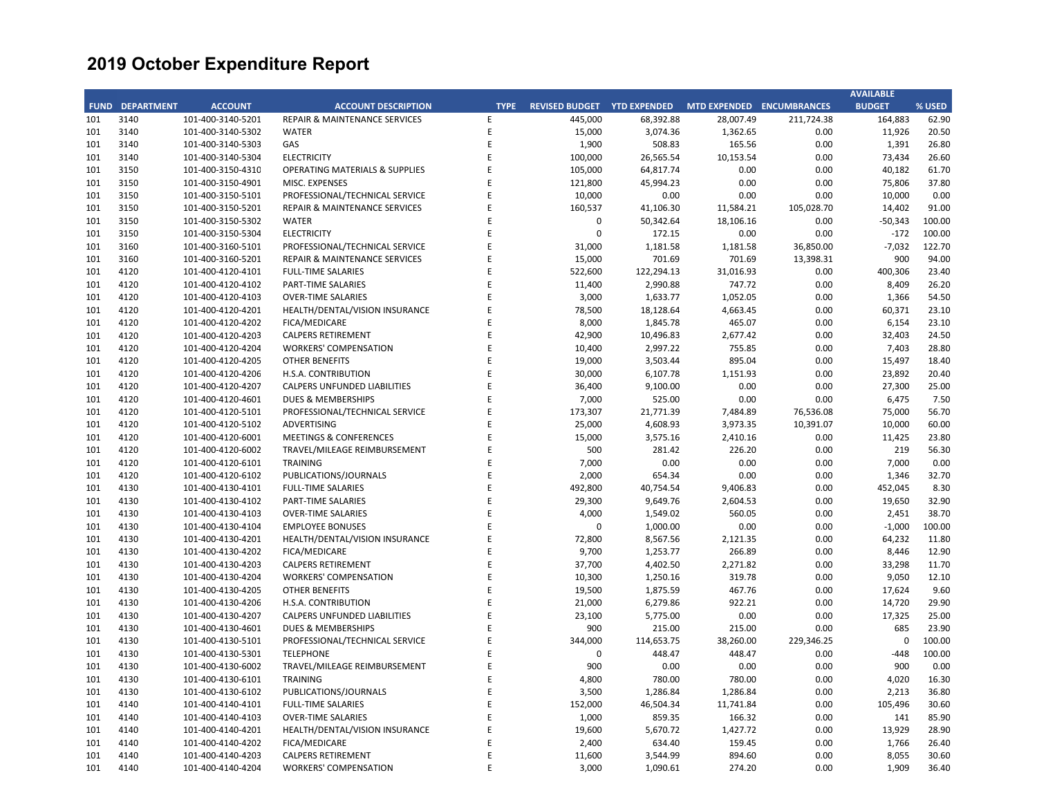|     |                        |                   |                                           |             |                                    |            |                           |            | <b>AVAILABLE</b> |        |
|-----|------------------------|-------------------|-------------------------------------------|-------------|------------------------------------|------------|---------------------------|------------|------------------|--------|
|     | <b>FUND DEPARTMENT</b> | <b>ACCOUNT</b>    | <b>ACCOUNT DESCRIPTION</b>                | <b>TYPE</b> | <b>REVISED BUDGET YTD EXPENDED</b> |            | MTD EXPENDED ENCUMBRANCES |            | <b>BUDGET</b>    | % USED |
| 101 | 3140                   | 101-400-3140-5201 | <b>REPAIR &amp; MAINTENANCE SERVICES</b>  | E           | 445,000                            | 68,392.88  | 28,007.49                 | 211,724.38 | 164,883          | 62.90  |
| 101 | 3140                   | 101-400-3140-5302 | <b>WATER</b>                              | E           | 15,000                             | 3,074.36   | 1,362.65                  | 0.00       | 11,926           | 20.50  |
| 101 | 3140                   | 101-400-3140-5303 | GAS                                       | E           | 1,900                              | 508.83     | 165.56                    | 0.00       | 1,391            | 26.80  |
| 101 | 3140                   | 101-400-3140-5304 | <b>ELECTRICITY</b>                        | E           | 100,000                            | 26,565.54  | 10,153.54                 | 0.00       | 73,434           | 26.60  |
| 101 | 3150                   | 101-400-3150-4310 | <b>OPERATING MATERIALS &amp; SUPPLIES</b> | E           | 105,000                            | 64,817.74  | 0.00                      | 0.00       | 40,182           | 61.70  |
| 101 | 3150                   | 101-400-3150-4901 | MISC. EXPENSES                            | F           | 121,800                            | 45,994.23  | 0.00                      | 0.00       | 75,806           | 37.80  |
| 101 | 3150                   | 101-400-3150-5101 | PROFESSIONAL/TECHNICAL SERVICE            | E           | 10,000                             | 0.00       | 0.00                      | 0.00       | 10,000           | 0.00   |
| 101 | 3150                   | 101-400-3150-5201 | REPAIR & MAINTENANCE SERVICES             | E           | 160,537                            | 41,106.30  | 11,584.21                 | 105,028.70 | 14,402           | 91.00  |
| 101 | 3150                   | 101-400-3150-5302 | <b>WATER</b>                              | E           | $\mathbf 0$                        | 50,342.64  | 18,106.16                 | 0.00       | $-50,343$        | 100.00 |
| 101 | 3150                   | 101-400-3150-5304 | <b>ELECTRICITY</b>                        | E           | $\mathbf 0$                        | 172.15     | 0.00                      | 0.00       | $-172$           | 100.00 |
| 101 | 3160                   | 101-400-3160-5101 | PROFESSIONAL/TECHNICAL SERVICE            | E           | 31,000                             | 1,181.58   | 1,181.58                  | 36,850.00  | $-7,032$         | 122.70 |
| 101 | 3160                   | 101-400-3160-5201 | REPAIR & MAINTENANCE SERVICES             | E           | 15,000                             | 701.69     | 701.69                    | 13,398.31  | 900              | 94.00  |
| 101 | 4120                   | 101-400-4120-4101 | <b>FULL-TIME SALARIES</b>                 | E           | 522,600                            | 122,294.13 | 31,016.93                 | 0.00       | 400,306          | 23.40  |
| 101 | 4120                   | 101-400-4120-4102 | PART-TIME SALARIES                        | E           | 11,400                             | 2,990.88   | 747.72                    | 0.00       | 8,409            | 26.20  |
| 101 | 4120                   | 101-400-4120-4103 | <b>OVER-TIME SALARIES</b>                 | E           | 3,000                              | 1,633.77   | 1,052.05                  | 0.00       | 1,366            | 54.50  |
| 101 | 4120                   | 101-400-4120-4201 | HEALTH/DENTAL/VISION INSURANCE            | E           | 78,500                             | 18,128.64  | 4,663.45                  | 0.00       | 60,371           | 23.10  |
| 101 | 4120                   | 101-400-4120-4202 | FICA/MEDICARE                             | E           | 8,000                              | 1,845.78   | 465.07                    | 0.00       | 6,154            | 23.10  |
| 101 | 4120                   | 101-400-4120-4203 | CALPERS RETIREMENT                        | E           | 42,900                             | 10,496.83  | 2,677.42                  | 0.00       | 32,403           | 24.50  |
| 101 | 4120                   | 101-400-4120-4204 | <b>WORKERS' COMPENSATION</b>              | E           | 10,400                             | 2,997.22   | 755.85                    | 0.00       | 7,403            | 28.80  |
|     | 4120                   |                   |                                           | F           | 19,000                             |            |                           |            |                  |        |
| 101 |                        | 101-400-4120-4205 | OTHER BENEFITS                            | E           |                                    | 3,503.44   | 895.04                    | 0.00       | 15,497           | 18.40  |
| 101 | 4120                   | 101-400-4120-4206 | H.S.A. CONTRIBUTION                       |             | 30,000                             | 6,107.78   | 1,151.93                  | 0.00       | 23,892           | 20.40  |
| 101 | 4120                   | 101-400-4120-4207 | CALPERS UNFUNDED LIABILITIES              | E           | 36,400                             | 9,100.00   | 0.00                      | 0.00       | 27,300           | 25.00  |
| 101 | 4120                   | 101-400-4120-4601 | <b>DUES &amp; MEMBERSHIPS</b>             | E           | 7,000                              | 525.00     | 0.00                      | 0.00       | 6,475            | 7.50   |
| 101 | 4120                   | 101-400-4120-5101 | PROFESSIONAL/TECHNICAL SERVICE            | E           | 173,307                            | 21,771.39  | 7,484.89                  | 76,536.08  | 75,000           | 56.70  |
| 101 | 4120                   | 101-400-4120-5102 | ADVERTISING                               | E           | 25,000                             | 4,608.93   | 3,973.35                  | 10,391.07  | 10,000           | 60.00  |
| 101 | 4120                   | 101-400-4120-6001 | <b>MEETINGS &amp; CONFERENCES</b>         | E           | 15,000                             | 3,575.16   | 2,410.16                  | 0.00       | 11,425           | 23.80  |
| 101 | 4120                   | 101-400-4120-6002 | TRAVEL/MILEAGE REIMBURSEMENT              | E           | 500                                | 281.42     | 226.20                    | 0.00       | 219              | 56.30  |
| 101 | 4120                   | 101-400-4120-6101 | <b>TRAINING</b>                           | E           | 7,000                              | 0.00       | 0.00                      | 0.00       | 7,000            | 0.00   |
| 101 | 4120                   | 101-400-4120-6102 | PUBLICATIONS/JOURNALS                     | E           | 2,000                              | 654.34     | 0.00                      | 0.00       | 1,346            | 32.70  |
| 101 | 4130                   | 101-400-4130-4101 | <b>FULL-TIME SALARIES</b>                 | E           | 492,800                            | 40,754.54  | 9,406.83                  | 0.00       | 452,045          | 8.30   |
| 101 | 4130                   | 101-400-4130-4102 | PART-TIME SALARIES                        | E           | 29,300                             | 9,649.76   | 2,604.53                  | 0.00       | 19,650           | 32.90  |
| 101 | 4130                   | 101-400-4130-4103 | <b>OVER-TIME SALARIES</b>                 | E           | 4,000                              | 1,549.02   | 560.05                    | 0.00       | 2,451            | 38.70  |
| 101 | 4130                   | 101-400-4130-4104 | <b>EMPLOYEE BONUSES</b>                   | E           | $\mathbf 0$                        | 1,000.00   | 0.00                      | 0.00       | $-1,000$         | 100.00 |
| 101 | 4130                   | 101-400-4130-4201 | HEALTH/DENTAL/VISION INSURANCE            | E           | 72,800                             | 8,567.56   | 2,121.35                  | 0.00       | 64,232           | 11.80  |
| 101 | 4130                   | 101-400-4130-4202 | FICA/MEDICARE                             | E           | 9,700                              | 1,253.77   | 266.89                    | 0.00       | 8,446            | 12.90  |
| 101 | 4130                   | 101-400-4130-4203 | <b>CALPERS RETIREMENT</b>                 | E           | 37,700                             | 4,402.50   | 2,271.82                  | 0.00       | 33,298           | 11.70  |
| 101 | 4130                   | 101-400-4130-4204 | <b>WORKERS' COMPENSATION</b>              | E           | 10,300                             | 1,250.16   | 319.78                    | 0.00       | 9,050            | 12.10  |
| 101 | 4130                   | 101-400-4130-4205 | <b>OTHER BENEFITS</b>                     | E           | 19,500                             | 1,875.59   | 467.76                    | 0.00       | 17,624           | 9.60   |
| 101 | 4130                   | 101-400-4130-4206 | H.S.A. CONTRIBUTION                       | E           | 21,000                             | 6,279.86   | 922.21                    | 0.00       | 14,720           | 29.90  |
| 101 | 4130                   | 101-400-4130-4207 | CALPERS UNFUNDED LIABILITIES              | E           | 23,100                             | 5,775.00   | 0.00                      | 0.00       | 17,325           | 25.00  |
| 101 | 4130                   | 101-400-4130-4601 | <b>DUES &amp; MEMBERSHIPS</b>             | E           | 900                                | 215.00     | 215.00                    | 0.00       | 685              | 23.90  |
| 101 | 4130                   | 101-400-4130-5101 | PROFESSIONAL/TECHNICAL SERVICE            | E           | 344,000                            | 114,653.75 | 38,260.00                 | 229,346.25 | $\mathbf 0$      | 100.00 |
| 101 | 4130                   | 101-400-4130-5301 | <b>TELEPHONE</b>                          | E           | $\mathbf 0$                        | 448.47     | 448.47                    | 0.00       | $-448$           | 100.00 |
| 101 | 4130                   | 101-400-4130-6002 | TRAVEL/MILEAGE REIMBURSEMENT              | E           | 900                                | 0.00       | 0.00                      | 0.00       | 900              | 0.00   |
| 101 | 4130                   | 101-400-4130-6101 | <b>TRAINING</b>                           | E           | 4,800                              | 780.00     | 780.00                    | 0.00       | 4,020            | 16.30  |
| 101 | 4130                   | 101-400-4130-6102 | PUBLICATIONS/JOURNALS                     | E           | 3,500                              | 1,286.84   | 1,286.84                  | 0.00       | 2,213            | 36.80  |
| 101 | 4140                   | 101-400-4140-4101 | <b>FULL-TIME SALARIES</b>                 | E           | 152,000                            | 46,504.34  | 11,741.84                 | 0.00       | 105,496          | 30.60  |
| 101 | 4140                   | 101-400-4140-4103 | <b>OVER-TIME SALARIES</b>                 | E           | 1,000                              | 859.35     | 166.32                    | 0.00       | 141              | 85.90  |
| 101 | 4140                   | 101-400-4140-4201 | HEALTH/DENTAL/VISION INSURANCE            | E           | 19,600                             | 5,670.72   | 1,427.72                  | 0.00       | 13,929           | 28.90  |
| 101 | 4140                   | 101-400-4140-4202 | FICA/MEDICARE                             | E           | 2,400                              | 634.40     | 159.45                    | 0.00       | 1,766            | 26.40  |
| 101 | 4140                   | 101-400-4140-4203 | <b>CALPERS RETIREMENT</b>                 | E           | 11,600                             | 3,544.99   | 894.60                    | 0.00       | 8,055            | 30.60  |
| 101 | 4140                   | 101-400-4140-4204 | <b>WORKERS' COMPENSATION</b>              | F           | 3,000                              | 1,090.61   | 274.20                    | 0.00       | 1,909            | 36.40  |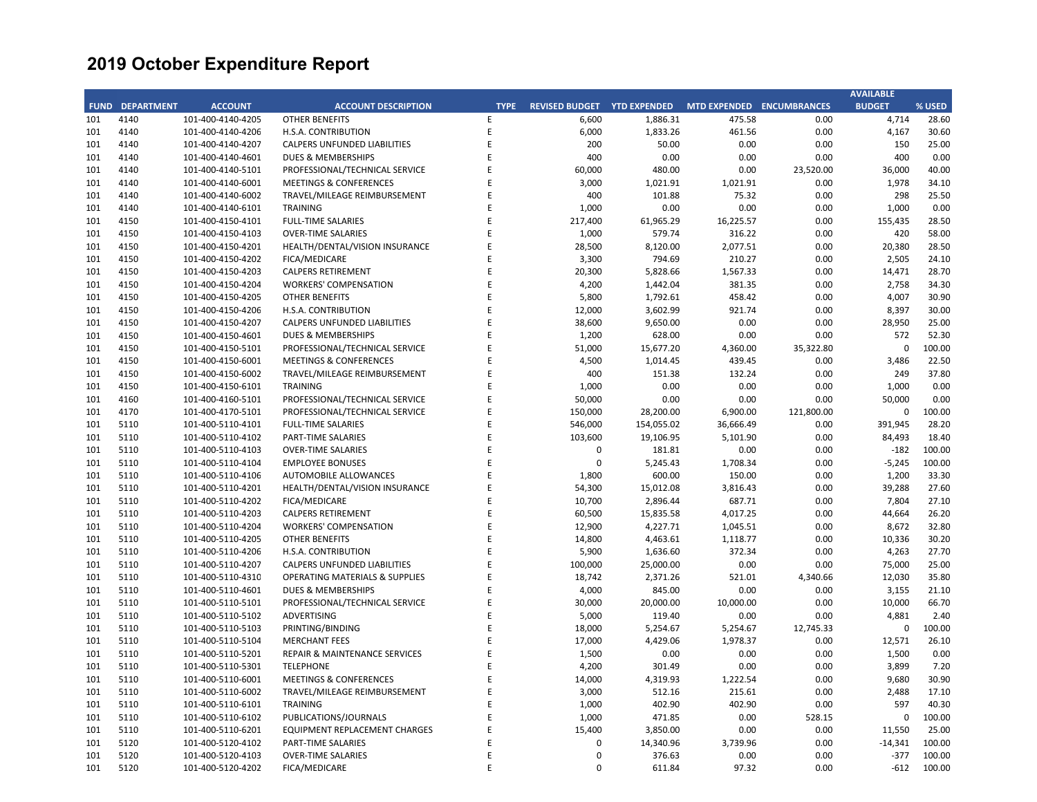|     |                        |                   |                                           |             |                             |            |                           |            | <b>AVAILABLE</b> |        |
|-----|------------------------|-------------------|-------------------------------------------|-------------|-----------------------------|------------|---------------------------|------------|------------------|--------|
|     | <b>FUND DEPARTMENT</b> | <b>ACCOUNT</b>    | <b>ACCOUNT DESCRIPTION</b>                | <b>TYPE</b> | REVISED BUDGET YTD EXPENDED |            | MTD EXPENDED ENCUMBRANCES |            | <b>BUDGET</b>    | % USED |
| 101 | 4140                   | 101-400-4140-4205 | <b>OTHER BENEFITS</b>                     | E           | 6,600                       | 1,886.31   | 475.58                    | 0.00       | 4,714            | 28.60  |
| 101 | 4140                   | 101-400-4140-4206 | H.S.A. CONTRIBUTION                       | E           | 6,000                       | 1,833.26   | 461.56                    | 0.00       | 4,167            | 30.60  |
| 101 | 4140                   | 101-400-4140-4207 | <b>CALPERS UNFUNDED LIABILITIES</b>       | E           | 200                         | 50.00      | 0.00                      | 0.00       | 150              | 25.00  |
| 101 | 4140                   | 101-400-4140-4601 | <b>DUES &amp; MEMBERSHIPS</b>             | E           | 400                         | 0.00       | 0.00                      | 0.00       | 400              | 0.00   |
| 101 | 4140                   | 101-400-4140-5101 | PROFESSIONAL/TECHNICAL SERVICE            | E           | 60,000                      | 480.00     | 0.00                      | 23,520.00  | 36,000           | 40.00  |
| 101 | 4140                   | 101-400-4140-6001 | <b>MEETINGS &amp; CONFERENCES</b>         | E           | 3,000                       | 1,021.91   | 1,021.91                  | 0.00       | 1,978            | 34.10  |
| 101 | 4140                   | 101-400-4140-6002 | TRAVEL/MILEAGE REIMBURSEMENT              | E           | 400                         | 101.88     | 75.32                     | 0.00       | 298              | 25.50  |
| 101 | 4140                   | 101-400-4140-6101 | <b>TRAINING</b>                           | E           | 1,000                       | 0.00       | 0.00                      | 0.00       | 1,000            | 0.00   |
| 101 | 4150                   | 101-400-4150-4101 | <b>FULL-TIME SALARIES</b>                 | E           | 217,400                     | 61,965.29  | 16,225.57                 | 0.00       | 155,435          | 28.50  |
| 101 | 4150                   | 101-400-4150-4103 | <b>OVER-TIME SALARIES</b>                 | E           | 1,000                       | 579.74     | 316.22                    | 0.00       | 420              | 58.00  |
| 101 | 4150                   | 101-400-4150-4201 | HEALTH/DENTAL/VISION INSURANCE            | E           | 28,500                      | 8,120.00   | 2,077.51                  | 0.00       | 20,380           | 28.50  |
| 101 | 4150                   | 101-400-4150-4202 | FICA/MEDICARE                             | E           | 3,300                       | 794.69     | 210.27                    | 0.00       | 2,505            | 24.10  |
| 101 | 4150                   | 101-400-4150-4203 | <b>CALPERS RETIREMENT</b>                 | E           | 20,300                      | 5,828.66   | 1,567.33                  | 0.00       | 14,471           | 28.70  |
| 101 | 4150                   | 101-400-4150-4204 | <b>WORKERS' COMPENSATION</b>              | E           | 4,200                       | 1,442.04   | 381.35                    | 0.00       | 2,758            | 34.30  |
| 101 | 4150                   | 101-400-4150-4205 | <b>OTHER BENEFITS</b>                     | E           | 5,800                       | 1,792.61   | 458.42                    | 0.00       | 4,007            | 30.90  |
| 101 | 4150                   | 101-400-4150-4206 | H.S.A. CONTRIBUTION                       | E           | 12,000                      | 3,602.99   | 921.74                    | 0.00       | 8,397            | 30.00  |
| 101 | 4150                   | 101-400-4150-4207 | CALPERS UNFUNDED LIABILITIES              | E           | 38,600                      | 9,650.00   | 0.00                      | 0.00       | 28,950           | 25.00  |
| 101 | 4150                   | 101-400-4150-4601 | <b>DUES &amp; MEMBERSHIPS</b>             | E           | 1,200                       | 628.00     | 0.00                      | 0.00       | 572              | 52.30  |
| 101 | 4150                   | 101-400-4150-5101 | PROFESSIONAL/TECHNICAL SERVICE            | E           | 51,000                      | 15,677.20  | 4,360.00                  | 35,322.80  | 0                | 100.00 |
| 101 | 4150                   | 101-400-4150-6001 | <b>MEETINGS &amp; CONFERENCES</b>         | E           | 4,500                       | 1,014.45   | 439.45                    | 0.00       | 3,486            | 22.50  |
| 101 | 4150                   | 101-400-4150-6002 | TRAVEL/MILEAGE REIMBURSEMENT              | E           | 400                         | 151.38     | 132.24                    | 0.00       | 249              | 37.80  |
| 101 | 4150                   | 101-400-4150-6101 | <b>TRAINING</b>                           | F           | 1,000                       | 0.00       | 0.00                      | 0.00       | 1,000            | 0.00   |
| 101 | 4160                   | 101-400-4160-5101 | PROFESSIONAL/TECHNICAL SERVICE            | E           | 50,000                      | 0.00       | 0.00                      | 0.00       | 50,000           | 0.00   |
| 101 | 4170                   | 101-400-4170-5101 | PROFESSIONAL/TECHNICAL SERVICE            | E           | 150,000                     | 28,200.00  | 6,900.00                  | 121,800.00 | 0                | 100.00 |
| 101 | 5110                   | 101-400-5110-4101 | <b>FULL-TIME SALARIES</b>                 | E           | 546,000                     | 154,055.02 | 36,666.49                 | 0.00       | 391,945          | 28.20  |
| 101 | 5110                   | 101-400-5110-4102 | PART-TIME SALARIES                        | E           | 103,600                     | 19,106.95  | 5,101.90                  | 0.00       | 84,493           | 18.40  |
| 101 | 5110                   | 101-400-5110-4103 | <b>OVER-TIME SALARIES</b>                 | E           | 0                           | 181.81     | 0.00                      | 0.00       | $-182$           | 100.00 |
| 101 | 5110                   | 101-400-5110-4104 | <b>EMPLOYEE BONUSES</b>                   | E           | $\mathbf 0$                 | 5,245.43   | 1,708.34                  | 0.00       | $-5,245$         | 100.00 |
| 101 | 5110                   | 101-400-5110-4106 | <b>AUTOMOBILE ALLOWANCES</b>              | E           | 1,800                       | 600.00     | 150.00                    | 0.00       | 1,200            | 33.30  |
| 101 | 5110                   | 101-400-5110-4201 | HEALTH/DENTAL/VISION INSURANCE            | E           | 54,300                      | 15,012.08  | 3,816.43                  | 0.00       | 39,288           | 27.60  |
| 101 | 5110                   | 101-400-5110-4202 | FICA/MEDICARE                             | E           | 10,700                      | 2,896.44   | 687.71                    | 0.00       | 7,804            | 27.10  |
| 101 | 5110                   | 101-400-5110-4203 | <b>CALPERS RETIREMENT</b>                 | E           | 60,500                      | 15,835.58  | 4,017.25                  | 0.00       | 44,664           | 26.20  |
| 101 | 5110                   | 101-400-5110-4204 | <b>WORKERS' COMPENSATION</b>              | E           | 12,900                      | 4,227.71   | 1,045.51                  | 0.00       | 8,672            | 32.80  |
| 101 | 5110                   | 101-400-5110-4205 | <b>OTHER BENEFITS</b>                     | E           | 14,800                      | 4,463.61   | 1,118.77                  | 0.00       | 10,336           | 30.20  |
| 101 | 5110                   | 101-400-5110-4206 | H.S.A. CONTRIBUTION                       | E           | 5,900                       | 1,636.60   | 372.34                    | 0.00       | 4,263            | 27.70  |
| 101 | 5110                   | 101-400-5110-4207 | CALPERS UNFUNDED LIABILITIES              | E           | 100,000                     | 25,000.00  | 0.00                      | 0.00       | 75,000           | 25.00  |
| 101 | 5110                   | 101-400-5110-4310 | <b>OPERATING MATERIALS &amp; SUPPLIES</b> | E           | 18,742                      | 2,371.26   | 521.01                    | 4,340.66   | 12,030           | 35.80  |
| 101 | 5110                   | 101-400-5110-4601 | <b>DUES &amp; MEMBERSHIPS</b>             | E           | 4,000                       | 845.00     | 0.00                      | 0.00       | 3,155            | 21.10  |
| 101 | 5110                   | 101-400-5110-5101 | PROFESSIONAL/TECHNICAL SERVICE            | E           | 30,000                      | 20,000.00  | 10,000.00                 | 0.00       | 10,000           | 66.70  |
| 101 | 5110                   | 101-400-5110-5102 | ADVERTISING                               | E           | 5,000                       | 119.40     | 0.00                      | 0.00       | 4,881            | 2.40   |
| 101 | 5110                   | 101-400-5110-5103 | PRINTING/BINDING                          | E           | 18,000                      | 5,254.67   | 5,254.67                  | 12,745.33  | 0                | 100.00 |
| 101 | 5110                   | 101-400-5110-5104 | <b>MERCHANT FEES</b>                      | E           | 17,000                      | 4,429.06   | 1,978.37                  | 0.00       | 12,571           | 26.10  |
| 101 | 5110                   | 101-400-5110-5201 | REPAIR & MAINTENANCE SERVICES             | E           | 1,500                       | 0.00       | 0.00                      | 0.00       | 1,500            | 0.00   |
| 101 | 5110                   | 101-400-5110-5301 | <b>TELEPHONE</b>                          | E           | 4,200                       | 301.49     | 0.00                      | 0.00       | 3,899            | 7.20   |
| 101 | 5110                   | 101-400-5110-6001 | <b>MEETINGS &amp; CONFERENCES</b>         | E           | 14,000                      | 4,319.93   | 1,222.54                  | 0.00       | 9,680            | 30.90  |
| 101 | 5110                   | 101-400-5110-6002 | TRAVEL/MILEAGE REIMBURSEMENT              | E           | 3,000                       | 512.16     | 215.61                    | 0.00       | 2,488            | 17.10  |
| 101 | 5110                   | 101-400-5110-6101 | <b>TRAINING</b>                           | E           | 1,000                       | 402.90     | 402.90                    | 0.00       | 597              | 40.30  |
| 101 | 5110                   | 101-400-5110-6102 | PUBLICATIONS/JOURNALS                     | E           | 1,000                       | 471.85     | 0.00                      | 528.15     | $\mathbf 0$      | 100.00 |
| 101 | 5110                   | 101-400-5110-6201 | EQUIPMENT REPLACEMENT CHARGES             | E           | 15,400                      | 3,850.00   | 0.00                      | 0.00       | 11,550           | 25.00  |
| 101 | 5120                   | 101-400-5120-4102 | PART-TIME SALARIES                        | E           | $\mathbf 0$                 | 14,340.96  | 3,739.96                  | 0.00       | $-14,341$        | 100.00 |
| 101 | 5120                   | 101-400-5120-4103 | <b>OVER-TIME SALARIES</b>                 | E           | $\mathbf 0$                 | 376.63     | 0.00                      | 0.00       | $-377$           | 100.00 |
| 101 | 5120                   | 101-400-5120-4202 | FICA/MEDICARE                             | F           | $\mathbf 0$                 | 611.84     | 97.32                     | 0.00       | $-612$           | 100.00 |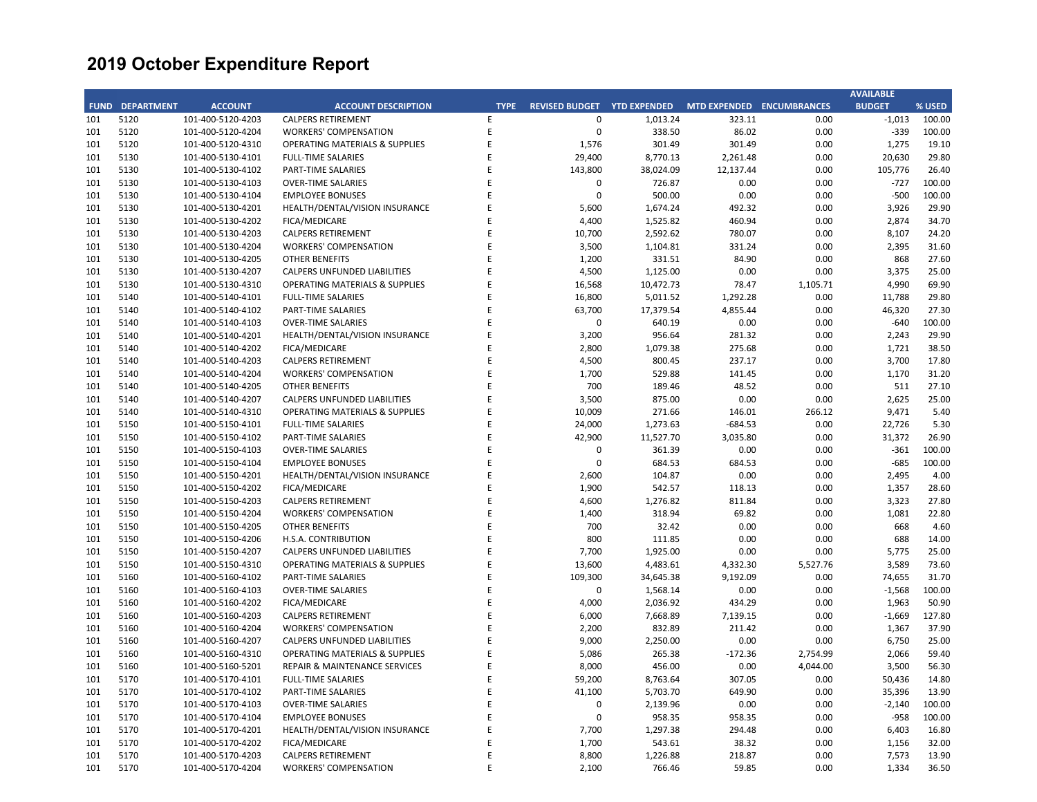|     |                        |                   |                                           |             |                       |                     |                           |          | <b>AVAILABLE</b> |        |
|-----|------------------------|-------------------|-------------------------------------------|-------------|-----------------------|---------------------|---------------------------|----------|------------------|--------|
|     | <b>FUND DEPARTMENT</b> | <b>ACCOUNT</b>    | <b>ACCOUNT DESCRIPTION</b>                | <b>TYPE</b> | <b>REVISED BUDGET</b> | <b>YTD EXPENDED</b> | MTD EXPENDED ENCUMBRANCES |          | <b>BUDGET</b>    | % USED |
| 101 | 5120                   | 101-400-5120-4203 | <b>CALPERS RETIREMENT</b>                 | E           | 0                     | 1,013.24            | 323.11                    | 0.00     | $-1,013$         | 100.00 |
| 101 | 5120                   | 101-400-5120-4204 | <b>WORKERS' COMPENSATION</b>              | E           | 0                     | 338.50              | 86.02                     | 0.00     | $-339$           | 100.00 |
| 101 | 5120                   | 101-400-5120-4310 | <b>OPERATING MATERIALS &amp; SUPPLIES</b> | E           | 1,576                 | 301.49              | 301.49                    | 0.00     | 1,275            | 19.10  |
| 101 | 5130                   | 101-400-5130-4101 | <b>FULL-TIME SALARIES</b>                 | E           | 29,400                | 8,770.13            | 2,261.48                  | 0.00     | 20,630           | 29.80  |
| 101 | 5130                   | 101-400-5130-4102 | PART-TIME SALARIES                        | E           | 143,800               | 38,024.09           | 12,137.44                 | 0.00     | 105,776          | 26.40  |
| 101 | 5130                   | 101-400-5130-4103 | <b>OVER-TIME SALARIES</b>                 | F           | 0                     | 726.87              | 0.00                      | 0.00     | $-727$           | 100.00 |
| 101 | 5130                   | 101-400-5130-4104 | <b>EMPLOYEE BONUSES</b>                   | E           | $\mathbf 0$           | 500.00              | 0.00                      | 0.00     | $-500$           | 100.00 |
| 101 | 5130                   | 101-400-5130-4201 | HEALTH/DENTAL/VISION INSURANCE            | E           | 5,600                 | 1,674.24            | 492.32                    | 0.00     | 3,926            | 29.90  |
| 101 | 5130                   | 101-400-5130-4202 | FICA/MEDICARE                             | F           | 4,400                 | 1,525.82            | 460.94                    | 0.00     | 2,874            | 34.70  |
| 101 | 5130                   | 101-400-5130-4203 | <b>CALPERS RETIREMENT</b>                 | E           | 10,700                | 2,592.62            | 780.07                    | 0.00     | 8,107            | 24.20  |
| 101 | 5130                   | 101-400-5130-4204 | <b>WORKERS' COMPENSATION</b>              | F           | 3,500                 | 1,104.81            | 331.24                    | 0.00     | 2,395            | 31.60  |
| 101 | 5130                   | 101-400-5130-4205 | <b>OTHER BENEFITS</b>                     | E           | 1,200                 | 331.51              | 84.90                     | 0.00     | 868              | 27.60  |
| 101 | 5130                   | 101-400-5130-4207 | CALPERS UNFUNDED LIABILITIES              | E           | 4,500                 | 1,125.00            | 0.00                      | 0.00     | 3,375            | 25.00  |
| 101 | 5130                   | 101-400-5130-4310 | <b>OPERATING MATERIALS &amp; SUPPLIES</b> | Ε           | 16,568                | 10,472.73           | 78.47                     | 1,105.71 | 4,990            | 69.90  |
| 101 | 5140                   | 101-400-5140-4101 | <b>FULL-TIME SALARIES</b>                 | F           | 16,800                | 5,011.52            | 1,292.28                  | 0.00     | 11,788           | 29.80  |
| 101 | 5140                   | 101-400-5140-4102 | PART-TIME SALARIES                        |             | 63,700                | 17,379.54           | 4,855.44                  | 0.00     | 46,320           | 27.30  |
| 101 | 5140                   | 101-400-5140-4103 | <b>OVER-TIME SALARIES</b>                 | F           | $\mathbf 0$           | 640.19              | 0.00                      | 0.00     | $-640$           | 100.00 |
| 101 | 5140                   | 101-400-5140-4201 | HEALTH/DENTAL/VISION INSURANCE            | E           | 3,200                 | 956.64              | 281.32                    | 0.00     | 2,243            | 29.90  |
| 101 | 5140                   | 101-400-5140-4202 | FICA/MEDICARE                             | E           | 2,800                 | 1,079.38            | 275.68                    | 0.00     | 1,721            | 38.50  |
|     | 5140                   |                   |                                           | F           |                       |                     |                           |          |                  |        |
| 101 |                        | 101-400-5140-4203 | <b>CALPERS RETIREMENT</b>                 | E           | 4,500                 | 800.45              | 237.17                    | 0.00     | 3,700            | 17.80  |
| 101 | 5140                   | 101-400-5140-4204 | WORKERS' COMPENSATION                     |             | 1,700                 | 529.88              | 141.45                    | 0.00     | 1,170            | 31.20  |
| 101 | 5140                   | 101-400-5140-4205 | <b>OTHER BENEFITS</b>                     | F           | 700                   | 189.46              | 48.52                     | 0.00     | 511              | 27.10  |
| 101 | 5140                   | 101-400-5140-4207 | CALPERS UNFUNDED LIABILITIES              | F           | 3,500                 | 875.00              | 0.00                      | 0.00     | 2,625            | 25.00  |
| 101 | 5140                   | 101-400-5140-4310 | <b>OPERATING MATERIALS &amp; SUPPLIES</b> | E           | 10,009                | 271.66              | 146.01                    | 266.12   | 9,471            | 5.40   |
| 101 | 5150                   | 101-400-5150-4101 | <b>FULL-TIME SALARIES</b>                 |             | 24,000                | 1,273.63            | $-684.53$                 | 0.00     | 22,726           | 5.30   |
| 101 | 5150                   | 101-400-5150-4102 | PART-TIME SALARIES                        | E           | 42,900                | 11,527.70           | 3,035.80                  | 0.00     | 31,372           | 26.90  |
| 101 | 5150                   | 101-400-5150-4103 | <b>OVER-TIME SALARIES</b>                 | E           | $\mathbf 0$           | 361.39              | 0.00                      | 0.00     | $-361$           | 100.00 |
| 101 | 5150                   | 101-400-5150-4104 | <b>EMPLOYEE BONUSES</b>                   | E           | $\mathbf 0$           | 684.53              | 684.53                    | 0.00     | $-685$           | 100.00 |
| 101 | 5150                   | 101-400-5150-4201 | HEALTH/DENTAL/VISION INSURANCE            | F           | 2,600                 | 104.87              | 0.00                      | 0.00     | 2,495            | 4.00   |
| 101 | 5150                   | 101-400-5150-4202 | FICA/MEDICARE                             | E           | 1,900                 | 542.57              | 118.13                    | 0.00     | 1,357            | 28.60  |
| 101 | 5150                   | 101-400-5150-4203 | <b>CALPERS RETIREMENT</b>                 | E           | 4,600                 | 1,276.82            | 811.84                    | 0.00     | 3,323            | 27.80  |
| 101 | 5150                   | 101-400-5150-4204 | <b>WORKERS' COMPENSATION</b>              | F           | 1,400                 | 318.94              | 69.82                     | 0.00     | 1,081            | 22.80  |
| 101 | 5150                   | 101-400-5150-4205 | <b>OTHER BENEFITS</b>                     | E           | 700                   | 32.42               | 0.00                      | 0.00     | 668              | 4.60   |
| 101 | 5150                   | 101-400-5150-4206 | H.S.A. CONTRIBUTION                       | E           | 800                   | 111.85              | 0.00                      | 0.00     | 688              | 14.00  |
| 101 | 5150                   | 101-400-5150-4207 | CALPERS UNFUNDED LIABILITIES              | F           | 7,700                 | 1,925.00            | 0.00                      | 0.00     | 5,775            | 25.00  |
| 101 | 5150                   | 101-400-5150-4310 | <b>OPERATING MATERIALS &amp; SUPPLIES</b> | E           | 13,600                | 4,483.61            | 4,332.30                  | 5,527.76 | 3,589            | 73.60  |
| 101 | 5160                   | 101-400-5160-4102 | PART-TIME SALARIES                        | E           | 109,300               | 34,645.38           | 9,192.09                  | 0.00     | 74,655           | 31.70  |
| 101 | 5160                   | 101-400-5160-4103 | <b>OVER-TIME SALARIES</b>                 | E           | $\mathbf 0$           | 1,568.14            | 0.00                      | 0.00     | $-1,568$         | 100.00 |
| 101 | 5160                   | 101-400-5160-4202 | FICA/MEDICARE                             |             | 4,000                 | 2,036.92            | 434.29                    | 0.00     | 1,963            | 50.90  |
| 101 | 5160                   | 101-400-5160-4203 | <b>CALPERS RETIREMENT</b>                 | E           | 6,000                 | 7,668.89            | 7,139.15                  | 0.00     | $-1,669$         | 127.80 |
| 101 | 5160                   | 101-400-5160-4204 | <b>WORKERS' COMPENSATION</b>              | E           | 2,200                 | 832.89              | 211.42                    | 0.00     | 1,367            | 37.90  |
| 101 | 5160                   | 101-400-5160-4207 | CALPERS UNFUNDED LIABILITIES              | E           | 9,000                 | 2,250.00            | 0.00                      | 0.00     | 6,750            | 25.00  |
| 101 | 5160                   | 101-400-5160-4310 | <b>OPERATING MATERIALS &amp; SUPPLIES</b> | E           | 5,086                 | 265.38              | $-172.36$                 | 2,754.99 | 2,066            | 59.40  |
| 101 | 5160                   | 101-400-5160-5201 | REPAIR & MAINTENANCE SERVICES             | E           | 8,000                 | 456.00              | 0.00                      | 4,044.00 | 3,500            | 56.30  |
| 101 | 5170                   | 101-400-5170-4101 | <b>FULL-TIME SALARIES</b>                 | E           | 59,200                | 8,763.64            | 307.05                    | 0.00     | 50,436           | 14.80  |
| 101 | 5170                   | 101-400-5170-4102 | PART-TIME SALARIES                        | E           | 41,100                | 5,703.70            | 649.90                    | 0.00     | 35,396           | 13.90  |
| 101 | 5170                   | 101-400-5170-4103 | <b>OVER-TIME SALARIES</b>                 | E           | 0                     | 2,139.96            | 0.00                      | 0.00     | $-2,140$         | 100.00 |
| 101 | 5170                   | 101-400-5170-4104 | <b>EMPLOYEE BONUSES</b>                   | E           | $\Omega$              | 958.35              | 958.35                    | 0.00     | $-958$           | 100.00 |
| 101 | 5170                   | 101-400-5170-4201 | HEALTH/DENTAL/VISION INSURANCE            | Ε           | 7,700                 | 1,297.38            | 294.48                    | 0.00     | 6,403            | 16.80  |
| 101 | 5170                   | 101-400-5170-4202 | FICA/MEDICARE                             | F           | 1,700                 | 543.61              | 38.32                     | 0.00     | 1,156            | 32.00  |
| 101 | 5170                   | 101-400-5170-4203 | <b>CALPERS RETIREMENT</b>                 | E           | 8,800                 | 1,226.88            | 218.87                    | 0.00     | 7,573            | 13.90  |
| 101 | 5170                   | 101-400-5170-4204 | <b>WORKERS' COMPENSATION</b>              | F           | 2,100                 | 766.46              | 59.85                     | 0.00     | 1,334            | 36.50  |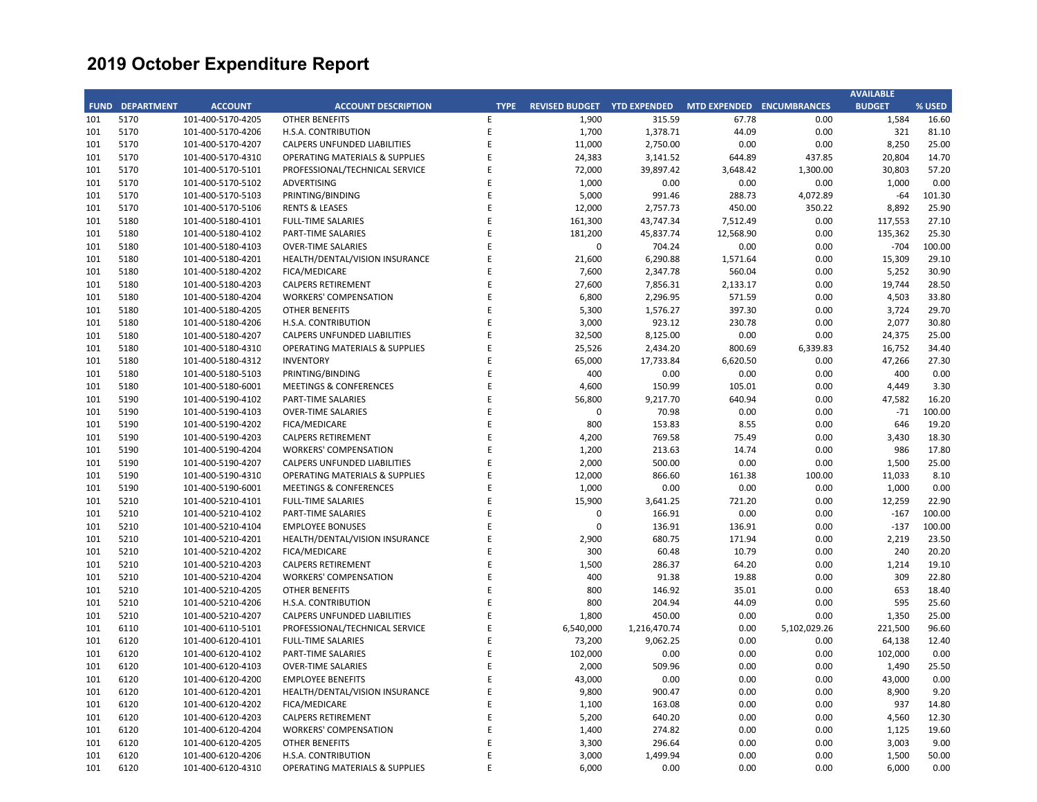|     |                        |                   |                                           |             |                             |              |                           |              | <b>AVAILABLE</b> |        |
|-----|------------------------|-------------------|-------------------------------------------|-------------|-----------------------------|--------------|---------------------------|--------------|------------------|--------|
|     | <b>FUND DEPARTMENT</b> | <b>ACCOUNT</b>    | <b>ACCOUNT DESCRIPTION</b>                | <b>TYPE</b> | REVISED BUDGET YTD EXPENDED |              | MTD EXPENDED ENCUMBRANCES |              | <b>BUDGET</b>    | % USED |
| 101 | 5170                   | 101-400-5170-4205 | <b>OTHER BENEFITS</b>                     | E           | 1,900                       | 315.59       | 67.78                     | 0.00         | 1,584            | 16.60  |
| 101 | 5170                   | 101-400-5170-4206 | H.S.A. CONTRIBUTION                       | E           | 1,700                       | 1,378.71     | 44.09                     | 0.00         | 321              | 81.10  |
| 101 | 5170                   | 101-400-5170-4207 | CALPERS UNFUNDED LIABILITIES              | E           | 11,000                      | 2,750.00     | 0.00                      | 0.00         | 8,250            | 25.00  |
| 101 | 5170                   | 101-400-5170-4310 | <b>OPERATING MATERIALS &amp; SUPPLIES</b> | E           | 24,383                      | 3,141.52     | 644.89                    | 437.85       | 20,804           | 14.70  |
| 101 | 5170                   | 101-400-5170-5101 | PROFESSIONAL/TECHNICAL SERVICE            | E           | 72,000                      | 39,897.42    | 3,648.42                  | 1,300.00     | 30,803           | 57.20  |
| 101 | 5170                   | 101-400-5170-5102 | ADVERTISING                               | E           | 1,000                       | 0.00         | 0.00                      | 0.00         | 1,000            | 0.00   |
| 101 | 5170                   | 101-400-5170-5103 | PRINTING/BINDING                          | E           | 5,000                       | 991.46       | 288.73                    | 4,072.89     | $-64$            | 101.30 |
| 101 | 5170                   | 101-400-5170-5106 | <b>RENTS &amp; LEASES</b>                 | E           | 12,000                      | 2,757.73     | 450.00                    | 350.22       | 8,892            | 25.90  |
| 101 | 5180                   | 101-400-5180-4101 | <b>FULL-TIME SALARIES</b>                 | E           | 161,300                     | 43,747.34    | 7,512.49                  | 0.00         | 117,553          | 27.10  |
| 101 | 5180                   | 101-400-5180-4102 | PART-TIME SALARIES                        | E           | 181,200                     | 45,837.74    | 12,568.90                 | 0.00         | 135,362          | 25.30  |
| 101 | 5180                   | 101-400-5180-4103 | <b>OVER-TIME SALARIES</b>                 | E           | $\mathbf 0$                 | 704.24       | 0.00                      | 0.00         | $-704$           | 100.00 |
| 101 | 5180                   | 101-400-5180-4201 | HEALTH/DENTAL/VISION INSURANCE            | E           | 21,600                      | 6,290.88     | 1,571.64                  | 0.00         | 15,309           | 29.10  |
| 101 | 5180                   | 101-400-5180-4202 | FICA/MEDICARE                             | E           | 7,600                       | 2,347.78     | 560.04                    | 0.00         | 5,252            | 30.90  |
| 101 | 5180                   | 101-400-5180-4203 | <b>CALPERS RETIREMENT</b>                 | E           | 27,600                      | 7,856.31     | 2,133.17                  | 0.00         | 19,744           | 28.50  |
| 101 | 5180                   | 101-400-5180-4204 | <b>WORKERS' COMPENSATION</b>              | E           | 6,800                       | 2,296.95     | 571.59                    | 0.00         | 4,503            | 33.80  |
| 101 | 5180                   | 101-400-5180-4205 | <b>OTHER BENEFITS</b>                     | E           | 5,300                       | 1,576.27     | 397.30                    | 0.00         | 3,724            | 29.70  |
| 101 | 5180                   | 101-400-5180-4206 | H.S.A. CONTRIBUTION                       | E           | 3,000                       | 923.12       | 230.78                    | 0.00         | 2,077            | 30.80  |
| 101 | 5180                   | 101-400-5180-4207 | CALPERS UNFUNDED LIABILITIES              | E           | 32,500                      | 8,125.00     | 0.00                      | 0.00         | 24,375           | 25.00  |
| 101 | 5180                   | 101-400-5180-4310 | OPERATING MATERIALS & SUPPLIES            | E           | 25,526                      | 2,434.20     | 800.69                    | 6,339.83     | 16,752           | 34.40  |
| 101 | 5180                   | 101-400-5180-4312 | <b>INVENTORY</b>                          | E           | 65,000                      | 17,733.84    | 6,620.50                  | 0.00         | 47,266           | 27.30  |
| 101 | 5180                   | 101-400-5180-5103 | PRINTING/BINDING                          | E           | 400                         | 0.00         | 0.00                      | 0.00         | 400              | 0.00   |
| 101 | 5180                   | 101-400-5180-6001 | <b>MEETINGS &amp; CONFERENCES</b>         | E           | 4,600                       | 150.99       | 105.01                    | 0.00         | 4,449            | 3.30   |
| 101 | 5190                   | 101-400-5190-4102 | PART-TIME SALARIES                        | E           | 56,800                      | 9,217.70     | 640.94                    | 0.00         | 47,582           | 16.20  |
| 101 | 5190                   | 101-400-5190-4103 | <b>OVER-TIME SALARIES</b>                 | E           | $\mathbf 0$                 | 70.98        | 0.00                      | 0.00         | $-71$            | 100.00 |
| 101 | 5190                   | 101-400-5190-4202 | FICA/MEDICARE                             | E           | 800                         | 153.83       | 8.55                      | 0.00         | 646              | 19.20  |
| 101 | 5190                   | 101-400-5190-4203 | <b>CALPERS RETIREMENT</b>                 | E           | 4,200                       | 769.58       | 75.49                     | 0.00         | 3,430            | 18.30  |
| 101 | 5190                   | 101-400-5190-4204 | <b>WORKERS' COMPENSATION</b>              | F           | 1,200                       | 213.63       | 14.74                     | 0.00         | 986              | 17.80  |
| 101 | 5190                   | 101-400-5190-4207 | CALPERS UNFUNDED LIABILITIES              | E           | 2,000                       | 500.00       | 0.00                      | 0.00         | 1,500            | 25.00  |
| 101 | 5190                   | 101-400-5190-4310 | OPERATING MATERIALS & SUPPLIES            | E           | 12,000                      | 866.60       | 161.38                    | 100.00       | 11,033           | 8.10   |
| 101 | 5190                   | 101-400-5190-6001 | <b>MEETINGS &amp; CONFERENCES</b>         | E           | 1,000                       | 0.00         | 0.00                      | 0.00         | 1,000            | 0.00   |
| 101 | 5210                   | 101-400-5210-4101 | <b>FULL-TIME SALARIES</b>                 | E           | 15,900                      | 3,641.25     | 721.20                    | 0.00         | 12,259           | 22.90  |
| 101 | 5210                   | 101-400-5210-4102 | PART-TIME SALARIES                        | F           | $\Omega$                    | 166.91       | 0.00                      | 0.00         | $-167$           | 100.00 |
| 101 | 5210                   | 101-400-5210-4104 | <b>EMPLOYEE BONUSES</b>                   | E           | $\mathbf 0$                 | 136.91       | 136.91                    | 0.00         | $-137$           | 100.00 |
| 101 | 5210                   | 101-400-5210-4201 | HEALTH/DENTAL/VISION INSURANCE            | E           | 2,900                       | 680.75       | 171.94                    | 0.00         | 2,219            | 23.50  |
| 101 | 5210                   | 101-400-5210-4202 | <b>FICA/MEDICARE</b>                      | E           | 300                         | 60.48        | 10.79                     | 0.00         | 240              | 20.20  |
| 101 | 5210                   | 101-400-5210-4203 | <b>CALPERS RETIREMENT</b>                 | E           | 1,500                       | 286.37       | 64.20                     | 0.00         | 1,214            | 19.10  |
| 101 | 5210                   | 101-400-5210-4204 | <b>WORKERS' COMPENSATION</b>              | E           | 400                         | 91.38        | 19.88                     | 0.00         | 309              | 22.80  |
| 101 | 5210                   | 101-400-5210-4205 | <b>OTHER BENEFITS</b>                     | E           | 800                         | 146.92       | 35.01                     | 0.00         | 653              | 18.40  |
| 101 | 5210                   | 101-400-5210-4206 | H.S.A. CONTRIBUTION                       | E           | 800                         | 204.94       | 44.09                     | 0.00         | 595              | 25.60  |
| 101 | 5210                   | 101-400-5210-4207 | CALPERS UNFUNDED LIABILITIES              | E           | 1,800                       | 450.00       | 0.00                      | 0.00         | 1,350            | 25.00  |
| 101 | 6110                   | 101-400-6110-5101 | PROFESSIONAL/TECHNICAL SERVICE            | E           | 6,540,000                   | 1,216,470.74 | 0.00                      | 5,102,029.26 | 221,500          | 96.60  |
| 101 | 6120                   | 101-400-6120-4101 | <b>FULL-TIME SALARIES</b>                 | E           | 73,200                      | 9,062.25     | 0.00                      | 0.00         | 64,138           | 12.40  |
| 101 | 6120                   | 101-400-6120-4102 | PART-TIME SALARIES                        | E           | 102,000                     | 0.00         | 0.00                      | 0.00         | 102,000          | 0.00   |
| 101 | 6120                   | 101-400-6120-4103 | <b>OVER-TIME SALARIES</b>                 | E           | 2,000                       | 509.96       | 0.00                      | 0.00         | 1,490            | 25.50  |
| 101 | 6120                   | 101-400-6120-4200 | <b>EMPLOYEE BENEFITS</b>                  | E           | 43,000                      | 0.00         | 0.00                      | 0.00         | 43,000           | 0.00   |
| 101 | 6120                   | 101-400-6120-4201 | HEALTH/DENTAL/VISION INSURANCE            | E           | 9,800                       | 900.47       | 0.00                      | 0.00         | 8,900            | 9.20   |
| 101 | 6120                   | 101-400-6120-4202 | FICA/MEDICARE                             | E           | 1,100                       | 163.08       | 0.00                      | 0.00         | 937              | 14.80  |
| 101 | 6120                   | 101-400-6120-4203 | <b>CALPERS RETIREMENT</b>                 | E           | 5,200                       | 640.20       | 0.00                      | 0.00         | 4,560            | 12.30  |
| 101 | 6120                   | 101-400-6120-4204 | <b>WORKERS' COMPENSATION</b>              | E           | 1,400                       | 274.82       | 0.00                      | 0.00         | 1,125            | 19.60  |
| 101 | 6120                   | 101-400-6120-4205 | <b>OTHER BENEFITS</b>                     | F           | 3,300                       | 296.64       | 0.00                      | 0.00         | 3,003            | 9.00   |
| 101 | 6120                   | 101-400-6120-4206 | H.S.A. CONTRIBUTION                       | E           | 3,000                       | 1,499.94     | 0.00                      | 0.00         | 1,500            | 50.00  |
| 101 | 6120                   | 101-400-6120-4310 | <b>OPERATING MATERIALS &amp; SUPPLIES</b> | F           | 6,000                       | 0.00         | 0.00                      | 0.00         | 6,000            | 0.00   |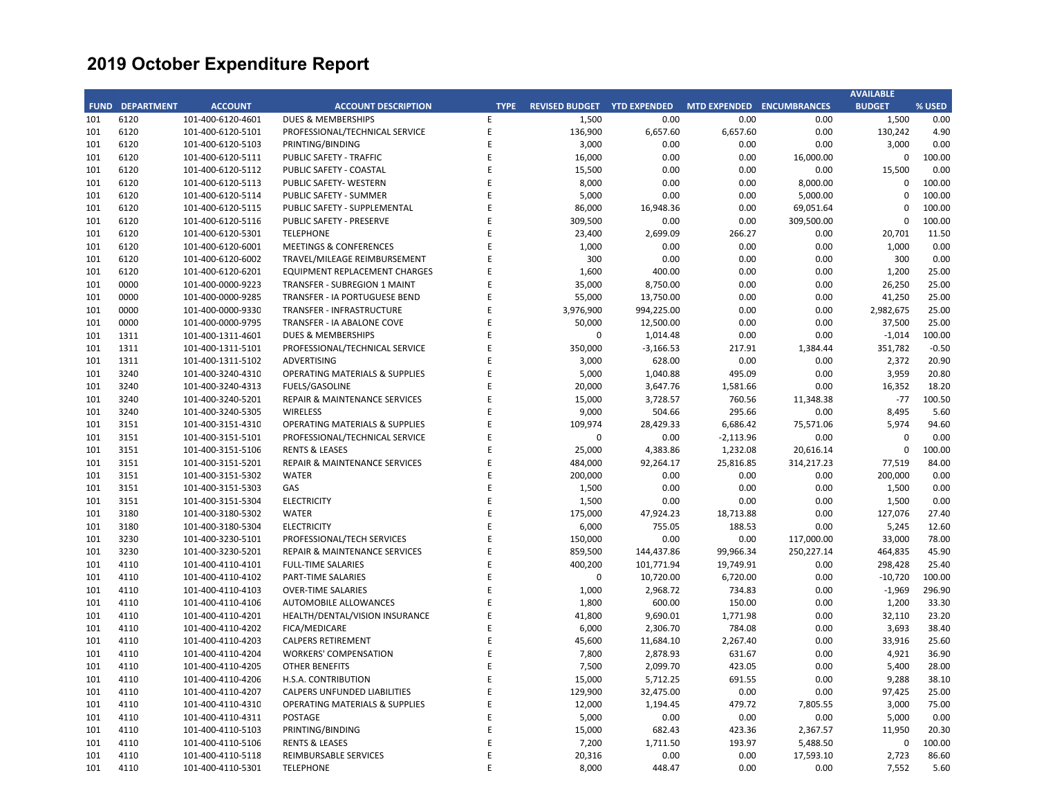|     |                        |                   |                                           |             |                             |             |                           |            | <b>AVAILABLE</b> |         |
|-----|------------------------|-------------------|-------------------------------------------|-------------|-----------------------------|-------------|---------------------------|------------|------------------|---------|
|     | <b>FUND DEPARTMENT</b> | <b>ACCOUNT</b>    | <b>ACCOUNT DESCRIPTION</b>                | <b>TYPE</b> | REVISED BUDGET YTD EXPENDED |             | MTD EXPENDED ENCUMBRANCES |            | <b>BUDGET</b>    | % USED  |
| 101 | 6120                   | 101-400-6120-4601 | <b>DUES &amp; MEMBERSHIPS</b>             | E           | 1,500                       | 0.00        | 0.00                      | 0.00       | 1,500            | 0.00    |
| 101 | 6120                   | 101-400-6120-5101 | PROFESSIONAL/TECHNICAL SERVICE            | E           | 136,900                     | 6,657.60    | 6,657.60                  | 0.00       | 130,242          | 4.90    |
| 101 | 6120                   | 101-400-6120-5103 | PRINTING/BINDING                          | E           | 3,000                       | 0.00        | 0.00                      | 0.00       | 3,000            | 0.00    |
| 101 | 6120                   | 101-400-6120-5111 | PUBLIC SAFETY - TRAFFIC                   | E           | 16,000                      | 0.00        | 0.00                      | 16,000.00  | 0                | 100.00  |
| 101 | 6120                   | 101-400-6120-5112 | PUBLIC SAFETY - COASTAL                   | E           | 15,500                      | 0.00        | 0.00                      | 0.00       | 15,500           | 0.00    |
| 101 | 6120                   | 101-400-6120-5113 | PUBLIC SAFETY- WESTERN                    | E           | 8,000                       | 0.00        | 0.00                      | 8,000.00   | $\mathbf 0$      | 100.00  |
| 101 | 6120                   | 101-400-6120-5114 | PUBLIC SAFETY - SUMMER                    | E           | 5,000                       | 0.00        | 0.00                      | 5,000.00   | $\mathbf 0$      | 100.00  |
| 101 | 6120                   | 101-400-6120-5115 | PUBLIC SAFETY - SUPPLEMENTAL              | F           | 86,000                      | 16,948.36   | 0.00                      | 69,051.64  | $\Omega$         | 100.00  |
| 101 | 6120                   | 101-400-6120-5116 | PUBLIC SAFETY - PRESERVE                  |             | 309,500                     | 0.00        | 0.00                      | 309,500.00 | $\mathbf 0$      | 100.00  |
| 101 | 6120                   | 101-400-6120-5301 | <b>TELEPHONE</b>                          | Ε           | 23,400                      | 2,699.09    | 266.27                    | 0.00       | 20,701           | 11.50   |
| 101 | 6120                   | 101-400-6120-6001 | <b>MEETINGS &amp; CONFERENCES</b>         | E           | 1,000                       | 0.00        | 0.00                      | 0.00       | 1,000            | 0.00    |
| 101 | 6120                   | 101-400-6120-6002 | TRAVEL/MILEAGE REIMBURSEMENT              | E           | 300                         | 0.00        | 0.00                      | 0.00       | 300              | 0.00    |
| 101 | 6120                   | 101-400-6120-6201 | EQUIPMENT REPLACEMENT CHARGES             | E           | 1,600                       | 400.00      | 0.00                      | 0.00       | 1,200            | 25.00   |
| 101 | 0000                   | 101-400-0000-9223 | TRANSFER - SUBREGION 1 MAINT              | E           | 35,000                      | 8,750.00    | 0.00                      | 0.00       | 26,250           | 25.00   |
| 101 | 0000                   | 101-400-0000-9285 | TRANSFER - IA PORTUGUESE BEND             | F           | 55,000                      | 13,750.00   | 0.00                      | 0.00       | 41,250           | 25.00   |
| 101 | 0000                   | 101-400-0000-9330 | TRANSFER - INFRASTRUCTURE                 | E           | 3,976,900                   | 994,225.00  | 0.00                      | 0.00       | 2,982,675        | 25.00   |
| 101 | 0000                   | 101-400-0000-9795 | TRANSFER - IA ABALONE COVE                | E           | 50,000                      | 12,500.00   | 0.00                      | 0.00       | 37,500           | 25.00   |
| 101 | 1311                   | 101-400-1311-4601 | <b>DUES &amp; MEMBERSHIPS</b>             | E           | 0                           | 1,014.48    | 0.00                      | 0.00       | $-1,014$         | 100.00  |
| 101 | 1311                   | 101-400-1311-5101 | PROFESSIONAL/TECHNICAL SERVICE            | E           | 350,000                     | $-3,166.53$ | 217.91                    | 1,384.44   | 351,782          | $-0.50$ |
| 101 | 1311                   | 101-400-1311-5102 | <b>ADVERTISING</b>                        | E           | 3,000                       | 628.00      | 0.00                      | 0.00       | 2,372            | 20.90   |
| 101 | 3240                   | 101-400-3240-4310 | OPERATING MATERIALS & SUPPLIES            | F           | 5,000                       | 1,040.88    | 495.09                    | 0.00       | 3,959            | 20.80   |
| 101 | 3240                   | 101-400-3240-4313 | <b>FUELS/GASOLINE</b>                     | F           | 20,000                      | 3,647.76    | 1,581.66                  | 0.00       | 16,352           | 18.20   |
| 101 | 3240                   | 101-400-3240-5201 | REPAIR & MAINTENANCE SERVICES             | E           | 15,000                      | 3,728.57    | 760.56                    | 11,348.38  | $-77$            | 100.50  |
| 101 | 3240                   | 101-400-3240-5305 | <b>WIRELESS</b>                           | F           | 9,000                       | 504.66      | 295.66                    | 0.00       | 8,495            | 5.60    |
| 101 | 3151                   | 101-400-3151-4310 | <b>OPERATING MATERIALS &amp; SUPPLIES</b> |             | 109,974                     | 28,429.33   | 6,686.42                  | 75,571.06  | 5,974            | 94.60   |
| 101 | 3151                   | 101-400-3151-5101 | PROFESSIONAL/TECHNICAL SERVICE            | E           | $\mathbf 0$                 | 0.00        | $-2,113.96$               | 0.00       | $\Omega$         | 0.00    |
| 101 | 3151                   | 101-400-3151-5106 | <b>RENTS &amp; LEASES</b>                 | E           | 25,000                      | 4,383.86    | 1,232.08                  | 20,616.14  | $\mathbf{C}$     | 100.00  |
| 101 | 3151                   | 101-400-3151-5201 | REPAIR & MAINTENANCE SERVICES             | E           | 484,000                     | 92,264.17   | 25,816.85                 | 314,217.23 | 77,519           | 84.00   |
| 101 | 3151                   | 101-400-3151-5302 | <b>WATER</b>                              | F           | 200,000                     | 0.00        | 0.00                      | 0.00       | 200.000          | 0.00    |
| 101 | 3151                   | 101-400-3151-5303 | GAS                                       | E           | 1,500                       | 0.00        | 0.00                      | 0.00       | 1,500            | 0.00    |
| 101 | 3151                   | 101-400-3151-5304 | <b>ELECTRICITY</b>                        | E           | 1,500                       | 0.00        | 0.00                      | 0.00       | 1,500            | 0.00    |
| 101 | 3180                   | 101-400-3180-5302 | <b>WATER</b>                              | F           | 175,000                     | 47,924.23   | 18,713.88                 | 0.00       | 127,076          | 27.40   |
| 101 | 3180                   | 101-400-3180-5304 | <b>ELECTRICITY</b>                        | E           | 6,000                       | 755.05      | 188.53                    | 0.00       | 5,245            | 12.60   |
| 101 | 3230                   | 101-400-3230-5101 | PROFESSIONAL/TECH SERVICES                | F           | 150,000                     | 0.00        | 0.00                      | 117,000.00 | 33,000           | 78.00   |
| 101 | 3230                   | 101-400-3230-5201 | <b>REPAIR &amp; MAINTENANCE SERVICES</b>  | E           | 859,500                     | 144,437.86  | 99,966.34                 | 250,227.14 | 464,835          | 45.90   |
| 101 | 4110                   | 101-400-4110-4101 | <b>FULL-TIME SALARIES</b>                 | E           | 400,200                     | 101,771.94  | 19,749.91                 | 0.00       | 298,428          | 25.40   |
| 101 | 4110                   | 101-400-4110-4102 | PART-TIME SALARIES                        | F           | 0                           | 10,720.00   | 6,720.00                  | 0.00       | $-10,720$        | 100.00  |
| 101 | 4110                   | 101-400-4110-4103 | <b>OVER-TIME SALARIES</b>                 | E           | 1,000                       | 2,968.72    | 734.83                    | 0.00       | $-1,969$         | 296.90  |
| 101 | 4110                   | 101-400-4110-4106 | AUTOMOBILE ALLOWANCES                     | F           | 1,800                       | 600.00      | 150.00                    | 0.00       | 1,200            | 33.30   |
| 101 | 4110                   | 101-400-4110-4201 | HEALTH/DENTAL/VISION INSURANCE            | E           | 41,800                      | 9,690.01    | 1,771.98                  | 0.00       | 32,110           | 23.20   |
| 101 | 4110                   | 101-400-4110-4202 | FICA/MEDICARE                             | E           | 6,000                       | 2,306.70    | 784.08                    | 0.00       | 3,693            | 38.40   |
| 101 | 4110                   | 101-400-4110-4203 | <b>CALPERS RETIREMENT</b>                 | E           | 45,600                      | 11,684.10   | 2,267.40                  | 0.00       | 33,916           | 25.60   |
| 101 | 4110                   | 101-400-4110-4204 | <b>WORKERS' COMPENSATION</b>              | E           | 7,800                       | 2,878.93    | 631.67                    | 0.00       | 4,921            | 36.90   |
| 101 | 4110                   | 101-400-4110-4205 | OTHER BENEFITS                            | E           | 7,500                       | 2,099.70    | 423.05                    | 0.00       | 5,400            | 28.00   |
| 101 | 4110                   | 101-400-4110-4206 | H.S.A. CONTRIBUTION                       | E           | 15,000                      | 5,712.25    | 691.55                    | 0.00       | 9,288            | 38.10   |
| 101 | 4110                   | 101-400-4110-4207 | CALPERS UNFUNDED LIABILITIES              | E           | 129,900                     | 32,475.00   | 0.00                      | 0.00       | 97,425           | 25.00   |
| 101 | 4110                   | 101-400-4110-4310 | OPERATING MATERIALS & SUPPLIES            | F           | 12,000                      | 1,194.45    | 479.72                    | 7,805.55   | 3,000            | 75.00   |
| 101 | 4110                   | 101-400-4110-4311 | <b>POSTAGE</b>                            | F           | 5,000                       | 0.00        | 0.00                      | 0.00       | 5,000            | 0.00    |
| 101 | 4110                   | 101-400-4110-5103 | PRINTING/BINDING                          | E           | 15,000                      | 682.43      | 423.36                    | 2,367.57   | 11,950           | 20.30   |
| 101 | 4110                   | 101-400-4110-5106 | <b>RENTS &amp; LEASES</b>                 | F           | 7,200                       | 1,711.50    | 193.97                    | 5,488.50   | $\Omega$         | 100.00  |
| 101 | 4110                   | 101-400-4110-5118 | REIMBURSABLE SERVICES                     | E           | 20,316                      | 0.00        | 0.00                      | 17,593.10  | 2,723            | 86.60   |
| 101 | 4110                   | 101-400-4110-5301 | <b>TELEPHONE</b>                          | F           | 8,000                       | 448.47      | 0.00                      | 0.00       | 7,552            | 5.60    |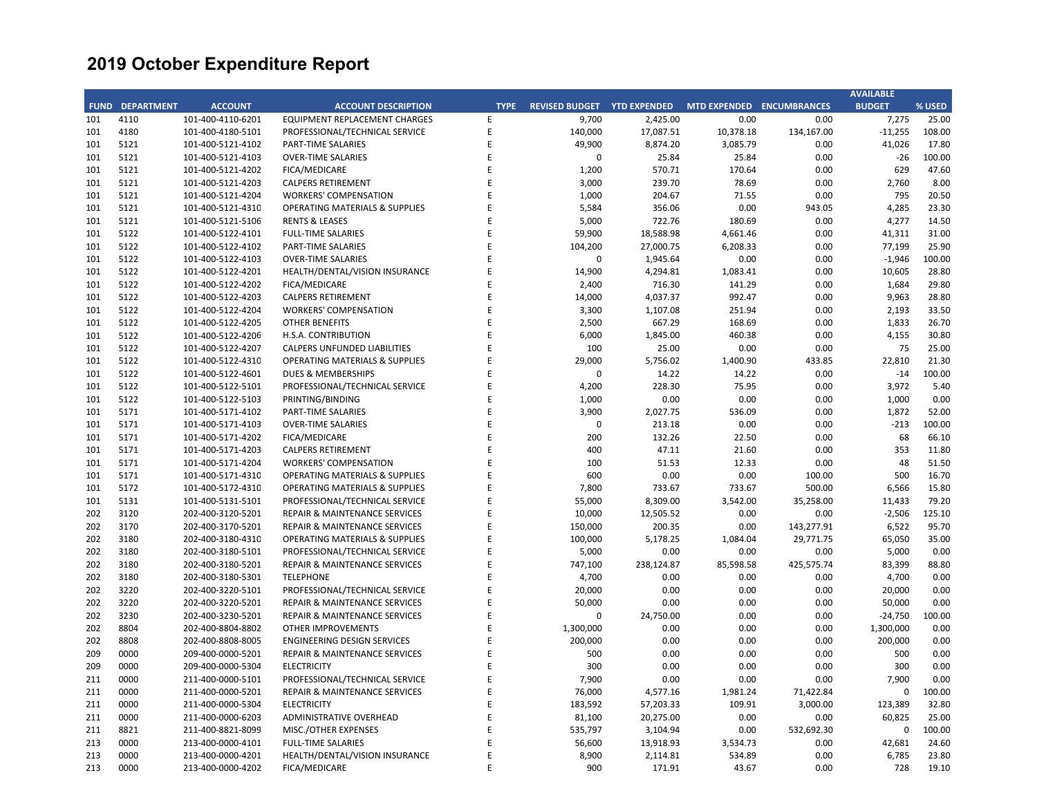|     |                        |                   |                                           |             |                             |            |                           |            | <b>AVAILABLE</b> |        |
|-----|------------------------|-------------------|-------------------------------------------|-------------|-----------------------------|------------|---------------------------|------------|------------------|--------|
|     | <b>FUND DEPARTMENT</b> | <b>ACCOUNT</b>    | <b>ACCOUNT DESCRIPTION</b>                | <b>TYPE</b> | REVISED BUDGET YTD EXPENDED |            | MTD EXPENDED ENCUMBRANCES |            | <b>BUDGET</b>    | % USED |
| 101 | 4110                   | 101-400-4110-6201 | EQUIPMENT REPLACEMENT CHARGES             | E           | 9,700                       | 2,425.00   | 0.00                      | 0.00       | 7,275            | 25.00  |
| 101 | 4180                   | 101-400-4180-5101 | PROFESSIONAL/TECHNICAL SERVICE            | E           | 140,000                     | 17,087.51  | 10,378.18                 | 134,167.00 | $-11,255$        | 108.00 |
| 101 | 5121                   | 101-400-5121-4102 | PART-TIME SALARIES                        | E           | 49,900                      | 8,874.20   | 3,085.79                  | 0.00       | 41,026           | 17.80  |
| 101 | 5121                   | 101-400-5121-4103 | <b>OVER-TIME SALARIES</b>                 | F           | 0                           | 25.84      | 25.84                     | 0.00       | -26              | 100.00 |
| 101 | 5121                   | 101-400-5121-4202 | FICA/MEDICARE                             | F           | 1,200                       | 570.71     | 170.64                    | 0.00       | 629              | 47.60  |
| 101 | 5121                   | 101-400-5121-4203 | <b>CALPERS RETIREMENT</b>                 | E           | 3,000                       | 239.70     | 78.69                     | 0.00       | 2,760            | 8.00   |
| 101 | 5121                   | 101-400-5121-4204 | <b>WORKERS' COMPENSATION</b>              | E           | 1,000                       | 204.67     | 71.55                     | 0.00       | 795              | 20.50  |
| 101 | 5121                   | 101-400-5121-4310 | <b>OPERATING MATERIALS &amp; SUPPLIES</b> | E           | 5,584                       | 356.06     | 0.00                      | 943.05     | 4,285            | 23.30  |
| 101 | 5121                   | 101-400-5121-5106 | <b>RENTS &amp; LEASES</b>                 | E           | 5,000                       | 722.76     | 180.69                    | 0.00       | 4,277            | 14.50  |
| 101 | 5122                   | 101-400-5122-4101 | <b>FULL-TIME SALARIES</b>                 | F           | 59,900                      | 18,588.98  | 4,661.46                  | 0.00       | 41,311           | 31.00  |
| 101 | 5122                   | 101-400-5122-4102 | PART-TIME SALARIES                        | E           | 104,200                     | 27,000.75  | 6,208.33                  | 0.00       | 77,199           | 25.90  |
| 101 | 5122                   | 101-400-5122-4103 | <b>OVER-TIME SALARIES</b>                 | F           | $\mathbf 0$                 | 1,945.64   | 0.00                      | 0.00       | $-1,946$         | 100.00 |
| 101 | 5122                   | 101-400-5122-4201 | HEALTH/DENTAL/VISION INSURANCE            | E           | 14,900                      | 4,294.81   | 1,083.41                  | 0.00       | 10,605           | 28.80  |
| 101 | 5122                   | 101-400-5122-4202 | FICA/MEDICARE                             | E           | 2,400                       | 716.30     | 141.29                    | 0.00       | 1,684            | 29.80  |
| 101 | 5122                   | 101-400-5122-4203 | <b>CALPERS RETIREMENT</b>                 | E           | 14,000                      | 4,037.37   | 992.47                    | 0.00       | 9,963            | 28.80  |
| 101 | 5122                   | 101-400-5122-4204 | <b>WORKERS' COMPENSATION</b>              | E           | 3,300                       | 1,107.08   | 251.94                    | 0.00       | 2,193            | 33.50  |
| 101 | 5122                   | 101-400-5122-4205 | OTHER BENEFITS                            | E           | 2,500                       | 667.29     | 168.69                    | 0.00       | 1,833            | 26.70  |
| 101 | 5122                   | 101-400-5122-4206 | H.S.A. CONTRIBUTION                       | E           | 6,000                       | 1,845.00   | 460.38                    | 0.00       | 4,155            | 30.80  |
|     | 5122                   |                   |                                           | E           |                             |            |                           |            |                  |        |
| 101 |                        | 101-400-5122-4207 | CALPERS UNFUNDED LIABILITIES              | E           | 100                         | 25.00      | 0.00                      | 0.00       | 75               | 25.00  |
| 101 | 5122                   | 101-400-5122-4310 | <b>OPERATING MATERIALS &amp; SUPPLIES</b> |             | 29,000                      | 5,756.02   | 1,400.90                  | 433.85     | 22,810           | 21.30  |
| 101 | 5122                   | 101-400-5122-4601 | DUES & MEMBERSHIPS                        | E           | $\mathbf 0$                 | 14.22      | 14.22                     | 0.00       | $-14$            | 100.00 |
| 101 | 5122                   | 101-400-5122-5101 | PROFESSIONAL/TECHNICAL SERVICE            | E           | 4,200                       | 228.30     | 75.95                     | 0.00       | 3,972            | 5.40   |
| 101 | 5122                   | 101-400-5122-5103 | PRINTING/BINDING                          | E           | 1,000                       | 0.00       | 0.00                      | 0.00       | 1,000            | 0.00   |
| 101 | 5171                   | 101-400-5171-4102 | PART-TIME SALARIES                        | E           | 3,900                       | 2,027.75   | 536.09                    | 0.00       | 1,872            | 52.00  |
| 101 | 5171                   | 101-400-5171-4103 | <b>OVER-TIME SALARIES</b>                 | E           | $\mathbf 0$                 | 213.18     | 0.00                      | 0.00       | $-213$           | 100.00 |
| 101 | 5171                   | 101-400-5171-4202 | FICA/MEDICARE                             | F           | 200                         | 132.26     | 22.50                     | 0.00       | 68               | 66.10  |
| 101 | 5171                   | 101-400-5171-4203 | <b>CALPERS RETIREMENT</b>                 | E           | 400                         | 47.11      | 21.60                     | 0.00       | 353              | 11.80  |
| 101 | 5171                   | 101-400-5171-4204 | <b>WORKERS' COMPENSATION</b>              | Ε           | 100                         | 51.53      | 12.33                     | 0.00       | 48               | 51.50  |
| 101 | 5171                   | 101-400-5171-4310 | <b>OPERATING MATERIALS &amp; SUPPLIES</b> | E           | 600                         | 0.00       | 0.00                      | 100.00     | 500              | 16.70  |
| 101 | 5172                   | 101-400-5172-4310 | <b>OPERATING MATERIALS &amp; SUPPLIES</b> | E           | 7,800                       | 733.67     | 733.67                    | 500.00     | 6,566            | 15.80  |
| 101 | 5131                   | 101-400-5131-5101 | PROFESSIONAL/TECHNICAL SERVICE            | F           | 55,000                      | 8,309.00   | 3,542.00                  | 35,258.00  | 11,433           | 79.20  |
| 202 | 3120                   | 202-400-3120-5201 | REPAIR & MAINTENANCE SERVICES             | E           | 10,000                      | 12,505.52  | 0.00                      | 0.00       | $-2,506$         | 125.10 |
| 202 | 3170                   | 202-400-3170-5201 | REPAIR & MAINTENANCE SERVICES             | E           | 150,000                     | 200.35     | 0.00                      | 143,277.91 | 6,522            | 95.70  |
| 202 | 3180                   | 202-400-3180-4310 | <b>OPERATING MATERIALS &amp; SUPPLIES</b> | E           | 100,000                     | 5,178.25   | 1,084.04                  | 29,771.75  | 65,050           | 35.00  |
| 202 | 3180                   | 202-400-3180-5101 | PROFESSIONAL/TECHNICAL SERVICE            | E           | 5,000                       | 0.00       | 0.00                      | 0.00       | 5,000            | 0.00   |
| 202 | 3180                   | 202-400-3180-5201 | REPAIR & MAINTENANCE SERVICES             | E           | 747,100                     | 238,124.87 | 85,598.58                 | 425,575.74 | 83,399           | 88.80  |
| 202 | 3180                   | 202-400-3180-5301 | <b>TELEPHONE</b>                          | E           | 4,700                       | 0.00       | 0.00                      | 0.00       | 4,700            | 0.00   |
| 202 | 3220                   | 202-400-3220-5101 | PROFESSIONAL/TECHNICAL SERVICE            | E           | 20,000                      | 0.00       | 0.00                      | 0.00       | 20,000           | 0.00   |
| 202 | 3220                   | 202-400-3220-5201 | REPAIR & MAINTENANCE SERVICES             | F           | 50,000                      | 0.00       | 0.00                      | 0.00       | 50,000           | 0.00   |
| 202 | 3230                   | 202-400-3230-5201 | REPAIR & MAINTENANCE SERVICES             | F           | 0                           | 24,750.00  | 0.00                      | 0.00       | $-24,750$        | 100.00 |
| 202 | 8804                   | 202-400-8804-8802 | OTHER IMPROVEMENTS                        | E           | 1,300,000                   | 0.00       | 0.00                      | 0.00       | 1,300,000        | 0.00   |
| 202 | 8808                   | 202-400-8808-8005 | ENGINEERING DESIGN SERVICES               | E           | 200,000                     | 0.00       | 0.00                      | 0.00       | 200,000          | 0.00   |
| 209 | 0000                   | 209-400-0000-5201 | REPAIR & MAINTENANCE SERVICES             | E           | 500                         | 0.00       | 0.00                      | 0.00       | 500              | 0.00   |
| 209 | 0000                   | 209-400-0000-5304 | <b>ELECTRICITY</b>                        | F           | 300                         | 0.00       | 0.00                      | 0.00       | 300              | 0.00   |
| 211 | 0000                   | 211-400-0000-5101 | PROFESSIONAL/TECHNICAL SERVICE            | F           | 7,900                       | 0.00       | 0.00                      | 0.00       | 7,900            | 0.00   |
| 211 | 0000                   | 211-400-0000-5201 | <b>REPAIR &amp; MAINTENANCE SERVICES</b>  | E           | 76,000                      | 4,577.16   | 1,981.24                  | 71,422.84  | $\mathbf 0$      | 100.00 |
| 211 | 0000                   | 211-400-0000-5304 | <b>ELECTRICITY</b>                        | E           | 183,592                     | 57,203.33  | 109.91                    | 3,000.00   | 123,389          | 32.80  |
| 211 | 0000                   | 211-400-0000-6203 | ADMINISTRATIVE OVERHEAD                   | E           | 81,100                      | 20,275.00  | 0.00                      | 0.00       | 60,825           | 25.00  |
| 211 | 8821                   | 211-400-8821-8099 | MISC./OTHER EXPENSES                      | E           | 535,797                     | 3,104.94   | 0.00                      | 532,692.30 | 0                | 100.00 |
| 213 | 0000                   | 213-400-0000-4101 | FULL-TIME SALARIES                        | F           | 56,600                      | 13,918.93  | 3,534.73                  | 0.00       | 42,681           | 24.60  |
| 213 | 0000                   | 213-400-0000-4201 | HEALTH/DENTAL/VISION INSURANCE            | E           | 8,900                       | 2,114.81   | 534.89                    | 0.00       | 6,785            | 23.80  |
| 213 | 0000                   | 213-400-0000-4202 | FICA/MEDICARE                             | F           | 900                         | 171.91     | 43.67                     | 0.00       | 728              | 19.10  |
|     |                        |                   |                                           |             |                             |            |                           |            |                  |        |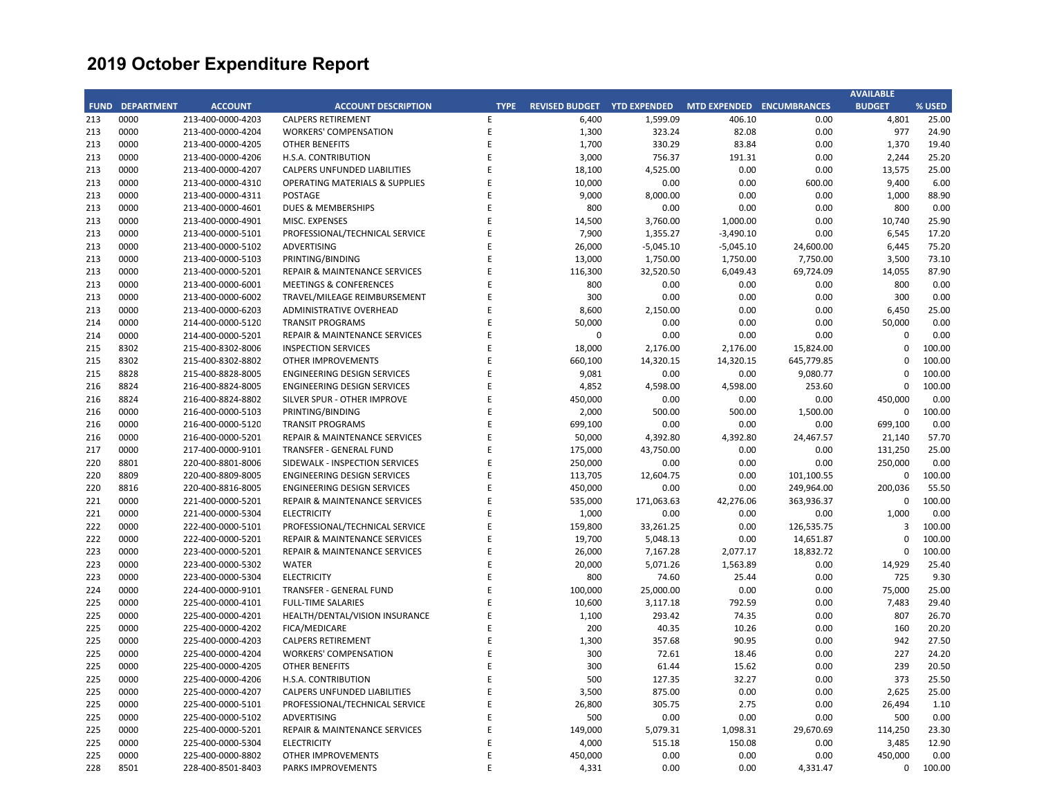|     |                        |                   |                                           |             |                             |             |                                  |            | <b>AVAILABLE</b> |        |
|-----|------------------------|-------------------|-------------------------------------------|-------------|-----------------------------|-------------|----------------------------------|------------|------------------|--------|
|     | <b>FUND DEPARTMENT</b> | <b>ACCOUNT</b>    | <b>ACCOUNT DESCRIPTION</b>                | <b>TYPE</b> | REVISED BUDGET YTD EXPENDED |             | <b>MTD EXPENDED ENCUMBRANCES</b> |            | <b>BUDGET</b>    | % USED |
| 213 | 0000                   | 213-400-0000-4203 | <b>CALPERS RETIREMENT</b>                 | E           | 6,400                       | 1,599.09    | 406.10                           | 0.00       | 4,801            | 25.00  |
| 213 | 0000                   | 213-400-0000-4204 | <b>WORKERS' COMPENSATION</b>              | E           | 1,300                       | 323.24      | 82.08                            | 0.00       | 977              | 24.90  |
| 213 | 0000                   | 213-400-0000-4205 | <b>OTHER BENEFITS</b>                     | E           | 1,700                       | 330.29      | 83.84                            | 0.00       | 1,370            | 19.40  |
| 213 | 0000                   | 213-400-0000-4206 | H.S.A. CONTRIBUTION                       | E           | 3,000                       | 756.37      | 191.31                           | 0.00       | 2,244            | 25.20  |
| 213 | 0000                   | 213-400-0000-4207 | CALPERS UNFUNDED LIABILITIES              | E           | 18,100                      | 4,525.00    | 0.00                             | 0.00       | 13,575           | 25.00  |
| 213 | 0000                   | 213-400-0000-4310 | <b>OPERATING MATERIALS &amp; SUPPLIES</b> | E           | 10,000                      | 0.00        | 0.00                             | 600.00     | 9,400            | 6.00   |
| 213 | 0000                   | 213-400-0000-4311 | POSTAGE                                   | F           | 9,000                       | 8,000.00    | 0.00                             | 0.00       | 1,000            | 88.90  |
| 213 | 0000                   | 213-400-0000-4601 | DUES & MEMBERSHIPS                        | F           | 800                         | 0.00        | 0.00                             | 0.00       | 800              | 0.00   |
| 213 | 0000                   | 213-400-0000-4901 | MISC. EXPENSES                            | E           | 14,500                      | 3,760.00    | 1,000.00                         | 0.00       | 10,740           | 25.90  |
| 213 | 0000                   | 213-400-0000-5101 | PROFESSIONAL/TECHNICAL SERVICE            | E           | 7,900                       | 1,355.27    | $-3,490.10$                      | 0.00       | 6,545            | 17.20  |
| 213 | 0000                   | 213-400-0000-5102 | ADVERTISING                               | E           | 26,000                      | $-5,045.10$ | $-5,045.10$                      | 24,600.00  | 6,445            | 75.20  |
| 213 | 0000                   | 213-400-0000-5103 | PRINTING/BINDING                          | F           | 13,000                      | 1,750.00    | 1,750.00                         | 7,750.00   | 3,500            | 73.10  |
| 213 | 0000                   | 213-400-0000-5201 | REPAIR & MAINTENANCE SERVICES             | E           | 116,300                     | 32,520.50   | 6,049.43                         | 69,724.09  | 14,055           | 87.90  |
| 213 | 0000                   | 213-400-0000-6001 | <b>MEETINGS &amp; CONFERENCES</b>         | E           | 800                         | 0.00        | 0.00                             | 0.00       | 800              | 0.00   |
| 213 | 0000                   | 213-400-0000-6002 | TRAVEL/MILEAGE REIMBURSEMENT              | F           | 300                         | 0.00        | 0.00                             | 0.00       | 300              | 0.00   |
| 213 | 0000                   | 213-400-0000-6203 | ADMINISTRATIVE OVERHEAD                   | E           | 8,600                       | 2,150.00    | 0.00                             | 0.00       | 6,450            | 25.00  |
| 214 | 0000                   | 214-400-0000-5120 | <b>TRANSIT PROGRAMS</b>                   | F           | 50,000                      | 0.00        | 0.00                             | 0.00       | 50,000           | 0.00   |
| 214 | 0000                   | 214-400-0000-5201 | REPAIR & MAINTENANCE SERVICES             | E           | $\mathbf 0$                 | 0.00        | 0.00                             | 0.00       | $\mathbf 0$      | 0.00   |
| 215 | 8302                   | 215-400-8302-8006 | <b>INSPECTION SERVICES</b>                | E           | 18,000                      | 2,176.00    | 2,176.00                         | 15,824.00  | $\mathbf 0$      | 100.00 |
| 215 | 8302                   | 215-400-8302-8802 | <b>OTHER IMPROVEMENTS</b>                 | F           | 660,100                     | 14,320.15   | 14,320.15                        | 645,779.85 | $\Omega$         | 100.00 |
| 215 | 8828                   | 215-400-8828-8005 | ENGINEERING DESIGN SERVICES               | E           | 9,081                       | 0.00        | 0.00                             | 9,080.77   | $\mathbf 0$      | 100.00 |
| 216 | 8824                   | 216-400-8824-8005 | ENGINEERING DESIGN SERVICES               | E           | 4,852                       | 4,598.00    | 4,598.00                         | 253.60     | $\mathbf 0$      | 100.00 |
| 216 | 8824                   | 216-400-8824-8802 | SILVER SPUR - OTHER IMPROVE               | E           | 450,000                     | 0.00        | 0.00                             | 0.00       | 450,000          | 0.00   |
| 216 | 0000                   | 216-400-0000-5103 | PRINTING/BINDING                          | E           | 2,000                       | 500.00      | 500.00                           | 1,500.00   | 0                | 100.00 |
| 216 | 0000                   | 216-400-0000-5120 | <b>TRANSIT PROGRAMS</b>                   | F           | 699,100                     | 0.00        | 0.00                             | 0.00       | 699,100          | 0.00   |
| 216 | 0000                   | 216-400-0000-5201 | REPAIR & MAINTENANCE SERVICES             | E           | 50,000                      | 4,392.80    | 4,392.80                         | 24,467.57  | 21,140           | 57.70  |
| 217 | 0000                   | 217-400-0000-9101 | TRANSFER - GENERAL FUND                   | F           | 175,000                     | 43,750.00   | 0.00                             | 0.00       | 131,250          | 25.00  |
| 220 | 8801                   | 220-400-8801-8006 | SIDEWALK - INSPECTION SERVICES            | E           | 250,000                     | 0.00        | 0.00                             | 0.00       | 250,000          | 0.00   |
| 220 | 8809                   | 220-400-8809-8005 | ENGINEERING DESIGN SERVICES               | E           | 113,705                     | 12,604.75   | 0.00                             | 101,100.55 | 0                | 100.00 |
| 220 | 8816                   | 220-400-8816-8005 | <b>ENGINEERING DESIGN SERVICES</b>        | F           | 450,000                     | 0.00        | 0.00                             | 249,964.00 | 200,036          | 55.50  |
| 221 | 0000                   | 221-400-0000-5201 | <b>REPAIR &amp; MAINTENANCE SERVICES</b>  | E           | 535,000                     | 171,063.63  | 42,276.06                        | 363,936.37 | $\mathbf 0$      | 100.00 |
| 221 | 0000                   | 221-400-0000-5304 | <b>ELECTRICITY</b>                        | E           | 1,000                       | 0.00        | 0.00                             | 0.00       | 1,000            | 0.00   |
| 222 | 0000                   | 222-400-0000-5101 | PROFESSIONAL/TECHNICAL SERVICE            | E           | 159,800                     | 33,261.25   | 0.00                             | 126,535.75 | $\overline{3}$   | 100.00 |
| 222 | 0000                   | 222-400-0000-5201 | REPAIR & MAINTENANCE SERVICES             | E           | 19,700                      | 5,048.13    | 0.00                             | 14,651.87  | $\mathbf{C}$     | 100.00 |
| 223 | 0000                   | 223-400-0000-5201 | REPAIR & MAINTENANCE SERVICES             | F           | 26,000                      | 7,167.28    | 2,077.17                         | 18,832.72  | $\mathbf 0$      | 100.00 |
| 223 | 0000                   | 223-400-0000-5302 | <b>WATER</b>                              | F           | 20,000                      | 5,071.26    | 1,563.89                         | 0.00       | 14,929           | 25.40  |
| 223 | 0000                   | 223-400-0000-5304 | <b>ELECTRICITY</b>                        |             | 800                         | 74.60       | 25.44                            | 0.00       | 725              | 9.30   |
| 224 | 0000                   | 224-400-0000-9101 | TRANSFER - GENERAL FUND                   | E           | 100,000                     | 25,000.00   | 0.00                             | 0.00       | 75,000           | 25.00  |
| 225 | 0000                   | 225-400-0000-4101 | <b>FULL-TIME SALARIES</b>                 | E           | 10,600                      | 3,117.18    | 792.59                           | 0.00       | 7,483            | 29.40  |
| 225 | 0000                   | 225-400-0000-4201 | HEALTH/DENTAL/VISION INSURANCE            | F           | 1,100                       | 293.42      | 74.35                            | 0.00       | 807              | 26.70  |
| 225 | 0000                   | 225-400-0000-4202 | FICA/MEDICARE                             | E           | 200                         | 40.35       | 10.26                            | 0.00       | 160              | 20.20  |
| 225 | 0000                   | 225-400-0000-4203 | <b>CALPERS RETIREMENT</b>                 |             | 1,300                       | 357.68      | 90.95                            | 0.00       | 942              | 27.50  |
| 225 | 0000                   | 225-400-0000-4204 | <b>WORKERS' COMPENSATION</b>              | E           | 300                         | 72.61       | 18.46                            | 0.00       | 227              | 24.20  |
| 225 | 0000                   | 225-400-0000-4205 | <b>OTHER BENEFITS</b>                     | E           | 300                         | 61.44       | 15.62                            | 0.00       | 239              | 20.50  |
| 225 | 0000                   | 225-400-0000-4206 | H.S.A. CONTRIBUTION                       | F           | 500                         | 127.35      | 32.27                            | 0.00       | 373              | 25.50  |
| 225 | 0000                   | 225-400-0000-4207 | CALPERS UNFUNDED LIABILITIES              | F           | 3,500                       | 875.00      | 0.00                             | 0.00       | 2,625            | 25.00  |
| 225 | 0000                   | 225-400-0000-5101 | PROFESSIONAL/TECHNICAL SERVICE            |             | 26,800                      | 305.75      | 2.75                             | 0.00       | 26,494           | 1.10   |
| 225 | 0000                   | 225-400-0000-5102 | ADVERTISING                               | E           | 500                         | 0.00        | 0.00                             | 0.00       | 500              | 0.00   |
| 225 | 0000                   | 225-400-0000-5201 | REPAIR & MAINTENANCE SERVICES             |             | 149,000                     | 5,079.31    | 1,098.31                         | 29,670.69  | 114,250          | 23.30  |
| 225 | 0000                   | 225-400-0000-5304 | <b>ELECTRICITY</b>                        |             | 4,000                       | 515.18      | 150.08                           | 0.00       | 3,485            | 12.90  |
| 225 | 0000                   | 225-400-0000-8802 | <b>OTHER IMPROVEMENTS</b>                 | F           | 450,000                     | 0.00        | 0.00                             | 0.00       | 450,000          | 0.00   |
| 228 | 8501                   | 228-400-8501-8403 | PARKS IMPROVEMENTS                        | F           | 4,331                       | 0.00        | 0.00                             | 4,331.47   | $\Omega$         | 100.00 |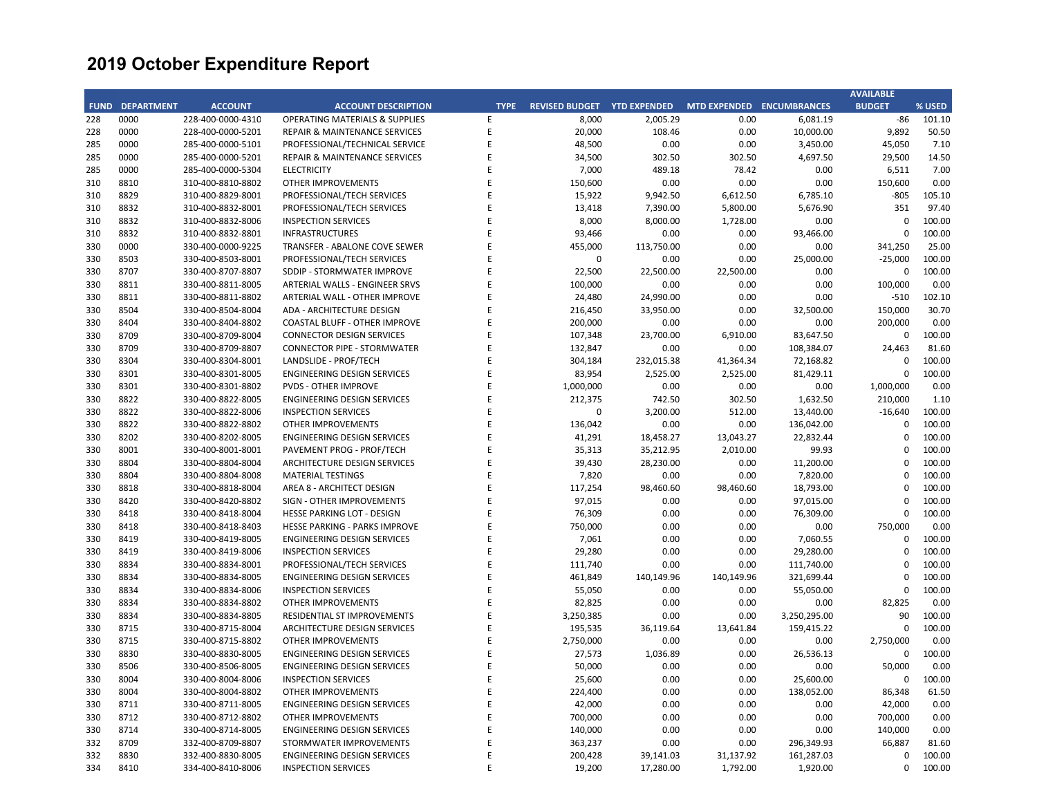|     |                        |                   |                                           |             |                                                       |            |            |              | <b>AVAILABLE</b> |        |
|-----|------------------------|-------------------|-------------------------------------------|-------------|-------------------------------------------------------|------------|------------|--------------|------------------|--------|
|     | <b>FUND DEPARTMENT</b> | <b>ACCOUNT</b>    | <b>ACCOUNT DESCRIPTION</b>                | <b>TYPE</b> | REVISED BUDGET YTD EXPENDED MTD EXPENDED ENCUMBRANCES |            |            |              | <b>BUDGET</b>    | % USED |
| 228 | 0000                   | 228-400-0000-4310 | <b>OPERATING MATERIALS &amp; SUPPLIES</b> | F           | 8,000                                                 | 2,005.29   | 0.00       | 6,081.19     | $-86$            | 101.10 |
| 228 | 0000                   | 228-400-0000-5201 | <b>REPAIR &amp; MAINTENANCE SERVICES</b>  | E           | 20,000                                                | 108.46     | 0.00       | 10,000.00    | 9,892            | 50.50  |
| 285 | 0000                   | 285-400-0000-5101 | PROFESSIONAL/TECHNICAL SERVICE            | E           | 48,500                                                | 0.00       | 0.00       | 3,450.00     | 45,050           | 7.10   |
| 285 | 0000                   | 285-400-0000-5201 | REPAIR & MAINTENANCE SERVICES             | F           | 34,500                                                | 302.50     | 302.50     | 4,697.50     | 29,500           | 14.50  |
| 285 | 0000                   | 285-400-0000-5304 | <b>ELECTRICITY</b>                        | E           | 7,000                                                 | 489.18     | 78.42      | 0.00         | 6,511            | 7.00   |
| 310 | 8810                   | 310-400-8810-8802 | OTHER IMPROVEMENTS                        | F           | 150,600                                               | 0.00       | 0.00       | 0.00         | 150,600          | 0.00   |
| 310 | 8829                   | 310-400-8829-8001 | PROFESSIONAL/TECH SERVICES                | F           | 15,922                                                | 9,942.50   | 6,612.50   | 6,785.10     | $-805$           | 105.10 |
| 310 | 8832                   | 310-400-8832-8001 | PROFESSIONAL/TECH SERVICES                | E           | 13,418                                                | 7,390.00   | 5,800.00   | 5,676.90     | 351              | 97.40  |
| 310 | 8832                   | 310-400-8832-8006 | <b>INSPECTION SERVICES</b>                | F           | 8,000                                                 | 8,000.00   | 1,728.00   | 0.00         | 0                | 100.00 |
| 310 | 8832                   | 310-400-8832-8801 | <b>INFRASTRUCTURES</b>                    | F           | 93,466                                                | 0.00       | 0.00       | 93,466.00    | $\Omega$         | 100.00 |
| 330 | 0000                   | 330-400-0000-9225 | TRANSFER - ABALONE COVE SEWER             | F           | 455,000                                               | 113,750.00 | 0.00       | 0.00         | 341,250          | 25.00  |
| 330 | 8503                   | 330-400-8503-8001 | PROFESSIONAL/TECH SERVICES                | F           | $\mathbf 0$                                           | 0.00       | 0.00       | 25,000.00    | $-25,000$        | 100.00 |
| 330 | 8707                   | 330-400-8707-8807 | SDDIP - STORMWATER IMPROVE                | E           | 22,500                                                | 22,500.00  | 22,500.00  | 0.00         | 0                | 100.00 |
| 330 | 8811                   | 330-400-8811-8005 | ARTERIAL WALLS - ENGINEER SRVS            | F           | 100,000                                               | 0.00       | 0.00       | 0.00         | 100,000          | 0.00   |
| 330 | 8811                   | 330-400-8811-8802 | ARTERIAL WALL - OTHER IMPROVE             |             | 24,480                                                | 24,990.00  | 0.00       | 0.00         | $-510$           | 102.10 |
| 330 | 8504                   | 330-400-8504-8004 | ADA - ARCHITECTURE DESIGN                 | E           | 216,450                                               | 33,950.00  | 0.00       | 32,500.00    | 150,000          | 30.70  |
| 330 | 8404                   | 330-400-8404-8802 | <b>COASTAL BLUFF - OTHER IMPROVE</b>      | F           | 200,000                                               | 0.00       | 0.00       | 0.00         | 200,000          | 0.00   |
| 330 | 8709                   | 330-400-8709-8004 | <b>CONNECTOR DESIGN SERVICES</b>          | E           | 107,348                                               | 23,700.00  | 6,910.00   | 83,647.50    | $\mathbf 0$      | 100.00 |
| 330 | 8709                   | 330-400-8709-8807 | <b>CONNECTOR PIPE - STORMWATER</b>        | F           | 132,847                                               | 0.00       | 0.00       | 108,384.07   | 24,463           | 81.60  |
| 330 | 8304                   | 330-400-8304-8001 | LANDSLIDE - PROF/TECH                     | F           | 304,184                                               | 232,015.38 | 41,364.34  | 72,168.82    | $\mathbf 0$      | 100.00 |
| 330 | 8301                   | 330-400-8301-8005 | ENGINEERING DESIGN SERVICES               | E           | 83,954                                                |            |            |              | $\mathbf 0$      | 100.00 |
|     |                        |                   |                                           | F           |                                                       | 2,525.00   | 2,525.00   | 81,429.11    |                  |        |
| 330 | 8301                   | 330-400-8301-8802 | <b>PVDS - OTHER IMPROVE</b>               | E           | 1,000,000                                             | 0.00       | 0.00       | 0.00         | 1,000,000        | 0.00   |
| 330 | 8822                   | 330-400-8822-8005 | ENGINEERING DESIGN SERVICES               |             | 212,375                                               | 742.50     | 302.50     | 1,632.50     | 210,000          | 1.10   |
| 330 | 8822                   | 330-400-8822-8006 | <b>INSPECTION SERVICES</b>                |             | 0                                                     | 3,200.00   | 512.00     | 13,440.00    | $-16,640$        | 100.00 |
| 330 | 8822                   | 330-400-8822-8802 | OTHER IMPROVEMENTS                        | F           | 136,042                                               | 0.00       | 0.00       | 136,042.00   | $\Omega$         | 100.00 |
| 330 | 8202                   | 330-400-8202-8005 | <b>ENGINEERING DESIGN SERVICES</b>        | E           | 41,291                                                | 18,458.27  | 13,043.27  | 22,832.44    | $\mathbf 0$      | 100.00 |
| 330 | 8001                   | 330-400-8001-8001 | PAVEMENT PROG - PROF/TECH                 | F           | 35,313                                                | 35,212.95  | 2,010.00   | 99.93        | $\Omega$         | 100.00 |
| 330 | 8804                   | 330-400-8804-8004 | ARCHITECTURE DESIGN SERVICES              | F           | 39,430                                                | 28,230.00  | 0.00       | 11,200.00    | $\mathbf 0$      | 100.00 |
| 330 | 8804                   | 330-400-8804-8008 | <b>MATERIAL TESTINGS</b>                  |             | 7,820                                                 | 0.00       | 0.00       | 7,820.00     | $\mathbf 0$      | 100.00 |
| 330 | 8818                   | 330-400-8818-8004 | AREA 8 - ARCHITECT DESIGN                 | F           | 117,254                                               | 98,460.60  | 98,460.60  | 18,793.00    | $\Omega$         | 100.00 |
| 330 | 8420                   | 330-400-8420-8802 | SIGN - OTHER IMPROVEMENTS                 | E           | 97,015                                                | 0.00       | 0.00       | 97,015.00    | $\mathbf{C}$     | 100.00 |
| 330 | 8418                   | 330-400-8418-8004 | HESSE PARKING LOT - DESIGN                | F           | 76,309                                                | 0.00       | 0.00       | 76,309.00    | $\Omega$         | 100.00 |
| 330 | 8418                   | 330-400-8418-8403 | HESSE PARKING - PARKS IMPROVE             | F           | 750,000                                               | 0.00       | 0.00       | 0.00         | 750,000          | 0.00   |
| 330 | 8419                   | 330-400-8419-8005 | <b>ENGINEERING DESIGN SERVICES</b>        |             | 7,061                                                 | 0.00       | 0.00       | 7,060.55     | $\mathbf 0$      | 100.00 |
| 330 | 8419                   | 330-400-8419-8006 | <b>INSPECTION SERVICES</b>                | F           | 29,280                                                | 0.00       | 0.00       | 29,280.00    | $\Omega$         | 100.00 |
| 330 | 8834                   | 330-400-8834-8001 | PROFESSIONAL/TECH SERVICES                |             | 111,740                                               | 0.00       | 0.00       | 111,740.00   | $\mathbf 0$      | 100.00 |
| 330 | 8834                   | 330-400-8834-8005 | ENGINEERING DESIGN SERVICES               | F           | 461,849                                               | 140,149.96 | 140,149.96 | 321,699.44   | $\Omega$         | 100.00 |
| 330 | 8834                   | 330-400-8834-8006 | <b>INSPECTION SERVICES</b>                | F           | 55,050                                                | 0.00       | 0.00       | 55,050.00    | $\mathbf 0$      | 100.00 |
| 330 | 8834                   | 330-400-8834-8802 | OTHER IMPROVEMENTS                        | F           | 82,825                                                | 0.00       | 0.00       | 0.00         | 82,825           | 0.00   |
| 330 | 8834                   | 330-400-8834-8805 | RESIDENTIAL ST IMPROVEMENTS               | F           | 3,250,385                                             | 0.00       | 0.00       | 3,250,295.00 | 90               | 100.00 |
| 330 | 8715                   | 330-400-8715-8004 | ARCHITECTURE DESIGN SERVICES              | E           | 195,535                                               | 36,119.64  | 13,641.84  | 159,415.22   | $\mathbf 0$      | 100.00 |
| 330 | 8715                   | 330-400-8715-8802 | OTHER IMPROVEMENTS                        | F           | 2,750,000                                             | 0.00       | 0.00       | 0.00         | 2,750,000        | 0.00   |
| 330 | 8830                   | 330-400-8830-8005 | <b>ENGINEERING DESIGN SERVICES</b>        | E           | 27,573                                                | 1,036.89   | 0.00       | 26,536.13    | $\mathbf 0$      | 100.00 |
| 330 | 8506                   | 330-400-8506-8005 | <b>ENGINEERING DESIGN SERVICES</b>        | E           | 50,000                                                | 0.00       | 0.00       | 0.00         | 50,000           | 0.00   |
| 330 | 8004                   | 330-400-8004-8006 | <b>INSPECTION SERVICES</b>                | F           | 25,600                                                | 0.00       | 0.00       | 25,600.00    | 0                | 100.00 |
| 330 | 8004                   | 330-400-8004-8802 | OTHER IMPROVEMENTS                        |             | 224,400                                               | 0.00       | 0.00       | 138,052.00   | 86,348           | 61.50  |
| 330 | 8711                   | 330-400-8711-8005 | ENGINEERING DESIGN SERVICES               | F           | 42,000                                                | 0.00       | 0.00       | 0.00         | 42,000           | 0.00   |
| 330 | 8712                   | 330-400-8712-8802 | <b>OTHER IMPROVEMENTS</b>                 |             | 700,000                                               | 0.00       | 0.00       | 0.00         | 700,000          | 0.00   |
| 330 | 8714                   | 330-400-8714-8005 | ENGINEERING DESIGN SERVICES               | E           | 140,000                                               | 0.00       | 0.00       | 0.00         | 140,000          | 0.00   |
| 332 | 8709                   | 332-400-8709-8807 | STORMWATER IMPROVEMENTS                   | F           | 363,237                                               | 0.00       | 0.00       | 296,349.93   | 66,887           | 81.60  |
| 332 | 8830                   | 332-400-8830-8005 | <b>ENGINEERING DESIGN SERVICES</b>        | E           | 200,428                                               | 39,141.03  | 31,137.92  | 161,287.03   | 0                | 100.00 |
| 334 | 8410                   | 334-400-8410-8006 | <b>INSPECTION SERVICES</b>                | F           | 19,200                                                | 17,280.00  | 1,792.00   | 1,920.00     | $\Omega$         | 100.00 |
|     |                        |                   |                                           |             |                                                       |            |            |              |                  |        |